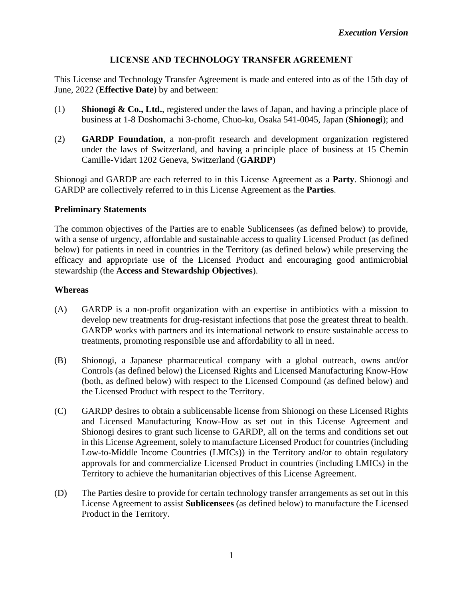### **LICENSE AND TECHNOLOGY TRANSFER AGREEMENT**

This License and Technology Transfer Agreement is made and entered into as of the 15th day of June, 2022 (**Effective Date**) by and between:

- (1) **Shionogi & Co., Ltd.**, registered under the laws of Japan, and having a principle place of business at 1-8 Doshomachi 3-chome, Chuo-ku, Osaka 541-0045, Japan (**Shionogi**); and
- (2) **GARDP Foundation**, a non-profit research and development organization registered under the laws of Switzerland, and having a principle place of business at 15 Chemin Camille-Vidart 1202 Geneva, Switzerland (**GARDP**)

Shionogi and GARDP are each referred to in this License Agreement as a **Party**. Shionogi and GARDP are collectively referred to in this License Agreement as the **Parties**.

#### **Preliminary Statements**

The common objectives of the Parties are to enable Sublicensees (as defined below) to provide, with a sense of urgency, affordable and sustainable access to quality Licensed Product (as defined below) for patients in need in countries in the Territory (as defined below) while preserving the efficacy and appropriate use of the Licensed Product and encouraging good antimicrobial stewardship (the **Access and Stewardship Objectives**).

#### **Whereas**

- (A) GARDP is a non-profit organization with an expertise in antibiotics with a mission to develop new treatments for drug-resistant infections that pose the greatest threat to health. GARDP works with partners and its international network to ensure sustainable access to treatments, promoting responsible use and affordability to all in need.
- (B) Shionogi, a Japanese pharmaceutical company with a global outreach, owns and/or Controls (as defined below) the Licensed Rights and Licensed Manufacturing Know-How (both, as defined below) with respect to the Licensed Compound (as defined below) and the Licensed Product with respect to the Territory.
- (C) GARDP desires to obtain a sublicensable license from Shionogi on these Licensed Rights and Licensed Manufacturing Know-How as set out in this License Agreement and Shionogi desires to grant such license to GARDP, all on the terms and conditions set out in this License Agreement, solely to manufacture Licensed Product for countries (including Low-to-Middle Income Countries (LMICs)) in the Territory and/or to obtain regulatory approvals for and commercialize Licensed Product in countries (including LMICs) in the Territory to achieve the humanitarian objectives of this License Agreement.
- (D) The Parties desire to provide for certain technology transfer arrangements as set out in this License Agreement to assist **Sublicensees** (as defined below) to manufacture the Licensed Product in the Territory.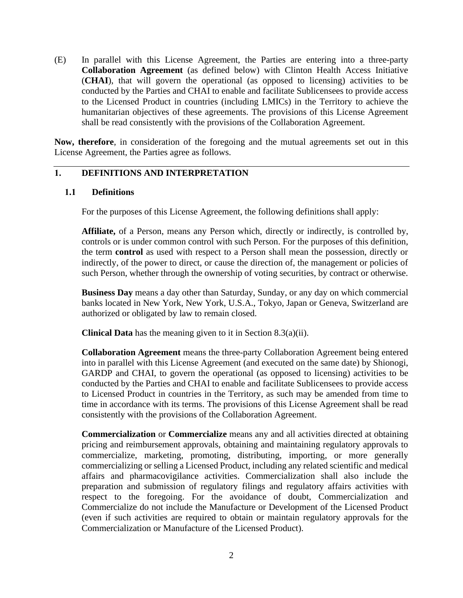(E) In parallel with this License Agreement, the Parties are entering into a three-party **Collaboration Agreement** (as defined below) with Clinton Health Access Initiative (**CHAI**), that will govern the operational (as opposed to licensing) activities to be conducted by the Parties and CHAI to enable and facilitate Sublicensees to provide access to the Licensed Product in countries (including LMICs) in the Territory to achieve the humanitarian objectives of these agreements. The provisions of this License Agreement shall be read consistently with the provisions of the Collaboration Agreement.

**Now, therefore**, in consideration of the foregoing and the mutual agreements set out in this License Agreement, the Parties agree as follows.

#### **1. DEFINITIONS AND INTERPRETATION**

#### **1.1 Definitions**

For the purposes of this License Agreement, the following definitions shall apply:

**Affiliate,** of a Person, means any Person which, directly or indirectly, is controlled by, controls or is under common control with such Person. For the purposes of this definition, the term **control** as used with respect to a Person shall mean the possession, directly or indirectly, of the power to direct, or cause the direction of, the management or policies of such Person, whether through the ownership of voting securities, by contract or otherwise.

**Business Day** means a day other than Saturday, Sunday, or any day on which commercial banks located in New York, New York, U.S.A., Tokyo, Japan or Geneva, Switzerland are authorized or obligated by law to remain closed.

**Clinical Data** has the meaning given to it in Section 8.3(a)(ii).

**Collaboration Agreement** means the three-party Collaboration Agreement being entered into in parallel with this License Agreement (and executed on the same date) by Shionogi, GARDP and CHAI, to govern the operational (as opposed to licensing) activities to be conducted by the Parties and CHAI to enable and facilitate Sublicensees to provide access to Licensed Product in countries in the Territory, as such may be amended from time to time in accordance with its terms. The provisions of this License Agreement shall be read consistently with the provisions of the Collaboration Agreement.

**Commercialization** or **Commercialize** means any and all activities directed at obtaining pricing and reimbursement approvals, obtaining and maintaining regulatory approvals to commercialize, marketing, promoting, distributing, importing, or more generally commercializing or selling a Licensed Product, including any related scientific and medical affairs and pharmacovigilance activities. Commercialization shall also include the preparation and submission of regulatory filings and regulatory affairs activities with respect to the foregoing. For the avoidance of doubt, Commercialization and Commercialize do not include the Manufacture or Development of the Licensed Product (even if such activities are required to obtain or maintain regulatory approvals for the Commercialization or Manufacture of the Licensed Product).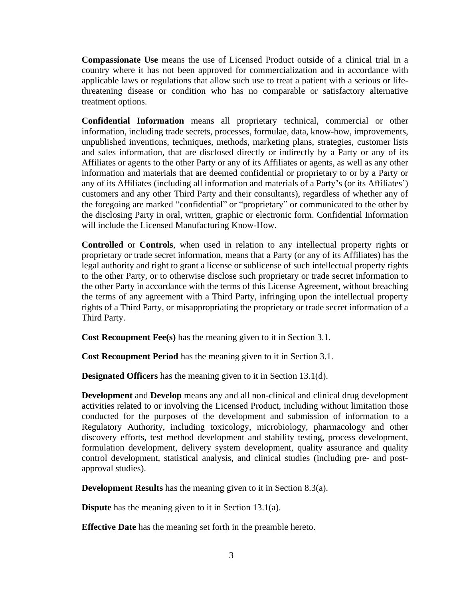**Compassionate Use** means the use of Licensed Product outside of a clinical trial in a country where it has not been approved for commercialization and in accordance with applicable laws or regulations that allow such use to treat a patient with a serious or lifethreatening disease or condition who has no comparable or satisfactory alternative treatment options.

**Confidential Information** means all proprietary technical, commercial or other information, including trade secrets, processes, formulae, data, know-how, improvements, unpublished inventions, techniques, methods, marketing plans, strategies, customer lists and sales information, that are disclosed directly or indirectly by a Party or any of its Affiliates or agents to the other Party or any of its Affiliates or agents, as well as any other information and materials that are deemed confidential or proprietary to or by a Party or any of its Affiliates (including all information and materials of a Party's (or its Affiliates') customers and any other Third Party and their consultants), regardless of whether any of the foregoing are marked "confidential" or "proprietary" or communicated to the other by the disclosing Party in oral, written, graphic or electronic form. Confidential Information will include the Licensed Manufacturing Know-How.

**Controlled** or **Controls**, when used in relation to any intellectual property rights or proprietary or trade secret information, means that a Party (or any of its Affiliates) has the legal authority and right to grant a license or sublicense of such intellectual property rights to the other Party, or to otherwise disclose such proprietary or trade secret information to the other Party in accordance with the terms of this License Agreement, without breaching the terms of any agreement with a Third Party, infringing upon the intellectual property rights of a Third Party, or misappropriating the proprietary or trade secret information of a Third Party.

**Cost Recoupment Fee(s)** has the meaning given to it in Section 3.1.

**Cost Recoupment Period** has the meaning given to it in Section 3.1.

**Designated Officers** has the meaning given to it in Section 13.1(d).

**Development** and **Develop** means any and all non-clinical and clinical drug development activities related to or involving the Licensed Product, including without limitation those conducted for the purposes of the development and submission of information to a Regulatory Authority, including toxicology, microbiology, pharmacology and other discovery efforts, test method development and stability testing, process development, formulation development, delivery system development, quality assurance and quality control development, statistical analysis, and clinical studies (including pre- and postapproval studies).

**Development Results** has the meaning given to it in Section 8.3(a).

**Dispute** has the meaning given to it in Section 13.1(a).

**Effective Date** has the meaning set forth in the preamble hereto.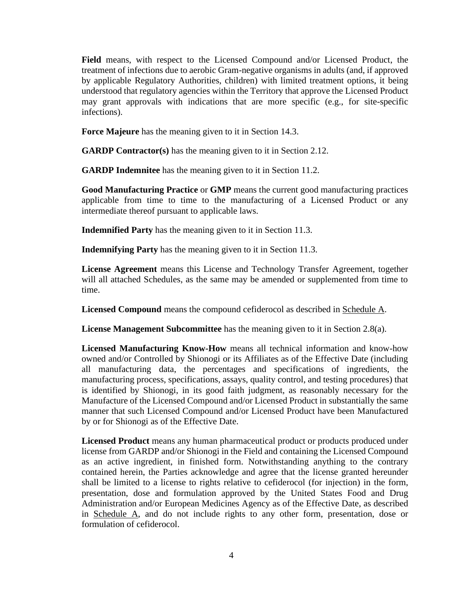**Field** means, with respect to the Licensed Compound and/or Licensed Product, the treatment of infections due to aerobic Gram-negative organisms in adults (and, if approved by applicable Regulatory Authorities, children) with limited treatment options, it being understood that regulatory agencies within the Territory that approve the Licensed Product may grant approvals with indications that are more specific (e.g., for site-specific infections).

**Force Majeure** has the meaning given to it in Section 14.3.

**GARDP Contractor(s)** has the meaning given to it in Section 2.12.

**GARDP Indemnitee** has the meaning given to it in Section 11.2.

**Good Manufacturing Practice** or **GMP** means the current good manufacturing practices applicable from time to time to the manufacturing of a Licensed Product or any intermediate thereof pursuant to applicable laws.

**Indemnified Party** has the meaning given to it in Section 11.3.

**Indemnifying Party** has the meaning given to it in Section 11.3.

**License Agreement** means this License and Technology Transfer Agreement, together will all attached Schedules, as the same may be amended or supplemented from time to time.

Licensed Compound means the compound cefiderocol as described in Schedule A.

**License Management Subcommittee** has the meaning given to it in Section 2.8(a).

**Licensed Manufacturing Know-How** means all technical information and know-how owned and/or Controlled by Shionogi or its Affiliates as of the Effective Date (including all manufacturing data, the percentages and specifications of ingredients, the manufacturing process, specifications, assays, quality control, and testing procedures) that is identified by Shionogi, in its good faith judgment, as reasonably necessary for the Manufacture of the Licensed Compound and/or Licensed Product in substantially the same manner that such Licensed Compound and/or Licensed Product have been Manufactured by or for Shionogi as of the Effective Date.

**Licensed Product** means any human pharmaceutical product or products produced under license from GARDP and/or Shionogi in the Field and containing the Licensed Compound as an active ingredient, in finished form. Notwithstanding anything to the contrary contained herein, the Parties acknowledge and agree that the license granted hereunder shall be limited to a license to rights relative to cefiderocol (for injection) in the form, presentation, dose and formulation approved by the United States Food and Drug Administration and/or European Medicines Agency as of the Effective Date, as described in Schedule A, and do not include rights to any other form, presentation, dose or formulation of cefiderocol.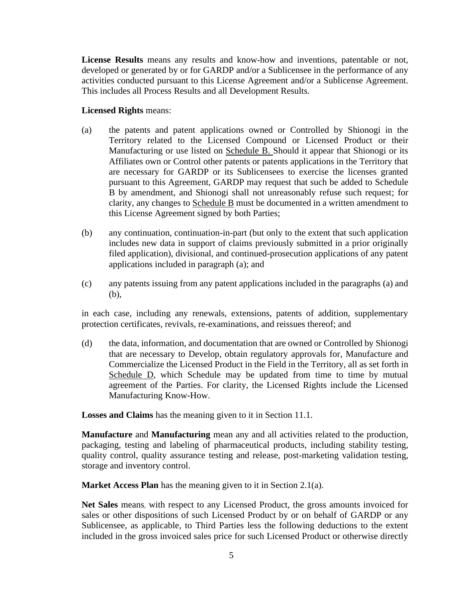**License Results** means any results and know-how and inventions, patentable or not, developed or generated by or for GARDP and/or a Sublicensee in the performance of any activities conducted pursuant to this License Agreement and/or a Sublicense Agreement. This includes all Process Results and all Development Results.

#### **Licensed Rights** means:

- (a) the patents and patent applications owned or Controlled by Shionogi in the Territory related to the Licensed Compound or Licensed Product or their Manufacturing or use listed on Schedule B. Should it appear that Shionogi or its Affiliates own or Control other patents or patents applications in the Territory that are necessary for GARDP or its Sublicensees to exercise the licenses granted pursuant to this Agreement, GARDP may request that such be added to Schedule B by amendment, and Shionogi shall not unreasonably refuse such request; for clarity, any changes to Schedule B must be documented in a written amendment to this License Agreement signed by both Parties;
- (b) any continuation, continuation-in-part (but only to the extent that such application includes new data in support of claims previously submitted in a prior originally filed application), divisional, and continued-prosecution applications of any patent applications included in paragraph (a); and
- (c) any patents issuing from any patent applications included in the paragraphs (a) and (b),

in each case, including any renewals, extensions, patents of addition, supplementary protection certificates, revivals, re-examinations, and reissues thereof; and

(d) the data, information, and documentation that are owned or Controlled by Shionogi that are necessary to Develop, obtain regulatory approvals for, Manufacture and Commercialize the Licensed Product in the Field in the Territory, all as set forth in Schedule D, which Schedule may be updated from time to time by mutual agreement of the Parties. For clarity, the Licensed Rights include the Licensed Manufacturing Know-How.

**Losses and Claims** has the meaning given to it in Section 11.1.

**Manufacture** and **Manufacturing** mean any and all activities related to the production, packaging, testing and labeling of pharmaceutical products, including stability testing, quality control, quality assurance testing and release, post-marketing validation testing, storage and inventory control.

**Market Access Plan** has the meaning given to it in Section 2.1(a).

**Net Sales** means, with respect to any Licensed Product, the gross amounts invoiced for sales or other dispositions of such Licensed Product by or on behalf of GARDP or any Sublicensee, as applicable, to Third Parties less the following deductions to the extent included in the gross invoiced sales price for such Licensed Product or otherwise directly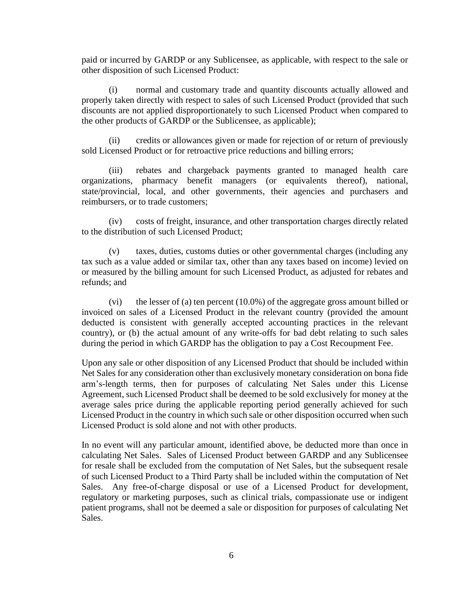paid or incurred by GARDP or any Sublicensee, as applicable, with respect to the sale or other disposition of such Licensed Product:

(i) normal and customary trade and quantity discounts actually allowed and properly taken directly with respect to sales of such Licensed Product (provided that such discounts are not applied disproportionately to such Licensed Product when compared to the other products of GARDP or the Sublicensee, as applicable);

(ii) credits or allowances given or made for rejection of or return of previously sold Licensed Product or for retroactive price reductions and billing errors;

(iii) rebates and chargeback payments granted to managed health care organizations, pharmacy benefit managers (or equivalents thereof), national, state/provincial, local, and other governments, their agencies and purchasers and reimbursers, or to trade customers;

(iv) costs of freight, insurance, and other transportation charges directly related to the distribution of such Licensed Product;

(v) taxes, duties, customs duties or other governmental charges (including any tax such as a value added or similar tax, other than any taxes based on income) levied on or measured by the billing amount for such Licensed Product, as adjusted for rebates and refunds; and

(vi) the lesser of (a) ten percent (10.0%) of the aggregate gross amount billed or invoiced on sales of a Licensed Product in the relevant country (provided the amount deducted is consistent with generally accepted accounting practices in the relevant country), or (b) the actual amount of any write-offs for bad debt relating to such sales during the period in which GARDP has the obligation to pay a Cost Recoupment Fee.

Upon any sale or other disposition of any Licensed Product that should be included within Net Sales for any consideration other than exclusively monetary consideration on bona fide arm's-length terms, then for purposes of calculating Net Sales under this License Agreement, such Licensed Product shall be deemed to be sold exclusively for money at the average sales price during the applicable reporting period generally achieved for such Licensed Product in the country in which such sale or other disposition occurred when such Licensed Product is sold alone and not with other products.

In no event will any particular amount, identified above, be deducted more than once in calculating Net Sales. Sales of Licensed Product between GARDP and any Sublicensee for resale shall be excluded from the computation of Net Sales, but the subsequent resale of such Licensed Product to a Third Party shall be included within the computation of Net Sales. Any free-of-charge disposal or use of a Licensed Product for development, regulatory or marketing purposes, such as clinical trials, compassionate use or indigent patient programs, shall not be deemed a sale or disposition for purposes of calculating Net Sales.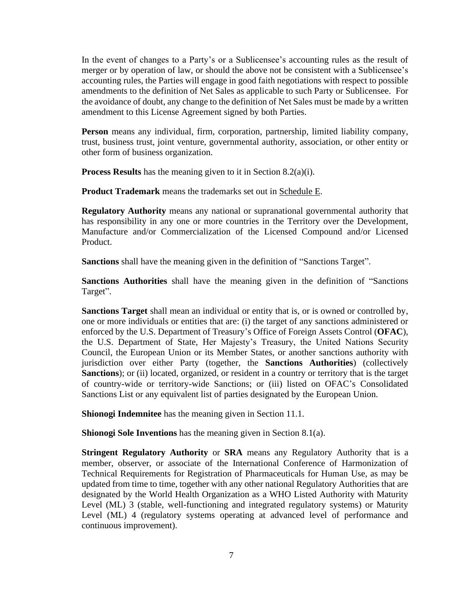In the event of changes to a Party's or a Sublicensee's accounting rules as the result of merger or by operation of law, or should the above not be consistent with a Sublicensee's accounting rules, the Parties will engage in good faith negotiations with respect to possible amendments to the definition of Net Sales as applicable to such Party or Sublicensee. For the avoidance of doubt, any change to the definition of Net Sales must be made by a written amendment to this License Agreement signed by both Parties.

**Person** means any individual, firm, corporation, partnership, limited liability company, trust, business trust, joint venture, governmental authority, association, or other entity or other form of business organization.

**Process Results** has the meaning given to it in Section 8.2(a)(i).

**Product Trademark** means the trademarks set out in Schedule E.

**Regulatory Authority** means any national or supranational governmental authority that has responsibility in any one or more countries in the Territory over the Development, Manufacture and/or Commercialization of the Licensed Compound and/or Licensed Product.

**Sanctions** shall have the meaning given in the definition of "Sanctions Target".

**Sanctions Authorities** shall have the meaning given in the definition of "Sanctions Target".

**Sanctions Target** shall mean an individual or entity that is, or is owned or controlled by, one or more individuals or entities that are: (i) the target of any sanctions administered or enforced by the U.S. Department of Treasury's Office of Foreign Assets Control (**OFAC**), the U.S. Department of State, Her Majesty's Treasury, the United Nations Security Council, the European Union or its Member States, or another sanctions authority with jurisdiction over either Party (together, the **Sanctions Authorities**) (collectively Sanctions); or (ii) located, organized, or resident in a country or territory that is the target of country-wide or territory-wide Sanctions; or (iii) listed on OFAC's Consolidated Sanctions List or any equivalent list of parties designated by the European Union.

**Shionogi Indemnitee** has the meaning given in Section 11.1.

**Shionogi Sole Inventions** has the meaning given in Section 8.1(a).

**Stringent Regulatory Authority** or **SRA** means any Regulatory Authority that is a member, observer, or associate of the International Conference of Harmonization of Technical Requirements for Registration of Pharmaceuticals for Human Use, as may be updated from time to time, together with any other national Regulatory Authorities that are designated by the World Health Organization as a WHO Listed Authority with Maturity Level (ML) 3 (stable, well-functioning and integrated regulatory systems) or Maturity Level (ML) 4 (regulatory systems operating at advanced level of performance and continuous improvement).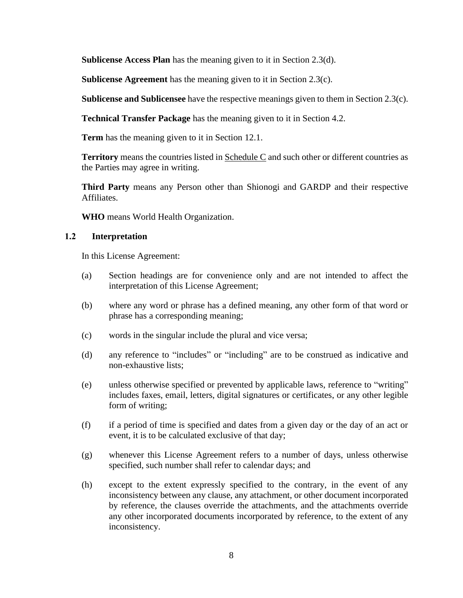**Sublicense Access Plan** has the meaning given to it in Section 2.3(d).

**Sublicense Agreement** has the meaning given to it in Section 2.3(c).

**Sublicense and Sublicensee** have the respective meanings given to them in Section 2.3(c).

**Technical Transfer Package** has the meaning given to it in Section 4.2.

**Term** has the meaning given to it in Section 12.1.

**Territory** means the countries listed in **Schedule C** and such other or different countries as the Parties may agree in writing.

**Third Party** means any Person other than Shionogi and GARDP and their respective Affiliates.

**WHO** means World Health Organization.

#### **1.2 Interpretation**

In this License Agreement:

- (a) Section headings are for convenience only and are not intended to affect the interpretation of this License Agreement;
- (b) where any word or phrase has a defined meaning, any other form of that word or phrase has a corresponding meaning;
- (c) words in the singular include the plural and vice versa;
- (d) any reference to "includes" or "including" are to be construed as indicative and non-exhaustive lists;
- (e) unless otherwise specified or prevented by applicable laws, reference to "writing" includes faxes, email, letters, digital signatures or certificates, or any other legible form of writing;
- (f) if a period of time is specified and dates from a given day or the day of an act or event, it is to be calculated exclusive of that day;
- (g) whenever this License Agreement refers to a number of days, unless otherwise specified, such number shall refer to calendar days; and
- (h) except to the extent expressly specified to the contrary, in the event of any inconsistency between any clause, any attachment, or other document incorporated by reference, the clauses override the attachments, and the attachments override any other incorporated documents incorporated by reference, to the extent of any inconsistency.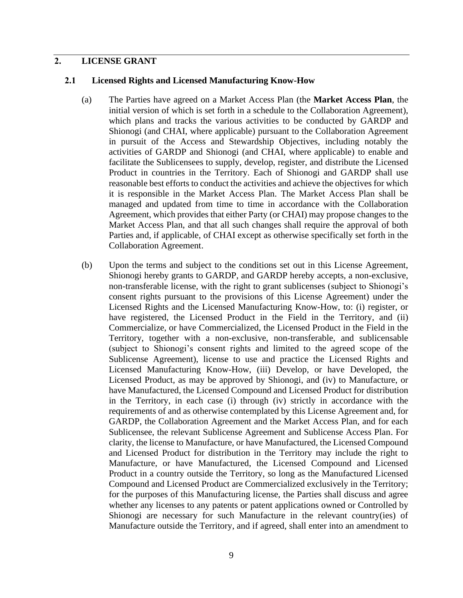#### **2. LICENSE GRANT**

#### **2.1 Licensed Rights and Licensed Manufacturing Know-How**

- (a) The Parties have agreed on a Market Access Plan (the **Market Access Plan**, the initial version of which is set forth in a schedule to the Collaboration Agreement), which plans and tracks the various activities to be conducted by GARDP and Shionogi (and CHAI, where applicable) pursuant to the Collaboration Agreement in pursuit of the Access and Stewardship Objectives, including notably the activities of GARDP and Shionogi (and CHAI, where applicable) to enable and facilitate the Sublicensees to supply, develop, register, and distribute the Licensed Product in countries in the Territory. Each of Shionogi and GARDP shall use reasonable best efforts to conduct the activities and achieve the objectives for which it is responsible in the Market Access Plan. The Market Access Plan shall be managed and updated from time to time in accordance with the Collaboration Agreement, which provides that either Party (or CHAI) may propose changes to the Market Access Plan, and that all such changes shall require the approval of both Parties and, if applicable, of CHAI except as otherwise specifically set forth in the Collaboration Agreement.
- (b) Upon the terms and subject to the conditions set out in this License Agreement, Shionogi hereby grants to GARDP, and GARDP hereby accepts, a non-exclusive, non-transferable license, with the right to grant sublicenses (subject to Shionogi's consent rights pursuant to the provisions of this License Agreement) under the Licensed Rights and the Licensed Manufacturing Know-How, to: (i) register, or have registered, the Licensed Product in the Field in the Territory, and (ii) Commercialize, or have Commercialized, the Licensed Product in the Field in the Territory, together with a non-exclusive, non-transferable, and sublicensable (subject to Shionogi's consent rights and limited to the agreed scope of the Sublicense Agreement), license to use and practice the Licensed Rights and Licensed Manufacturing Know-How, (iii) Develop, or have Developed, the Licensed Product, as may be approved by Shionogi, and (iv) to Manufacture, or have Manufactured, the Licensed Compound and Licensed Product for distribution in the Territory, in each case (i) through (iv) strictly in accordance with the requirements of and as otherwise contemplated by this License Agreement and, for GARDP, the Collaboration Agreement and the Market Access Plan, and for each Sublicensee, the relevant Sublicense Agreement and Sublicense Access Plan. For clarity, the license to Manufacture, or have Manufactured, the Licensed Compound and Licensed Product for distribution in the Territory may include the right to Manufacture, or have Manufactured, the Licensed Compound and Licensed Product in a country outside the Territory, so long as the Manufactured Licensed Compound and Licensed Product are Commercialized exclusively in the Territory; for the purposes of this Manufacturing license, the Parties shall discuss and agree whether any licenses to any patents or patent applications owned or Controlled by Shionogi are necessary for such Manufacture in the relevant country(ies) of Manufacture outside the Territory, and if agreed, shall enter into an amendment to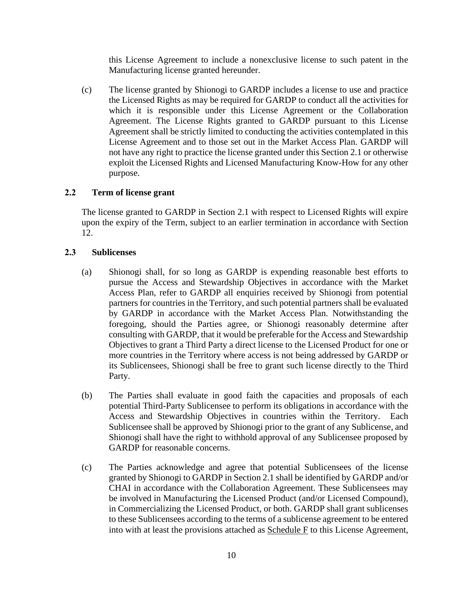this License Agreement to include a nonexclusive license to such patent in the Manufacturing license granted hereunder.

(c) The license granted by Shionogi to GARDP includes a license to use and practice the Licensed Rights as may be required for GARDP to conduct all the activities for which it is responsible under this License Agreement or the Collaboration Agreement. The License Rights granted to GARDP pursuant to this License Agreement shall be strictly limited to conducting the activities contemplated in this License Agreement and to those set out in the Market Access Plan. GARDP will not have any right to practice the license granted under this Section 2.1 or otherwise exploit the Licensed Rights and Licensed Manufacturing Know-How for any other purpose.

#### **2.2 Term of license grant**

The license granted to GARDP in Section 2.1 with respect to Licensed Rights will expire upon the expiry of the Term, subject to an earlier termination in accordance with Section 12.

#### **2.3 Sublicenses**

- (a) Shionogi shall, for so long as GARDP is expending reasonable best efforts to pursue the Access and Stewardship Objectives in accordance with the Market Access Plan, refer to GARDP all enquiries received by Shionogi from potential partners for countries in the Territory, and such potential partners shall be evaluated by GARDP in accordance with the Market Access Plan. Notwithstanding the foregoing, should the Parties agree, or Shionogi reasonably determine after consulting with GARDP, that it would be preferable for the Access and Stewardship Objectives to grant a Third Party a direct license to the Licensed Product for one or more countries in the Territory where access is not being addressed by GARDP or its Sublicensees, Shionogi shall be free to grant such license directly to the Third Party.
- (b) The Parties shall evaluate in good faith the capacities and proposals of each potential Third-Party Sublicensee to perform its obligations in accordance with the Access and Stewardship Objectives in countries within the Territory. Each Sublicensee shall be approved by Shionogi prior to the grant of any Sublicense, and Shionogi shall have the right to withhold approval of any Sublicensee proposed by GARDP for reasonable concerns.
- (c) The Parties acknowledge and agree that potential Sublicensees of the license granted by Shionogi to GARDP in Section 2.1 shall be identified by GARDP and/or CHAI in accordance with the Collaboration Agreement. These Sublicensees may be involved in Manufacturing the Licensed Product (and/or Licensed Compound), in Commercializing the Licensed Product, or both. GARDP shall grant sublicenses to these Sublicensees according to the terms of a sublicense agreement to be entered into with at least the provisions attached as Schedule F to this License Agreement,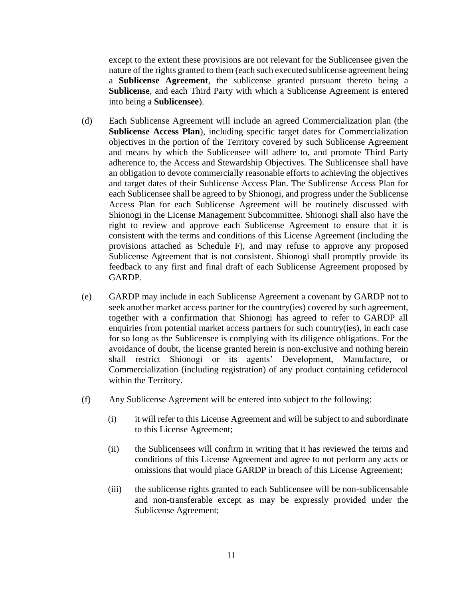except to the extent these provisions are not relevant for the Sublicensee given the nature of the rights granted to them (each such executed sublicense agreement being a **Sublicense Agreement**, the sublicense granted pursuant thereto being a **Sublicense**, and each Third Party with which a Sublicense Agreement is entered into being a **Sublicensee**).

- (d) Each Sublicense Agreement will include an agreed Commercialization plan (the **Sublicense Access Plan**), including specific target dates for Commercialization objectives in the portion of the Territory covered by such Sublicense Agreement and means by which the Sublicensee will adhere to, and promote Third Party adherence to, the Access and Stewardship Objectives. The Sublicensee shall have an obligation to devote commercially reasonable efforts to achieving the objectives and target dates of their Sublicense Access Plan. The Sublicense Access Plan for each Sublicensee shall be agreed to by Shionogi, and progress under the Sublicense Access Plan for each Sublicense Agreement will be routinely discussed with Shionogi in the License Management Subcommittee. Shionogi shall also have the right to review and approve each Sublicense Agreement to ensure that it is consistent with the terms and conditions of this License Agreement (including the provisions attached as Schedule F), and may refuse to approve any proposed Sublicense Agreement that is not consistent. Shionogi shall promptly provide its feedback to any first and final draft of each Sublicense Agreement proposed by GARDP.
- (e) GARDP may include in each Sublicense Agreement a covenant by GARDP not to seek another market access partner for the country(ies) covered by such agreement, together with a confirmation that Shionogi has agreed to refer to GARDP all enquiries from potential market access partners for such country(ies), in each case for so long as the Sublicensee is complying with its diligence obligations. For the avoidance of doubt, the license granted herein is non-exclusive and nothing herein shall restrict Shionogi or its agents' Development, Manufacture, or Commercialization (including registration) of any product containing cefiderocol within the Territory.
- (f) Any Sublicense Agreement will be entered into subject to the following:
	- (i) it will refer to this License Agreement and will be subject to and subordinate to this License Agreement;
	- (ii) the Sublicensees will confirm in writing that it has reviewed the terms and conditions of this License Agreement and agree to not perform any acts or omissions that would place GARDP in breach of this License Agreement;
	- (iii) the sublicense rights granted to each Sublicensee will be non-sublicensable and non-transferable except as may be expressly provided under the Sublicense Agreement;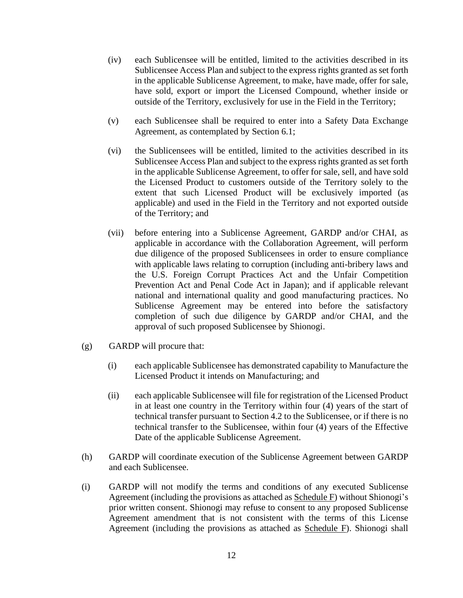- (iv) each Sublicensee will be entitled, limited to the activities described in its Sublicensee Access Plan and subject to the express rights granted as set forth in the applicable Sublicense Agreement, to make, have made, offer for sale, have sold, export or import the Licensed Compound, whether inside or outside of the Territory, exclusively for use in the Field in the Territory;
- (v) each Sublicensee shall be required to enter into a Safety Data Exchange Agreement, as contemplated by Section 6.1;
- (vi) the Sublicensees will be entitled, limited to the activities described in its Sublicensee Access Plan and subject to the express rights granted as set forth in the applicable Sublicense Agreement, to offer for sale, sell, and have sold the Licensed Product to customers outside of the Territory solely to the extent that such Licensed Product will be exclusively imported (as applicable) and used in the Field in the Territory and not exported outside of the Territory; and
- (vii) before entering into a Sublicense Agreement, GARDP and/or CHAI, as applicable in accordance with the Collaboration Agreement, will perform due diligence of the proposed Sublicensees in order to ensure compliance with applicable laws relating to corruption (including anti-bribery laws and the U.S. Foreign Corrupt Practices Act and the Unfair Competition Prevention Act and Penal Code Act in Japan); and if applicable relevant national and international quality and good manufacturing practices. No Sublicense Agreement may be entered into before the satisfactory completion of such due diligence by GARDP and/or CHAI, and the approval of such proposed Sublicensee by Shionogi.
- (g) GARDP will procure that:
	- (i) each applicable Sublicensee has demonstrated capability to Manufacture the Licensed Product it intends on Manufacturing; and
	- (ii) each applicable Sublicensee will file for registration of the Licensed Product in at least one country in the Territory within four (4) years of the start of technical transfer pursuant to Section 4.2 to the Sublicensee, or if there is no technical transfer to the Sublicensee, within four (4) years of the Effective Date of the applicable Sublicense Agreement.
- (h) GARDP will coordinate execution of the Sublicense Agreement between GARDP and each Sublicensee.
- (i) GARDP will not modify the terms and conditions of any executed Sublicense Agreement (including the provisions as attached as Schedule F) without Shionogi's prior written consent. Shionogi may refuse to consent to any proposed Sublicense Agreement amendment that is not consistent with the terms of this License Agreement (including the provisions as attached as Schedule F). Shionogi shall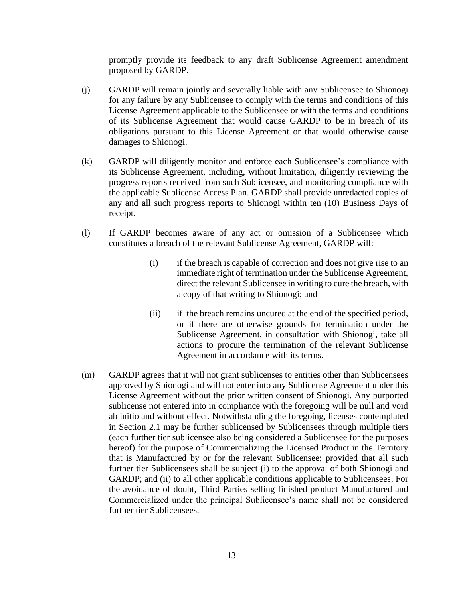promptly provide its feedback to any draft Sublicense Agreement amendment proposed by GARDP.

- (j) GARDP will remain jointly and severally liable with any Sublicensee to Shionogi for any failure by any Sublicensee to comply with the terms and conditions of this License Agreement applicable to the Sublicensee or with the terms and conditions of its Sublicense Agreement that would cause GARDP to be in breach of its obligations pursuant to this License Agreement or that would otherwise cause damages to Shionogi.
- (k) GARDP will diligently monitor and enforce each Sublicensee's compliance with its Sublicense Agreement, including, without limitation, diligently reviewing the progress reports received from such Sublicensee, and monitoring compliance with the applicable Sublicense Access Plan. GARDP shall provide unredacted copies of any and all such progress reports to Shionogi within ten (10) Business Days of receipt.
- (l) If GARDP becomes aware of any act or omission of a Sublicensee which constitutes a breach of the relevant Sublicense Agreement, GARDP will:
	- (i) if the breach is capable of correction and does not give rise to an immediate right of termination under the Sublicense Agreement, direct the relevant Sublicensee in writing to cure the breach, with a copy of that writing to Shionogi; and
	- (ii) if the breach remains uncured at the end of the specified period, or if there are otherwise grounds for termination under the Sublicense Agreement, in consultation with Shionogi, take all actions to procure the termination of the relevant Sublicense Agreement in accordance with its terms.
- (m) GARDP agrees that it will not grant sublicenses to entities other than Sublicensees approved by Shionogi and will not enter into any Sublicense Agreement under this License Agreement without the prior written consent of Shionogi. Any purported sublicense not entered into in compliance with the foregoing will be null and void ab initio and without effect. Notwithstanding the foregoing, licenses contemplated in Section 2.1 may be further sublicensed by Sublicensees through multiple tiers (each further tier sublicensee also being considered a Sublicensee for the purposes hereof) for the purpose of Commercializing the Licensed Product in the Territory that is Manufactured by or for the relevant Sublicensee; provided that all such further tier Sublicensees shall be subject (i) to the approval of both Shionogi and GARDP; and (ii) to all other applicable conditions applicable to Sublicensees. For the avoidance of doubt, Third Parties selling finished product Manufactured and Commercialized under the principal Sublicensee's name shall not be considered further tier Sublicensees.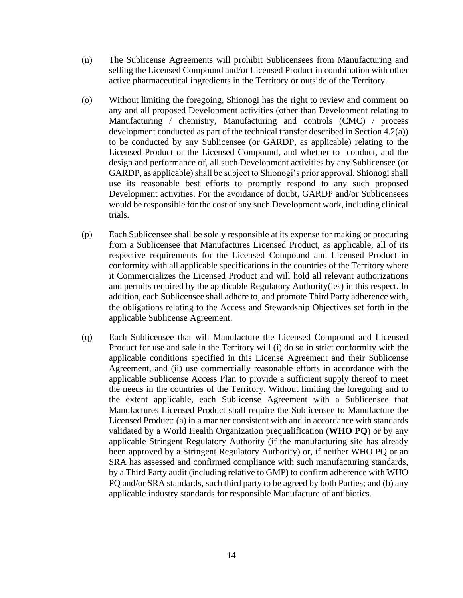- (n) The Sublicense Agreements will prohibit Sublicensees from Manufacturing and selling the Licensed Compound and/or Licensed Product in combination with other active pharmaceutical ingredients in the Territory or outside of the Territory.
- (o) Without limiting the foregoing, Shionogi has the right to review and comment on any and all proposed Development activities (other than Development relating to Manufacturing / chemistry, Manufacturing and controls (CMC) / process development conducted as part of the technical transfer described in Section 4.2(a)) to be conducted by any Sublicensee (or GARDP, as applicable) relating to the Licensed Product or the Licensed Compound, and whether to conduct, and the design and performance of, all such Development activities by any Sublicensee (or GARDP, as applicable) shall be subject to Shionogi's prior approval. Shionogi shall use its reasonable best efforts to promptly respond to any such proposed Development activities. For the avoidance of doubt, GARDP and/or Sublicensees would be responsible for the cost of any such Development work, including clinical trials.
- (p) Each Sublicensee shall be solely responsible at its expense for making or procuring from a Sublicensee that Manufactures Licensed Product, as applicable, all of its respective requirements for the Licensed Compound and Licensed Product in conformity with all applicable specifications in the countries of the Territory where it Commercializes the Licensed Product and will hold all relevant authorizations and permits required by the applicable Regulatory Authority(ies) in this respect. In addition, each Sublicensee shall adhere to, and promote Third Party adherence with, the obligations relating to the Access and Stewardship Objectives set forth in the applicable Sublicense Agreement.
- (q) Each Sublicensee that will Manufacture the Licensed Compound and Licensed Product for use and sale in the Territory will (i) do so in strict conformity with the applicable conditions specified in this License Agreement and their Sublicense Agreement, and (ii) use commercially reasonable efforts in accordance with the applicable Sublicense Access Plan to provide a sufficient supply thereof to meet the needs in the countries of the Territory. Without limiting the foregoing and to the extent applicable, each Sublicense Agreement with a Sublicensee that Manufactures Licensed Product shall require the Sublicensee to Manufacture the Licensed Product: (a) in a manner consistent with and in accordance with standards validated by a World Health Organization prequalification (**WHO PQ**) or by any applicable Stringent Regulatory Authority (if the manufacturing site has already been approved by a Stringent Regulatory Authority) or, if neither WHO PQ or an SRA has assessed and confirmed compliance with such manufacturing standards, by a Third Party audit (including relative to GMP) to confirm adherence with WHO PQ and/or SRA standards, such third party to be agreed by both Parties; and (b) any applicable industry standards for responsible Manufacture of antibiotics.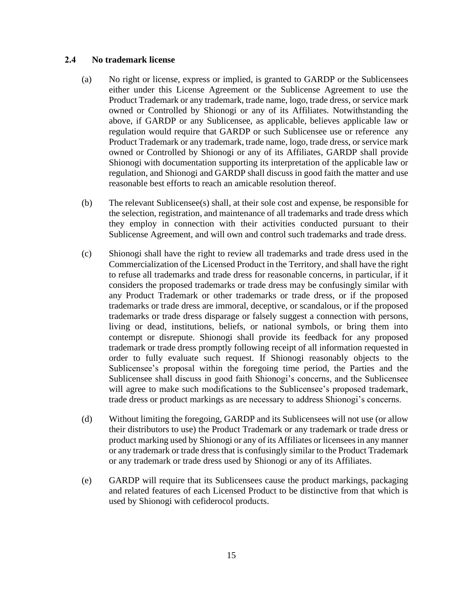#### **2.4 No trademark license**

- (a) No right or license, express or implied, is granted to GARDP or the Sublicensees either under this License Agreement or the Sublicense Agreement to use the Product Trademark or any trademark, trade name, logo, trade dress, or service mark owned or Controlled by Shionogi or any of its Affiliates. Notwithstanding the above, if GARDP or any Sublicensee, as applicable, believes applicable law or regulation would require that GARDP or such Sublicensee use or reference any Product Trademark or any trademark, trade name, logo, trade dress, or service mark owned or Controlled by Shionogi or any of its Affiliates, GARDP shall provide Shionogi with documentation supporting its interpretation of the applicable law or regulation, and Shionogi and GARDP shall discuss in good faith the matter and use reasonable best efforts to reach an amicable resolution thereof.
- (b) The relevant Sublicensee(s) shall, at their sole cost and expense, be responsible for the selection, registration, and maintenance of all trademarks and trade dress which they employ in connection with their activities conducted pursuant to their Sublicense Agreement, and will own and control such trademarks and trade dress.
- (c) Shionogi shall have the right to review all trademarks and trade dress used in the Commercialization of the Licensed Product in the Territory, and shall have the right to refuse all trademarks and trade dress for reasonable concerns, in particular, if it considers the proposed trademarks or trade dress may be confusingly similar with any Product Trademark or other trademarks or trade dress, or if the proposed trademarks or trade dress are immoral, deceptive, or scandalous, or if the proposed trademarks or trade dress disparage or falsely suggest a connection with persons, living or dead, institutions, beliefs, or national symbols, or bring them into contempt or disrepute. Shionogi shall provide its feedback for any proposed trademark or trade dress promptly following receipt of all information requested in order to fully evaluate such request. If Shionogi reasonably objects to the Sublicensee's proposal within the foregoing time period, the Parties and the Sublicensee shall discuss in good faith Shionogi's concerns, and the Sublicensee will agree to make such modifications to the Sublicensee's proposed trademark, trade dress or product markings as are necessary to address Shionogi's concerns.
- (d) Without limiting the foregoing, GARDP and its Sublicensees will not use (or allow their distributors to use) the Product Trademark or any trademark or trade dress or product marking used by Shionogi or any of its Affiliates or licensees in any manner or any trademark or trade dress that is confusingly similar to the Product Trademark or any trademark or trade dress used by Shionogi or any of its Affiliates.
- (e) GARDP will require that its Sublicensees cause the product markings, packaging and related features of each Licensed Product to be distinctive from that which is used by Shionogi with cefiderocol products.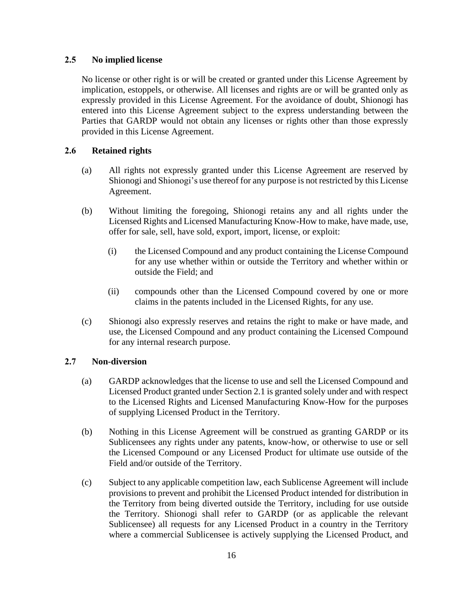#### **2.5 No implied license**

No license or other right is or will be created or granted under this License Agreement by implication, estoppels, or otherwise. All licenses and rights are or will be granted only as expressly provided in this License Agreement. For the avoidance of doubt, Shionogi has entered into this License Agreement subject to the express understanding between the Parties that GARDP would not obtain any licenses or rights other than those expressly provided in this License Agreement.

#### **2.6 Retained rights**

- (a) All rights not expressly granted under this License Agreement are reserved by Shionogi and Shionogi's use thereof for any purpose is not restricted by this License Agreement.
- (b) Without limiting the foregoing, Shionogi retains any and all rights under the Licensed Rights and Licensed Manufacturing Know-How to make, have made, use, offer for sale, sell, have sold, export, import, license, or exploit:
	- (i) the Licensed Compound and any product containing the License Compound for any use whether within or outside the Territory and whether within or outside the Field; and
	- (ii) compounds other than the Licensed Compound covered by one or more claims in the patents included in the Licensed Rights, for any use.
- (c) Shionogi also expressly reserves and retains the right to make or have made, and use, the Licensed Compound and any product containing the Licensed Compound for any internal research purpose.

#### **2.7 Non-diversion**

- (a) GARDP acknowledges that the license to use and sell the Licensed Compound and Licensed Product granted under Section 2.1 is granted solely under and with respect to the Licensed Rights and Licensed Manufacturing Know-How for the purposes of supplying Licensed Product in the Territory.
- (b) Nothing in this License Agreement will be construed as granting GARDP or its Sublicensees any rights under any patents, know-how, or otherwise to use or sell the Licensed Compound or any Licensed Product for ultimate use outside of the Field and/or outside of the Territory.
- (c) Subject to any applicable competition law, each Sublicense Agreement will include provisions to prevent and prohibit the Licensed Product intended for distribution in the Territory from being diverted outside the Territory, including for use outside the Territory. Shionogi shall refer to GARDP (or as applicable the relevant Sublicensee) all requests for any Licensed Product in a country in the Territory where a commercial Sublicensee is actively supplying the Licensed Product, and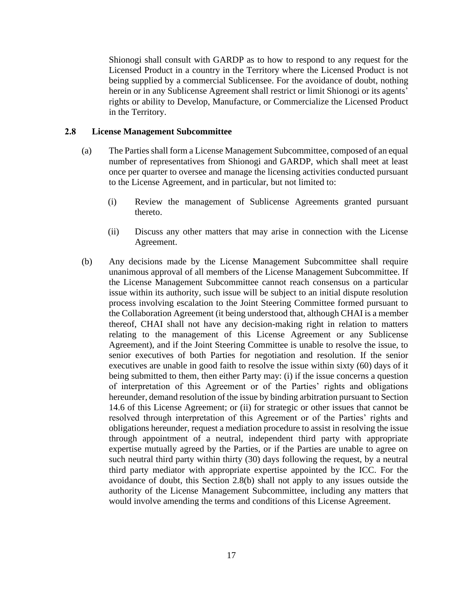Shionogi shall consult with GARDP as to how to respond to any request for the Licensed Product in a country in the Territory where the Licensed Product is not being supplied by a commercial Sublicensee. For the avoidance of doubt, nothing herein or in any Sublicense Agreement shall restrict or limit Shionogi or its agents' rights or ability to Develop, Manufacture, or Commercialize the Licensed Product in the Territory.

#### **2.8 License Management Subcommittee**

- (a) The Parties shall form a License Management Subcommittee, composed of an equal number of representatives from Shionogi and GARDP, which shall meet at least once per quarter to oversee and manage the licensing activities conducted pursuant to the License Agreement, and in particular, but not limited to:
	- (i) Review the management of Sublicense Agreements granted pursuant thereto.
	- (ii) Discuss any other matters that may arise in connection with the License Agreement.
- (b) Any decisions made by the License Management Subcommittee shall require unanimous approval of all members of the License Management Subcommittee. If the License Management Subcommittee cannot reach consensus on a particular issue within its authority, such issue will be subject to an initial dispute resolution process involving escalation to the Joint Steering Committee formed pursuant to the Collaboration Agreement (it being understood that, although CHAI is a member thereof, CHAI shall not have any decision-making right in relation to matters relating to the management of this License Agreement or any Sublicense Agreement), and if the Joint Steering Committee is unable to resolve the issue, to senior executives of both Parties for negotiation and resolution. If the senior executives are unable in good faith to resolve the issue within sixty (60) days of it being submitted to them, then either Party may: (i) if the issue concerns a question of interpretation of this Agreement or of the Parties' rights and obligations hereunder, demand resolution of the issue by binding arbitration pursuant to Section 14.6 of this License Agreement; or (ii) for strategic or other issues that cannot be resolved through interpretation of this Agreement or of the Parties' rights and obligations hereunder, request a mediation procedure to assist in resolving the issue through appointment of a neutral, independent third party with appropriate expertise mutually agreed by the Parties, or if the Parties are unable to agree on such neutral third party within thirty (30) days following the request, by a neutral third party mediator with appropriate expertise appointed by the ICC. For the avoidance of doubt, this Section 2.8(b) shall not apply to any issues outside the authority of the License Management Subcommittee, including any matters that would involve amending the terms and conditions of this License Agreement.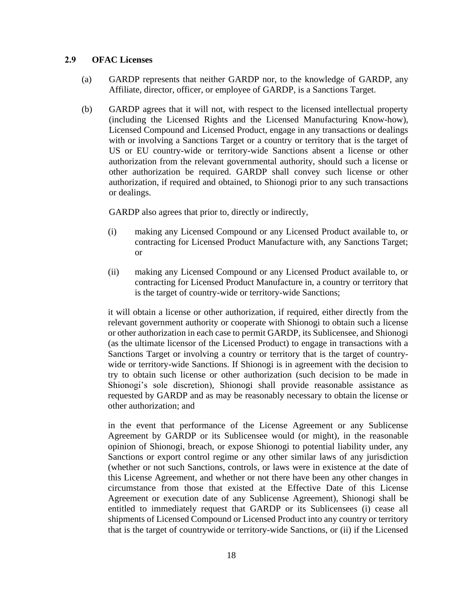#### **2.9 OFAC Licenses**

- (a) GARDP represents that neither GARDP nor, to the knowledge of GARDP, any Affiliate, director, officer, or employee of GARDP, is a Sanctions Target.
- (b) GARDP agrees that it will not, with respect to the licensed intellectual property (including the Licensed Rights and the Licensed Manufacturing Know-how), Licensed Compound and Licensed Product, engage in any transactions or dealings with or involving a Sanctions Target or a country or territory that is the target of US or EU country-wide or territory-wide Sanctions absent a license or other authorization from the relevant governmental authority, should such a license or other authorization be required. GARDP shall convey such license or other authorization, if required and obtained, to Shionogi prior to any such transactions or dealings.

GARDP also agrees that prior to, directly or indirectly,

- (i) making any Licensed Compound or any Licensed Product available to, or contracting for Licensed Product Manufacture with, any Sanctions Target; or
- (ii) making any Licensed Compound or any Licensed Product available to, or contracting for Licensed Product Manufacture in, a country or territory that is the target of country-wide or territory-wide Sanctions;

it will obtain a license or other authorization, if required, either directly from the relevant government authority or cooperate with Shionogi to obtain such a license or other authorization in each case to permit GARDP, its Sublicensee, and Shionogi (as the ultimate licensor of the Licensed Product) to engage in transactions with a Sanctions Target or involving a country or territory that is the target of countrywide or territory-wide Sanctions. If Shionogi is in agreement with the decision to try to obtain such license or other authorization (such decision to be made in Shionogi's sole discretion), Shionogi shall provide reasonable assistance as requested by GARDP and as may be reasonably necessary to obtain the license or other authorization; and

in the event that performance of the License Agreement or any Sublicense Agreement by GARDP or its Sublicensee would (or might), in the reasonable opinion of Shionogi, breach, or expose Shionogi to potential liability under, any Sanctions or export control regime or any other similar laws of any jurisdiction (whether or not such Sanctions, controls, or laws were in existence at the date of this License Agreement, and whether or not there have been any other changes in circumstance from those that existed at the Effective Date of this License Agreement or execution date of any Sublicense Agreement), Shionogi shall be entitled to immediately request that GARDP or its Sublicensees (i) cease all shipments of Licensed Compound or Licensed Product into any country or territory that is the target of countrywide or territory-wide Sanctions, or (ii) if the Licensed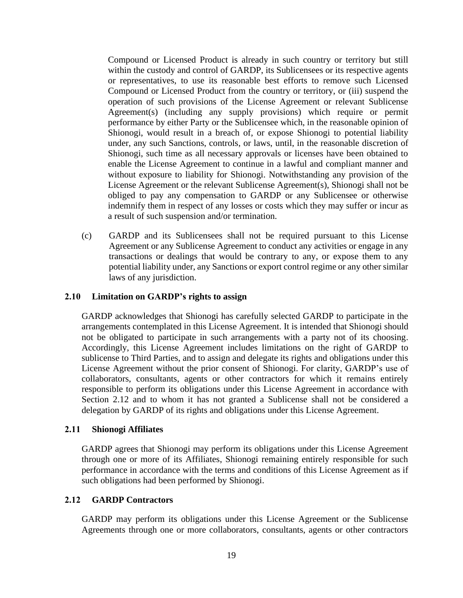Compound or Licensed Product is already in such country or territory but still within the custody and control of GARDP, its Sublicensees or its respective agents or representatives, to use its reasonable best efforts to remove such Licensed Compound or Licensed Product from the country or territory, or (iii) suspend the operation of such provisions of the License Agreement or relevant Sublicense Agreement(s) (including any supply provisions) which require or permit performance by either Party or the Sublicensee which, in the reasonable opinion of Shionogi, would result in a breach of, or expose Shionogi to potential liability under, any such Sanctions, controls, or laws, until, in the reasonable discretion of Shionogi, such time as all necessary approvals or licenses have been obtained to enable the License Agreement to continue in a lawful and compliant manner and without exposure to liability for Shionogi. Notwithstanding any provision of the License Agreement or the relevant Sublicense Agreement(s), Shionogi shall not be obliged to pay any compensation to GARDP or any Sublicensee or otherwise indemnify them in respect of any losses or costs which they may suffer or incur as a result of such suspension and/or termination.

(c) GARDP and its Sublicensees shall not be required pursuant to this License Agreement or any Sublicense Agreement to conduct any activities or engage in any transactions or dealings that would be contrary to any, or expose them to any potential liability under, any Sanctions or export control regime or any other similar laws of any jurisdiction.

#### **2.10 Limitation on GARDP's rights to assign**

GARDP acknowledges that Shionogi has carefully selected GARDP to participate in the arrangements contemplated in this License Agreement. It is intended that Shionogi should not be obligated to participate in such arrangements with a party not of its choosing. Accordingly, this License Agreement includes limitations on the right of GARDP to sublicense to Third Parties, and to assign and delegate its rights and obligations under this License Agreement without the prior consent of Shionogi. For clarity, GARDP's use of collaborators, consultants, agents or other contractors for which it remains entirely responsible to perform its obligations under this License Agreement in accordance with Section 2.12 and to whom it has not granted a Sublicense shall not be considered a delegation by GARDP of its rights and obligations under this License Agreement.

#### **2.11 Shionogi Affiliates**

GARDP agrees that Shionogi may perform its obligations under this License Agreement through one or more of its Affiliates, Shionogi remaining entirely responsible for such performance in accordance with the terms and conditions of this License Agreement as if such obligations had been performed by Shionogi.

#### **2.12 GARDP Contractors**

GARDP may perform its obligations under this License Agreement or the Sublicense Agreements through one or more collaborators, consultants, agents or other contractors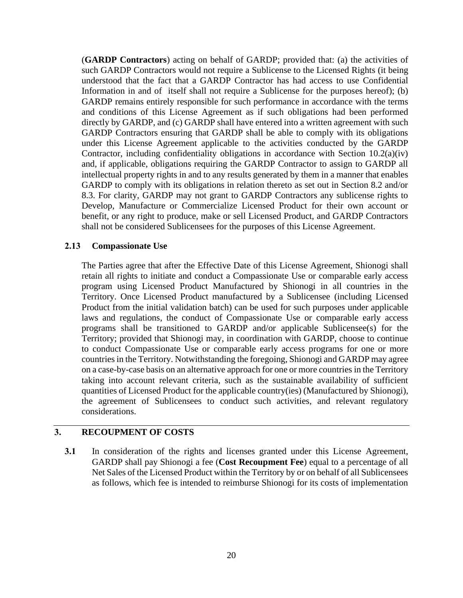(**GARDP Contractors**) acting on behalf of GARDP; provided that: (a) the activities of such GARDP Contractors would not require a Sublicense to the Licensed Rights (it being understood that the fact that a GARDP Contractor has had access to use Confidential Information in and of itself shall not require a Sublicense for the purposes hereof); (b) GARDP remains entirely responsible for such performance in accordance with the terms and conditions of this License Agreement as if such obligations had been performed directly by GARDP, and (c) GARDP shall have entered into a written agreement with such GARDP Contractors ensuring that GARDP shall be able to comply with its obligations under this License Agreement applicable to the activities conducted by the GARDP Contractor, including confidentiality obligations in accordance with Section 10.2(a)(iv) and, if applicable, obligations requiring the GARDP Contractor to assign to GARDP all intellectual property rights in and to any results generated by them in a manner that enables GARDP to comply with its obligations in relation thereto as set out in Section 8.2 and/or 8.3. For clarity, GARDP may not grant to GARDP Contractors any sublicense rights to Develop, Manufacture or Commercialize Licensed Product for their own account or benefit, or any right to produce, make or sell Licensed Product, and GARDP Contractors shall not be considered Sublicensees for the purposes of this License Agreement.

#### **2.13 Compassionate Use**

The Parties agree that after the Effective Date of this License Agreement, Shionogi shall retain all rights to initiate and conduct a Compassionate Use or comparable early access program using Licensed Product Manufactured by Shionogi in all countries in the Territory. Once Licensed Product manufactured by a Sublicensee (including Licensed Product from the initial validation batch) can be used for such purposes under applicable laws and regulations, the conduct of Compassionate Use or comparable early access programs shall be transitioned to GARDP and/or applicable Sublicensee(s) for the Territory; provided that Shionogi may, in coordination with GARDP, choose to continue to conduct Compassionate Use or comparable early access programs for one or more countries in the Territory. Notwithstanding the foregoing, Shionogi and GARDP may agree on a case-by-case basis on an alternative approach for one or more countries in the Territory taking into account relevant criteria, such as the sustainable availability of sufficient quantities of Licensed Product for the applicable country(ies) (Manufactured by Shionogi), the agreement of Sublicensees to conduct such activities, and relevant regulatory considerations.

#### **3. RECOUPMENT OF COSTS**

**3.1** In consideration of the rights and licenses granted under this License Agreement, GARDP shall pay Shionogi a fee (**Cost Recoupment Fee**) equal to a percentage of all Net Sales of the Licensed Product within the Territory by or on behalf of all Sublicensees as follows, which fee is intended to reimburse Shionogi for its costs of implementation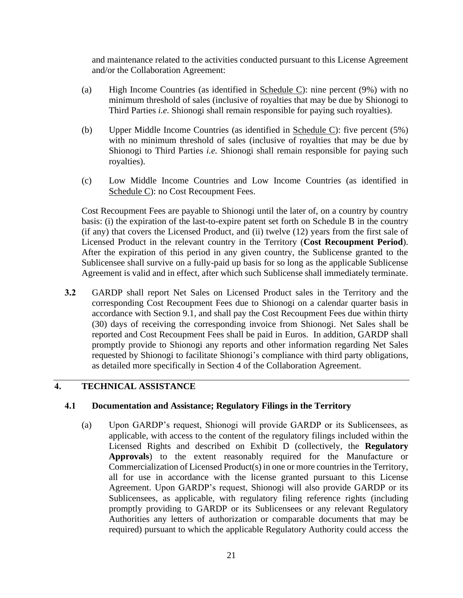and maintenance related to the activities conducted pursuant to this License Agreement and/or the Collaboration Agreement:

- (a) High Income Countries (as identified in Schedule C): nine percent (9%) with no minimum threshold of sales (inclusive of royalties that may be due by Shionogi to Third Parties *i.e.* Shionogi shall remain responsible for paying such royalties).
- (b) Upper Middle Income Countries (as identified in Schedule C): five percent (5%) with no minimum threshold of sales (inclusive of royalties that may be due by Shionogi to Third Parties *i.e.* Shionogi shall remain responsible for paying such royalties).
- (c) Low Middle Income Countries and Low Income Countries (as identified in Schedule C): no Cost Recoupment Fees.

Cost Recoupment Fees are payable to Shionogi until the later of, on a country by country basis: (i) the expiration of the last-to-expire patent set forth on Schedule B in the country (if any) that covers the Licensed Product, and (ii) twelve (12) years from the first sale of Licensed Product in the relevant country in the Territory (**Cost Recoupment Period**). After the expiration of this period in any given country, the Sublicense granted to the Sublicensee shall survive on a fully-paid up basis for so long as the applicable Sublicense Agreement is valid and in effect, after which such Sublicense shall immediately terminate.

**3.2** GARDP shall report Net Sales on Licensed Product sales in the Territory and the corresponding Cost Recoupment Fees due to Shionogi on a calendar quarter basis in accordance with Section 9.1, and shall pay the Cost Recoupment Fees due within thirty (30) days of receiving the corresponding invoice from Shionogi. Net Sales shall be reported and Cost Recoupment Fees shall be paid in Euros. In addition, GARDP shall promptly provide to Shionogi any reports and other information regarding Net Sales requested by Shionogi to facilitate Shionogi's compliance with third party obligations, as detailed more specifically in Section 4 of the Collaboration Agreement.

#### **4. TECHNICAL ASSISTANCE**

#### **4.1 Documentation and Assistance; Regulatory Filings in the Territory**

(a) Upon GARDP's request, Shionogi will provide GARDP or its Sublicensees, as applicable, with access to the content of the regulatory filings included within the Licensed Rights and described on Exhibit D (collectively, the **Regulatory Approvals**) to the extent reasonably required for the Manufacture or Commercialization of Licensed Product(s) in one or more countries in the Territory, all for use in accordance with the license granted pursuant to this License Agreement. Upon GARDP's request, Shionogi will also provide GARDP or its Sublicensees, as applicable, with regulatory filing reference rights (including promptly providing to GARDP or its Sublicensees or any relevant Regulatory Authorities any letters of authorization or comparable documents that may be required) pursuant to which the applicable Regulatory Authority could access the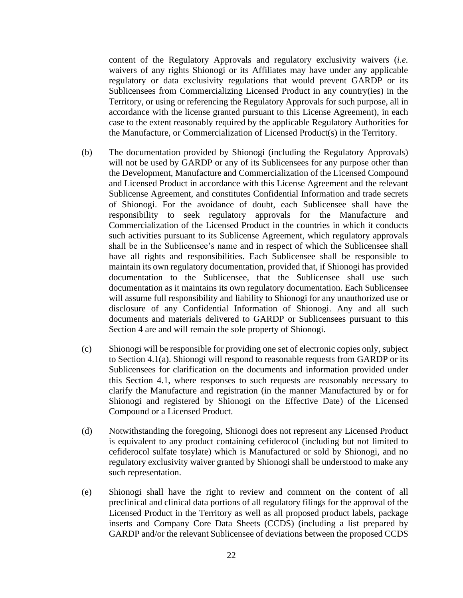content of the Regulatory Approvals and regulatory exclusivity waivers (*i.e.* waivers of any rights Shionogi or its Affiliates may have under any applicable regulatory or data exclusivity regulations that would prevent GARDP or its Sublicensees from Commercializing Licensed Product in any country(ies) in the Territory, or using or referencing the Regulatory Approvals for such purpose, all in accordance with the license granted pursuant to this License Agreement), in each case to the extent reasonably required by the applicable Regulatory Authorities for the Manufacture, or Commercialization of Licensed Product(s) in the Territory.

- (b) The documentation provided by Shionogi (including the Regulatory Approvals) will not be used by GARDP or any of its Sublicensees for any purpose other than the Development, Manufacture and Commercialization of the Licensed Compound and Licensed Product in accordance with this License Agreement and the relevant Sublicense Agreement, and constitutes Confidential Information and trade secrets of Shionogi. For the avoidance of doubt, each Sublicensee shall have the responsibility to seek regulatory approvals for the Manufacture and Commercialization of the Licensed Product in the countries in which it conducts such activities pursuant to its Sublicense Agreement, which regulatory approvals shall be in the Sublicensee's name and in respect of which the Sublicensee shall have all rights and responsibilities. Each Sublicensee shall be responsible to maintain its own regulatory documentation, provided that, if Shionogi has provided documentation to the Sublicensee, that the Sublicensee shall use such documentation as it maintains its own regulatory documentation. Each Sublicensee will assume full responsibility and liability to Shionogi for any unauthorized use or disclosure of any Confidential Information of Shionogi. Any and all such documents and materials delivered to GARDP or Sublicensees pursuant to this Section 4 are and will remain the sole property of Shionogi.
- (c) Shionogi will be responsible for providing one set of electronic copies only, subject to Section 4.1(a). Shionogi will respond to reasonable requests from GARDP or its Sublicensees for clarification on the documents and information provided under this Section 4.1, where responses to such requests are reasonably necessary to clarify the Manufacture and registration (in the manner Manufactured by or for Shionogi and registered by Shionogi on the Effective Date) of the Licensed Compound or a Licensed Product.
- (d) Notwithstanding the foregoing, Shionogi does not represent any Licensed Product is equivalent to any product containing cefiderocol (including but not limited to cefiderocol sulfate tosylate) which is Manufactured or sold by Shionogi, and no regulatory exclusivity waiver granted by Shionogi shall be understood to make any such representation.
- (e) Shionogi shall have the right to review and comment on the content of all preclinical and clinical data portions of all regulatory filings for the approval of the Licensed Product in the Territory as well as all proposed product labels, package inserts and Company Core Data Sheets (CCDS) (including a list prepared by GARDP and/or the relevant Sublicensee of deviations between the proposed CCDS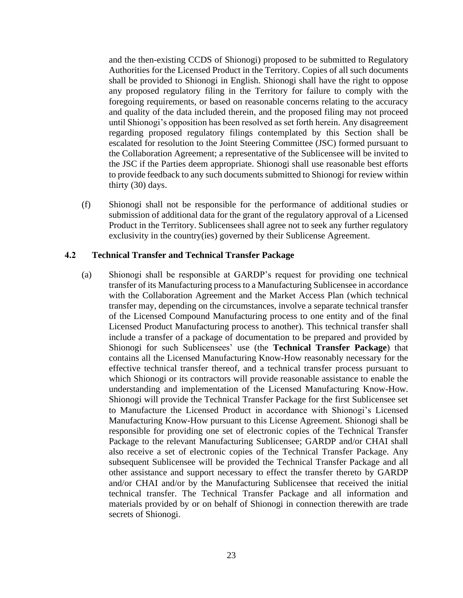and the then-existing CCDS of Shionogi) proposed to be submitted to Regulatory Authorities for the Licensed Product in the Territory. Copies of all such documents shall be provided to Shionogi in English. Shionogi shall have the right to oppose any proposed regulatory filing in the Territory for failure to comply with the foregoing requirements, or based on reasonable concerns relating to the accuracy and quality of the data included therein, and the proposed filing may not proceed until Shionogi's opposition has been resolved as set forth herein. Any disagreement regarding proposed regulatory filings contemplated by this Section shall be escalated for resolution to the Joint Steering Committee (JSC) formed pursuant to the Collaboration Agreement; a representative of the Sublicensee will be invited to the JSC if the Parties deem appropriate. Shionogi shall use reasonable best efforts to provide feedback to any such documents submitted to Shionogi for review within thirty (30) days.

(f) Shionogi shall not be responsible for the performance of additional studies or submission of additional data for the grant of the regulatory approval of a Licensed Product in the Territory. Sublicensees shall agree not to seek any further regulatory exclusivity in the country(ies) governed by their Sublicense Agreement.

#### **4.2 Technical Transfer and Technical Transfer Package**

(a) Shionogi shall be responsible at GARDP's request for providing one technical transfer of its Manufacturing process to a Manufacturing Sublicensee in accordance with the Collaboration Agreement and the Market Access Plan (which technical transfer may, depending on the circumstances, involve a separate technical transfer of the Licensed Compound Manufacturing process to one entity and of the final Licensed Product Manufacturing process to another). This technical transfer shall include a transfer of a package of documentation to be prepared and provided by Shionogi for such Sublicensees' use (the **Technical Transfer Package**) that contains all the Licensed Manufacturing Know-How reasonably necessary for the effective technical transfer thereof, and a technical transfer process pursuant to which Shionogi or its contractors will provide reasonable assistance to enable the understanding and implementation of the Licensed Manufacturing Know-How. Shionogi will provide the Technical Transfer Package for the first Sublicensee set to Manufacture the Licensed Product in accordance with Shionogi's Licensed Manufacturing Know-How pursuant to this License Agreement. Shionogi shall be responsible for providing one set of electronic copies of the Technical Transfer Package to the relevant Manufacturing Sublicensee; GARDP and/or CHAI shall also receive a set of electronic copies of the Technical Transfer Package. Any subsequent Sublicensee will be provided the Technical Transfer Package and all other assistance and support necessary to effect the transfer thereto by GARDP and/or CHAI and/or by the Manufacturing Sublicensee that received the initial technical transfer. The Technical Transfer Package and all information and materials provided by or on behalf of Shionogi in connection therewith are trade secrets of Shionogi.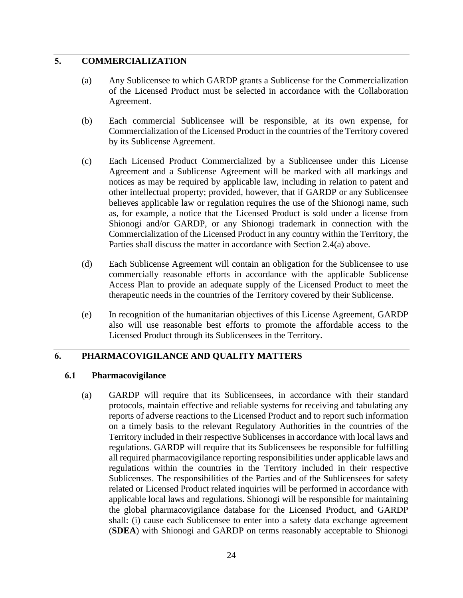#### **5. COMMERCIALIZATION**

- (a) Any Sublicensee to which GARDP grants a Sublicense for the Commercialization of the Licensed Product must be selected in accordance with the Collaboration Agreement.
- (b) Each commercial Sublicensee will be responsible, at its own expense, for Commercialization of the Licensed Product in the countries of the Territory covered by its Sublicense Agreement.
- (c) Each Licensed Product Commercialized by a Sublicensee under this License Agreement and a Sublicense Agreement will be marked with all markings and notices as may be required by applicable law, including in relation to patent and other intellectual property; provided, however, that if GARDP or any Sublicensee believes applicable law or regulation requires the use of the Shionogi name, such as, for example, a notice that the Licensed Product is sold under a license from Shionogi and/or GARDP, or any Shionogi trademark in connection with the Commercialization of the Licensed Product in any country within the Territory, the Parties shall discuss the matter in accordance with Section 2.4(a) above.
- (d) Each Sublicense Agreement will contain an obligation for the Sublicensee to use commercially reasonable efforts in accordance with the applicable Sublicense Access Plan to provide an adequate supply of the Licensed Product to meet the therapeutic needs in the countries of the Territory covered by their Sublicense.
- (e) In recognition of the humanitarian objectives of this License Agreement, GARDP also will use reasonable best efforts to promote the affordable access to the Licensed Product through its Sublicensees in the Territory.

#### **6. PHARMACOVIGILANCE AND QUALITY MATTERS**

#### **6.1 Pharmacovigilance**

(a) GARDP will require that its Sublicensees, in accordance with their standard protocols, maintain effective and reliable systems for receiving and tabulating any reports of adverse reactions to the Licensed Product and to report such information on a timely basis to the relevant Regulatory Authorities in the countries of the Territory included in their respective Sublicenses in accordance with local laws and regulations. GARDP will require that its Sublicensees be responsible for fulfilling all required pharmacovigilance reporting responsibilities under applicable laws and regulations within the countries in the Territory included in their respective Sublicenses. The responsibilities of the Parties and of the Sublicensees for safety related or Licensed Product related inquiries will be performed in accordance with applicable local laws and regulations. Shionogi will be responsible for maintaining the global pharmacovigilance database for the Licensed Product, and GARDP shall: (i) cause each Sublicensee to enter into a safety data exchange agreement (**SDEA**) with Shionogi and GARDP on terms reasonably acceptable to Shionogi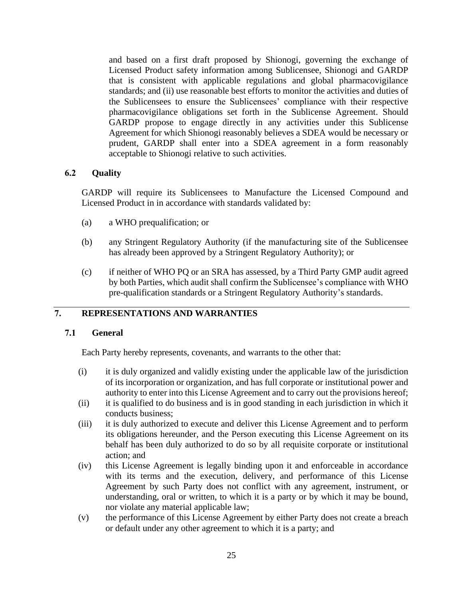and based on a first draft proposed by Shionogi, governing the exchange of Licensed Product safety information among Sublicensee, Shionogi and GARDP that is consistent with applicable regulations and global pharmacovigilance standards; and (ii) use reasonable best efforts to monitor the activities and duties of the Sublicensees to ensure the Sublicensees' compliance with their respective pharmacovigilance obligations set forth in the Sublicense Agreement. Should GARDP propose to engage directly in any activities under this Sublicense Agreement for which Shionogi reasonably believes a SDEA would be necessary or prudent, GARDP shall enter into a SDEA agreement in a form reasonably acceptable to Shionogi relative to such activities.

#### **6.2 Quality**

GARDP will require its Sublicensees to Manufacture the Licensed Compound and Licensed Product in in accordance with standards validated by:

- (a) a WHO prequalification; or
- (b) any Stringent Regulatory Authority (if the manufacturing site of the Sublicensee has already been approved by a Stringent Regulatory Authority); or
- (c) if neither of WHO PQ or an SRA has assessed, by a Third Party GMP audit agreed by both Parties, which audit shall confirm the Sublicensee's compliance with WHO pre-qualification standards or a Stringent Regulatory Authority's standards.

#### **7. REPRESENTATIONS AND WARRANTIES**

#### **7.1 General**

Each Party hereby represents, covenants, and warrants to the other that:

- (i) it is duly organized and validly existing under the applicable law of the jurisdiction of its incorporation or organization, and has full corporate or institutional power and authority to enter into this License Agreement and to carry out the provisions hereof;
- (ii) it is qualified to do business and is in good standing in each jurisdiction in which it conducts business;
- (iii) it is duly authorized to execute and deliver this License Agreement and to perform its obligations hereunder, and the Person executing this License Agreement on its behalf has been duly authorized to do so by all requisite corporate or institutional action; and
- (iv) this License Agreement is legally binding upon it and enforceable in accordance with its terms and the execution, delivery, and performance of this License Agreement by such Party does not conflict with any agreement, instrument, or understanding, oral or written, to which it is a party or by which it may be bound, nor violate any material applicable law;
- (v) the performance of this License Agreement by either Party does not create a breach or default under any other agreement to which it is a party; and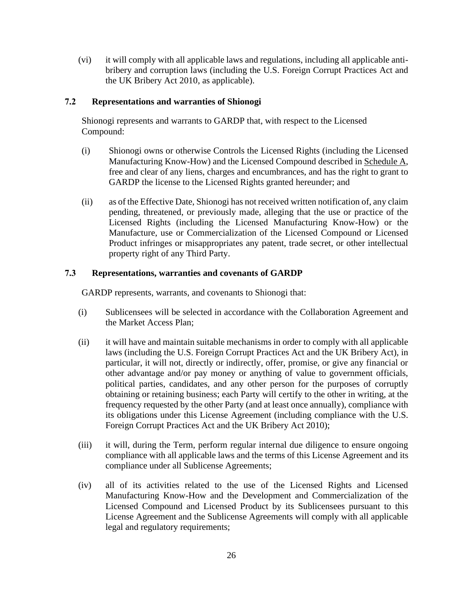(vi) it will comply with all applicable laws and regulations, including all applicable antibribery and corruption laws (including the U.S. Foreign Corrupt Practices Act and the UK Bribery Act 2010, as applicable).

#### **7.2 Representations and warranties of Shionogi**

Shionogi represents and warrants to GARDP that, with respect to the Licensed Compound:

- (i) Shionogi owns or otherwise Controls the Licensed Rights (including the Licensed Manufacturing Know-How) and the Licensed Compound described in Schedule A, free and clear of any liens, charges and encumbrances, and has the right to grant to GARDP the license to the Licensed Rights granted hereunder; and
- (ii) as of the Effective Date, Shionogi has not received written notification of, any claim pending, threatened, or previously made, alleging that the use or practice of the Licensed Rights (including the Licensed Manufacturing Know-How) or the Manufacture, use or Commercialization of the Licensed Compound or Licensed Product infringes or misappropriates any patent, trade secret, or other intellectual property right of any Third Party.

#### **7.3 Representations, warranties and covenants of GARDP**

GARDP represents, warrants, and covenants to Shionogi that:

- (i) Sublicensees will be selected in accordance with the Collaboration Agreement and the Market Access Plan;
- (ii) it will have and maintain suitable mechanisms in order to comply with all applicable laws (including the U.S. Foreign Corrupt Practices Act and the UK Bribery Act), in particular, it will not, directly or indirectly, offer, promise, or give any financial or other advantage and/or pay money or anything of value to government officials, political parties, candidates, and any other person for the purposes of corruptly obtaining or retaining business; each Party will certify to the other in writing, at the frequency requested by the other Party (and at least once annually), compliance with its obligations under this License Agreement (including compliance with the U.S. Foreign Corrupt Practices Act and the UK Bribery Act 2010);
- (iii) it will, during the Term, perform regular internal due diligence to ensure ongoing compliance with all applicable laws and the terms of this License Agreement and its compliance under all Sublicense Agreements;
- (iv) all of its activities related to the use of the Licensed Rights and Licensed Manufacturing Know-How and the Development and Commercialization of the Licensed Compound and Licensed Product by its Sublicensees pursuant to this License Agreement and the Sublicense Agreements will comply with all applicable legal and regulatory requirements;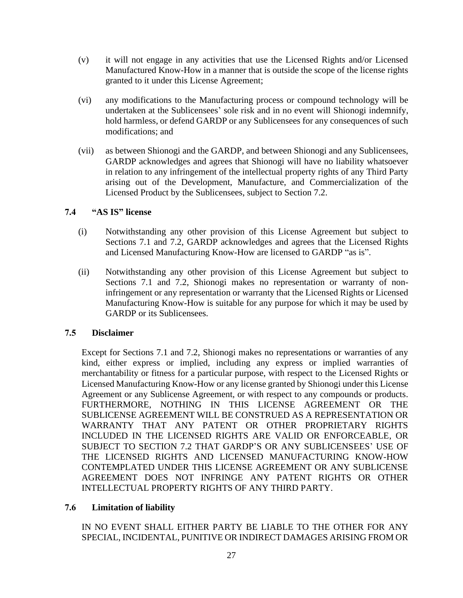- (v) it will not engage in any activities that use the Licensed Rights and/or Licensed Manufactured Know-How in a manner that is outside the scope of the license rights granted to it under this License Agreement;
- (vi) any modifications to the Manufacturing process or compound technology will be undertaken at the Sublicensees' sole risk and in no event will Shionogi indemnify, hold harmless, or defend GARDP or any Sublicensees for any consequences of such modifications; and
- (vii) as between Shionogi and the GARDP, and between Shionogi and any Sublicensees, GARDP acknowledges and agrees that Shionogi will have no liability whatsoever in relation to any infringement of the intellectual property rights of any Third Party arising out of the Development, Manufacture, and Commercialization of the Licensed Product by the Sublicensees, subject to Section 7.2.

#### **7.4 "AS IS" license**

- (i) Notwithstanding any other provision of this License Agreement but subject to Sections 7.1 and 7.2, GARDP acknowledges and agrees that the Licensed Rights and Licensed Manufacturing Know-How are licensed to GARDP "as is".
- (ii) Notwithstanding any other provision of this License Agreement but subject to Sections 7.1 and 7.2, Shionogi makes no representation or warranty of noninfringement or any representation or warranty that the Licensed Rights or Licensed Manufacturing Know-How is suitable for any purpose for which it may be used by GARDP or its Sublicensees.

#### **7.5 Disclaimer**

Except for Sections 7.1 and 7.2, Shionogi makes no representations or warranties of any kind, either express or implied, including any express or implied warranties of merchantability or fitness for a particular purpose, with respect to the Licensed Rights or Licensed Manufacturing Know-How or any license granted by Shionogi under this License Agreement or any Sublicense Agreement, or with respect to any compounds or products. FURTHERMORE, NOTHING IN THIS LICENSE AGREEMENT OR THE SUBLICENSE AGREEMENT WILL BE CONSTRUED AS A REPRESENTATION OR WARRANTY THAT ANY PATENT OR OTHER PROPRIETARY RIGHTS INCLUDED IN THE LICENSED RIGHTS ARE VALID OR ENFORCEABLE, OR SUBJECT TO SECTION 7.2 THAT GARDP'S OR ANY SUBLICENSEES' USE OF THE LICENSED RIGHTS AND LICENSED MANUFACTURING KNOW-HOW CONTEMPLATED UNDER THIS LICENSE AGREEMENT OR ANY SUBLICENSE AGREEMENT DOES NOT INFRINGE ANY PATENT RIGHTS OR OTHER INTELLECTUAL PROPERTY RIGHTS OF ANY THIRD PARTY.

#### **7.6 Limitation of liability**

IN NO EVENT SHALL EITHER PARTY BE LIABLE TO THE OTHER FOR ANY SPECIAL, INCIDENTAL, PUNITIVE OR INDIRECT DAMAGES ARISING FROM OR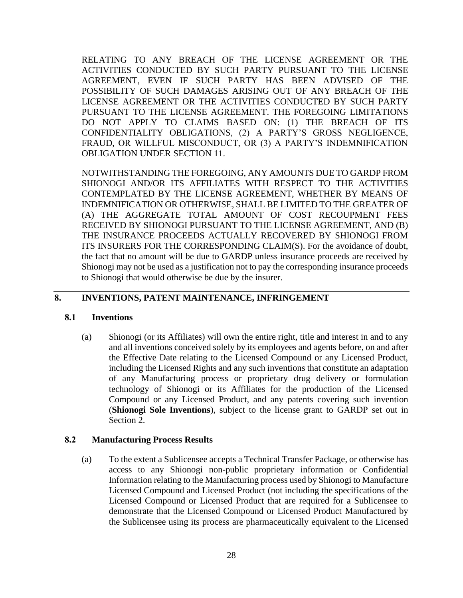RELATING TO ANY BREACH OF THE LICENSE AGREEMENT OR THE ACTIVITIES CONDUCTED BY SUCH PARTY PURSUANT TO THE LICENSE AGREEMENT, EVEN IF SUCH PARTY HAS BEEN ADVISED OF THE POSSIBILITY OF SUCH DAMAGES ARISING OUT OF ANY BREACH OF THE LICENSE AGREEMENT OR THE ACTIVITIES CONDUCTED BY SUCH PARTY PURSUANT TO THE LICENSE AGREEMENT. THE FOREGOING LIMITATIONS DO NOT APPLY TO CLAIMS BASED ON: (1) THE BREACH OF ITS CONFIDENTIALITY OBLIGATIONS, (2) A PARTY'S GROSS NEGLIGENCE, FRAUD, OR WILLFUL MISCONDUCT, OR (3) A PARTY'S INDEMNIFICATION OBLIGATION UNDER SECTION 11.

NOTWITHSTANDING THE FOREGOING, ANY AMOUNTS DUE TO GARDP FROM SHIONOGI AND/OR ITS AFFILIATES WITH RESPECT TO THE ACTIVITIES CONTEMPLATED BY THE LICENSE AGREEMENT, WHETHER BY MEANS OF INDEMNIFICATION OR OTHERWISE, SHALL BE LIMITED TO THE GREATER OF (A) THE AGGREGATE TOTAL AMOUNT OF COST RECOUPMENT FEES RECEIVED BY SHIONOGI PURSUANT TO THE LICENSE AGREEMENT, AND (B) THE INSURANCE PROCEEDS ACTUALLY RECOVERED BY SHIONOGI FROM ITS INSURERS FOR THE CORRESPONDING CLAIM(S). For the avoidance of doubt, the fact that no amount will be due to GARDP unless insurance proceeds are received by Shionogi may not be used as a justification not to pay the corresponding insurance proceeds to Shionogi that would otherwise be due by the insurer.

#### **8. INVENTIONS, PATENT MAINTENANCE, INFRINGEMENT**

#### **8.1 Inventions**

(a) Shionogi (or its Affiliates) will own the entire right, title and interest in and to any and all inventions conceived solely by its employees and agents before, on and after the Effective Date relating to the Licensed Compound or any Licensed Product, including the Licensed Rights and any such inventions that constitute an adaptation of any Manufacturing process or proprietary drug delivery or formulation technology of Shionogi or its Affiliates for the production of the Licensed Compound or any Licensed Product, and any patents covering such invention (**Shionogi Sole Inventions**), subject to the license grant to GARDP set out in Section 2.

#### **8.2 Manufacturing Process Results**

(a) To the extent a Sublicensee accepts a Technical Transfer Package, or otherwise has access to any Shionogi non-public proprietary information or Confidential Information relating to the Manufacturing process used by Shionogi to Manufacture Licensed Compound and Licensed Product (not including the specifications of the Licensed Compound or Licensed Product that are required for a Sublicensee to demonstrate that the Licensed Compound or Licensed Product Manufactured by the Sublicensee using its process are pharmaceutically equivalent to the Licensed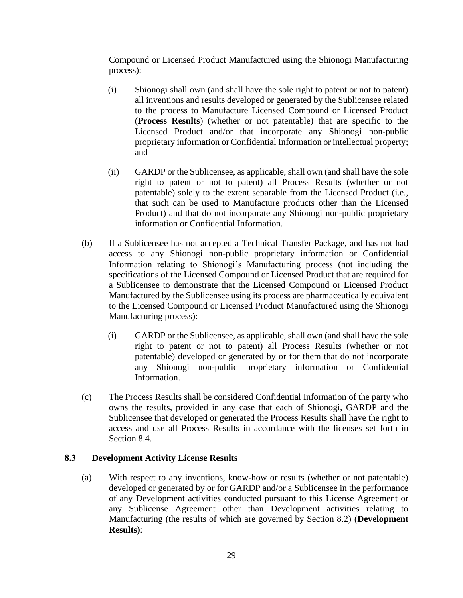Compound or Licensed Product Manufactured using the Shionogi Manufacturing process):

- (i) Shionogi shall own (and shall have the sole right to patent or not to patent) all inventions and results developed or generated by the Sublicensee related to the process to Manufacture Licensed Compound or Licensed Product (**Process Results**) (whether or not patentable) that are specific to the Licensed Product and/or that incorporate any Shionogi non-public proprietary information or Confidential Information or intellectual property; and
- (ii) GARDP or the Sublicensee, as applicable, shall own (and shall have the sole right to patent or not to patent) all Process Results (whether or not patentable) solely to the extent separable from the Licensed Product (i.e., that such can be used to Manufacture products other than the Licensed Product) and that do not incorporate any Shionogi non-public proprietary information or Confidential Information.
- (b) If a Sublicensee has not accepted a Technical Transfer Package, and has not had access to any Shionogi non-public proprietary information or Confidential Information relating to Shionogi's Manufacturing process (not including the specifications of the Licensed Compound or Licensed Product that are required for a Sublicensee to demonstrate that the Licensed Compound or Licensed Product Manufactured by the Sublicensee using its process are pharmaceutically equivalent to the Licensed Compound or Licensed Product Manufactured using the Shionogi Manufacturing process):
	- (i) GARDP or the Sublicensee, as applicable, shall own (and shall have the sole right to patent or not to patent) all Process Results (whether or not patentable) developed or generated by or for them that do not incorporate any Shionogi non-public proprietary information or Confidential Information.
- (c) The Process Results shall be considered Confidential Information of the party who owns the results, provided in any case that each of Shionogi, GARDP and the Sublicensee that developed or generated the Process Results shall have the right to access and use all Process Results in accordance with the licenses set forth in Section 8.4.

#### **8.3 Development Activity License Results**

(a) With respect to any inventions, know-how or results (whether or not patentable) developed or generated by or for GARDP and/or a Sublicensee in the performance of any Development activities conducted pursuant to this License Agreement or any Sublicense Agreement other than Development activities relating to Manufacturing (the results of which are governed by Section 8.2) (**Development Results)**: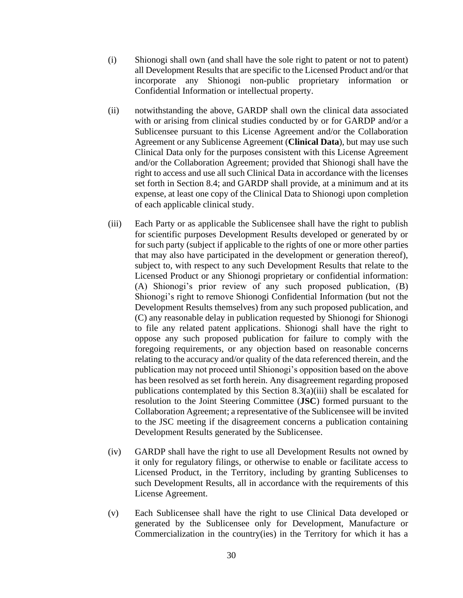- (i) Shionogi shall own (and shall have the sole right to patent or not to patent) all Development Results that are specific to the Licensed Product and/or that incorporate any Shionogi non-public proprietary information or Confidential Information or intellectual property.
- (ii) notwithstanding the above, GARDP shall own the clinical data associated with or arising from clinical studies conducted by or for GARDP and/or a Sublicensee pursuant to this License Agreement and/or the Collaboration Agreement or any Sublicense Agreement (**Clinical Data**), but may use such Clinical Data only for the purposes consistent with this License Agreement and/or the Collaboration Agreement; provided that Shionogi shall have the right to access and use all such Clinical Data in accordance with the licenses set forth in Section 8.4; and GARDP shall provide, at a minimum and at its expense, at least one copy of the Clinical Data to Shionogi upon completion of each applicable clinical study.
- (iii) Each Party or as applicable the Sublicensee shall have the right to publish for scientific purposes Development Results developed or generated by or for such party (subject if applicable to the rights of one or more other parties that may also have participated in the development or generation thereof), subject to, with respect to any such Development Results that relate to the Licensed Product or any Shionogi proprietary or confidential information: (A) Shionogi's prior review of any such proposed publication, (B) Shionogi's right to remove Shionogi Confidential Information (but not the Development Results themselves) from any such proposed publication, and (C) any reasonable delay in publication requested by Shionogi for Shionogi to file any related patent applications. Shionogi shall have the right to oppose any such proposed publication for failure to comply with the foregoing requirements, or any objection based on reasonable concerns relating to the accuracy and/or quality of the data referenced therein, and the publication may not proceed until Shionogi's opposition based on the above has been resolved as set forth herein. Any disagreement regarding proposed publications contemplated by this Section 8.3(a)(iii) shall be escalated for resolution to the Joint Steering Committee (**JSC**) formed pursuant to the Collaboration Agreement; a representative of the Sublicensee will be invited to the JSC meeting if the disagreement concerns a publication containing Development Results generated by the Sublicensee.
- (iv) GARDP shall have the right to use all Development Results not owned by it only for regulatory filings, or otherwise to enable or facilitate access to Licensed Product, in the Territory, including by granting Sublicenses to such Development Results, all in accordance with the requirements of this License Agreement.
- (v) Each Sublicensee shall have the right to use Clinical Data developed or generated by the Sublicensee only for Development, Manufacture or Commercialization in the country(ies) in the Territory for which it has a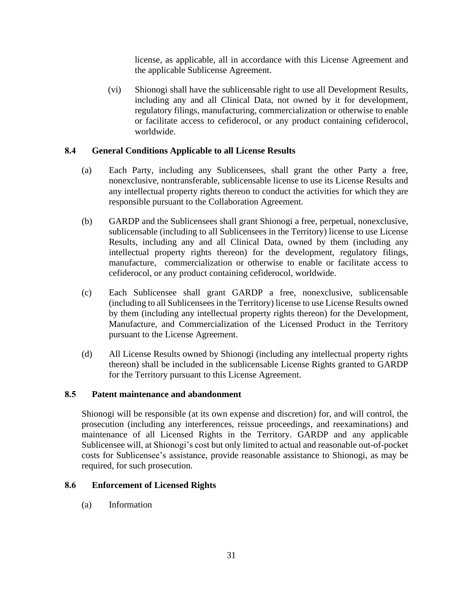license, as applicable, all in accordance with this License Agreement and the applicable Sublicense Agreement.

(vi) Shionogi shall have the sublicensable right to use all Development Results, including any and all Clinical Data, not owned by it for development, regulatory filings, manufacturing, commercialization or otherwise to enable or facilitate access to cefiderocol, or any product containing cefiderocol, worldwide.

#### **8.4 General Conditions Applicable to all License Results**

- (a) Each Party, including any Sublicensees, shall grant the other Party a free, nonexclusive, nontransferable, sublicensable license to use its License Results and any intellectual property rights thereon to conduct the activities for which they are responsible pursuant to the Collaboration Agreement.
- (b) GARDP and the Sublicensees shall grant Shionogi a free, perpetual, nonexclusive, sublicensable (including to all Sublicensees in the Territory) license to use License Results, including any and all Clinical Data, owned by them (including any intellectual property rights thereon) for the development, regulatory filings, manufacture, commercialization or otherwise to enable or facilitate access to cefiderocol, or any product containing cefiderocol, worldwide.
- (c) Each Sublicensee shall grant GARDP a free, nonexclusive, sublicensable (including to all Sublicensees in the Territory) license to use License Results owned by them (including any intellectual property rights thereon) for the Development, Manufacture, and Commercialization of the Licensed Product in the Territory pursuant to the License Agreement.
- (d) All License Results owned by Shionogi (including any intellectual property rights thereon) shall be included in the sublicensable License Rights granted to GARDP for the Territory pursuant to this License Agreement.

#### **8.5 Patent maintenance and abandonment**

Shionogi will be responsible (at its own expense and discretion) for, and will control, the prosecution (including any interferences, reissue proceedings, and reexaminations) and maintenance of all Licensed Rights in the Territory. GARDP and any applicable Sublicensee will, at Shionogi's cost but only limited to actual and reasonable out-of-pocket costs for Sublicensee's assistance, provide reasonable assistance to Shionogi, as may be required, for such prosecution.

#### **8.6 Enforcement of Licensed Rights**

(a) Information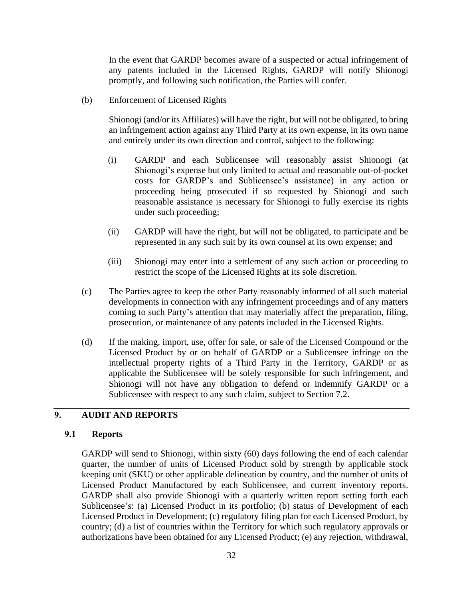In the event that GARDP becomes aware of a suspected or actual infringement of any patents included in the Licensed Rights, GARDP will notify Shionogi promptly, and following such notification, the Parties will confer.

(b) Enforcement of Licensed Rights

Shionogi (and/or its Affiliates) will have the right, but will not be obligated, to bring an infringement action against any Third Party at its own expense, in its own name and entirely under its own direction and control, subject to the following:

- (i) GARDP and each Sublicensee will reasonably assist Shionogi (at Shionogi's expense but only limited to actual and reasonable out-of-pocket costs for GARDP's and Sublicensee's assistance) in any action or proceeding being prosecuted if so requested by Shionogi and such reasonable assistance is necessary for Shionogi to fully exercise its rights under such proceeding;
- (ii) GARDP will have the right, but will not be obligated, to participate and be represented in any such suit by its own counsel at its own expense; and
- (iii) Shionogi may enter into a settlement of any such action or proceeding to restrict the scope of the Licensed Rights at its sole discretion.
- (c) The Parties agree to keep the other Party reasonably informed of all such material developments in connection with any infringement proceedings and of any matters coming to such Party's attention that may materially affect the preparation, filing, prosecution, or maintenance of any patents included in the Licensed Rights.
- (d) If the making, import, use, offer for sale, or sale of the Licensed Compound or the Licensed Product by or on behalf of GARDP or a Sublicensee infringe on the intellectual property rights of a Third Party in the Territory, GARDP or as applicable the Sublicensee will be solely responsible for such infringement, and Shionogi will not have any obligation to defend or indemnify GARDP or a Sublicensee with respect to any such claim, subject to Section 7.2.

#### **9. AUDIT AND REPORTS**

#### **9.1 Reports**

GARDP will send to Shionogi, within sixty (60) days following the end of each calendar quarter, the number of units of Licensed Product sold by strength by applicable stock keeping unit (SKU) or other applicable delineation by country, and the number of units of Licensed Product Manufactured by each Sublicensee, and current inventory reports. GARDP shall also provide Shionogi with a quarterly written report setting forth each Sublicensee's: (a) Licensed Product in its portfolio; (b) status of Development of each Licensed Product in Development; (c) regulatory filing plan for each Licensed Product, by country; (d) a list of countries within the Territory for which such regulatory approvals or authorizations have been obtained for any Licensed Product; (e) any rejection, withdrawal,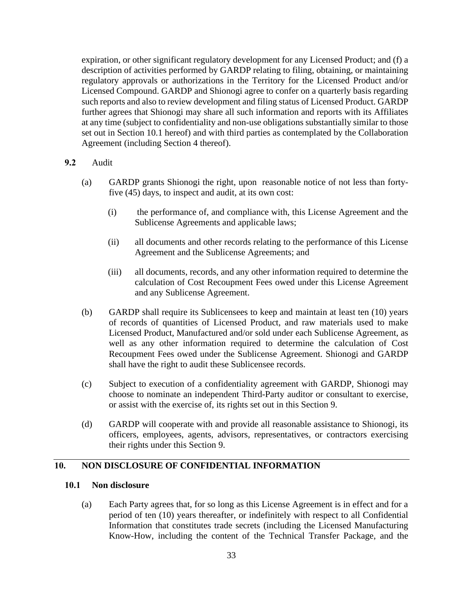expiration, or other significant regulatory development for any Licensed Product; and (f) a description of activities performed by GARDP relating to filing, obtaining, or maintaining regulatory approvals or authorizations in the Territory for the Licensed Product and/or Licensed Compound. GARDP and Shionogi agree to confer on a quarterly basis regarding such reports and also to review development and filing status of Licensed Product. GARDP further agrees that Shionogi may share all such information and reports with its Affiliates at any time (subject to confidentiality and non-use obligations substantially similar to those set out in Section 10.1 hereof) and with third parties as contemplated by the Collaboration Agreement (including Section 4 thereof).

#### **9.2** Audit

- (a) GARDP grants Shionogi the right, upon reasonable notice of not less than fortyfive (45) days, to inspect and audit, at its own cost:
	- (i) the performance of, and compliance with, this License Agreement and the Sublicense Agreements and applicable laws;
	- (ii) all documents and other records relating to the performance of this License Agreement and the Sublicense Agreements; and
	- (iii) all documents, records, and any other information required to determine the calculation of Cost Recoupment Fees owed under this License Agreement and any Sublicense Agreement.
- (b) GARDP shall require its Sublicensees to keep and maintain at least ten (10) years of records of quantities of Licensed Product, and raw materials used to make Licensed Product, Manufactured and/or sold under each Sublicense Agreement, as well as any other information required to determine the calculation of Cost Recoupment Fees owed under the Sublicense Agreement. Shionogi and GARDP shall have the right to audit these Sublicensee records.
- (c) Subject to execution of a confidentiality agreement with GARDP, Shionogi may choose to nominate an independent Third-Party auditor or consultant to exercise, or assist with the exercise of, its rights set out in this Section 9.
- (d) GARDP will cooperate with and provide all reasonable assistance to Shionogi, its officers, employees, agents, advisors, representatives, or contractors exercising their rights under this Section 9.

#### **10. NON DISCLOSURE OF CONFIDENTIAL INFORMATION**

#### **10.1 Non disclosure**

(a) Each Party agrees that, for so long as this License Agreement is in effect and for a period of ten (10) years thereafter, or indefinitely with respect to all Confidential Information that constitutes trade secrets (including the Licensed Manufacturing Know-How, including the content of the Technical Transfer Package, and the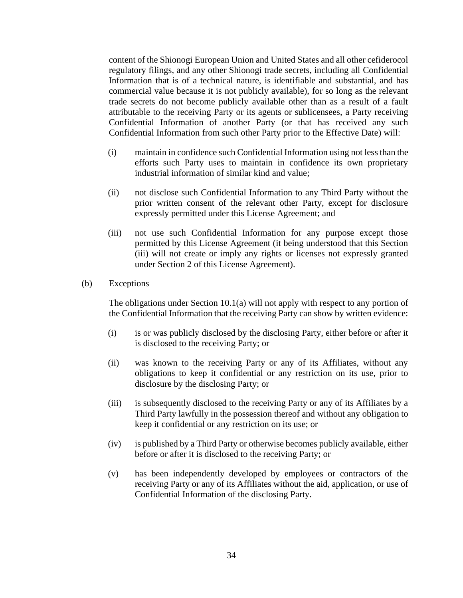content of the Shionogi European Union and United States and all other cefiderocol regulatory filings, and any other Shionogi trade secrets, including all Confidential Information that is of a technical nature, is identifiable and substantial, and has commercial value because it is not publicly available), for so long as the relevant trade secrets do not become publicly available other than as a result of a fault attributable to the receiving Party or its agents or sublicensees, a Party receiving Confidential Information of another Party (or that has received any such Confidential Information from such other Party prior to the Effective Date) will:

- (i) maintain in confidence such Confidential Information using not less than the efforts such Party uses to maintain in confidence its own proprietary industrial information of similar kind and value;
- (ii) not disclose such Confidential Information to any Third Party without the prior written consent of the relevant other Party, except for disclosure expressly permitted under this License Agreement; and
- (iii) not use such Confidential Information for any purpose except those permitted by this License Agreement (it being understood that this Section (iii) will not create or imply any rights or licenses not expressly granted under Section 2 of this License Agreement).

#### (b) Exceptions

The obligations under Section 10.1(a) will not apply with respect to any portion of the Confidential Information that the receiving Party can show by written evidence:

- (i) is or was publicly disclosed by the disclosing Party, either before or after it is disclosed to the receiving Party; or
- (ii) was known to the receiving Party or any of its Affiliates, without any obligations to keep it confidential or any restriction on its use, prior to disclosure by the disclosing Party; or
- (iii) is subsequently disclosed to the receiving Party or any of its Affiliates by a Third Party lawfully in the possession thereof and without any obligation to keep it confidential or any restriction on its use; or
- (iv) is published by a Third Party or otherwise becomes publicly available, either before or after it is disclosed to the receiving Party; or
- (v) has been independently developed by employees or contractors of the receiving Party or any of its Affiliates without the aid, application, or use of Confidential Information of the disclosing Party.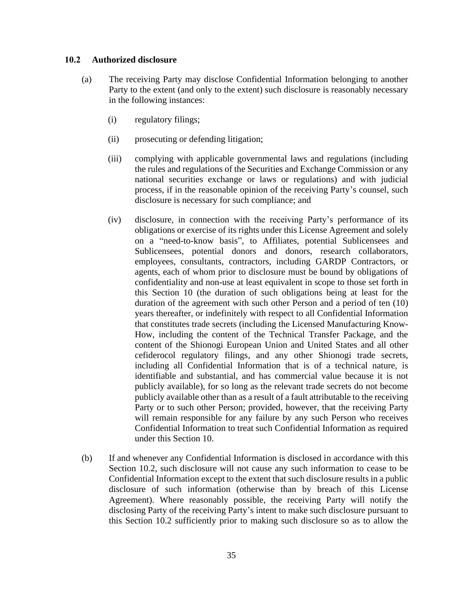#### **10.2 Authorized disclosure**

- (a) The receiving Party may disclose Confidential Information belonging to another Party to the extent (and only to the extent) such disclosure is reasonably necessary in the following instances:
	- (i) regulatory filings;
	- (ii) prosecuting or defending litigation;
	- (iii) complying with applicable governmental laws and regulations (including the rules and regulations of the Securities and Exchange Commission or any national securities exchange or laws or regulations) and with judicial process, if in the reasonable opinion of the receiving Party's counsel, such disclosure is necessary for such compliance; and
	- (iv) disclosure, in connection with the receiving Party's performance of its obligations or exercise of its rights under this License Agreement and solely on a "need-to-know basis", to Affiliates, potential Sublicensees and Sublicensees, potential donors and donors, research collaborators, employees, consultants, contractors, including GARDP Contractors, or agents, each of whom prior to disclosure must be bound by obligations of confidentiality and non-use at least equivalent in scope to those set forth in this Section 10 (the duration of such obligations being at least for the duration of the agreement with such other Person and a period of ten (10) years thereafter, or indefinitely with respect to all Confidential Information that constitutes trade secrets (including the Licensed Manufacturing Know-How, including the content of the Technical Transfer Package, and the content of the Shionogi European Union and United States and all other cefiderocol regulatory filings, and any other Shionogi trade secrets, including all Confidential Information that is of a technical nature, is identifiable and substantial, and has commercial value because it is not publicly available), for so long as the relevant trade secrets do not become publicly available other than as a result of a fault attributable to the receiving Party or to such other Person; provided, however, that the receiving Party will remain responsible for any failure by any such Person who receives Confidential Information to treat such Confidential Information as required under this Section 10.
- (b) If and whenever any Confidential Information is disclosed in accordance with this Section 10.2, such disclosure will not cause any such information to cease to be Confidential Information except to the extent that such disclosure results in a public disclosure of such information (otherwise than by breach of this License Agreement). Where reasonably possible, the receiving Party will notify the disclosing Party of the receiving Party's intent to make such disclosure pursuant to this Section 10.2 sufficiently prior to making such disclosure so as to allow the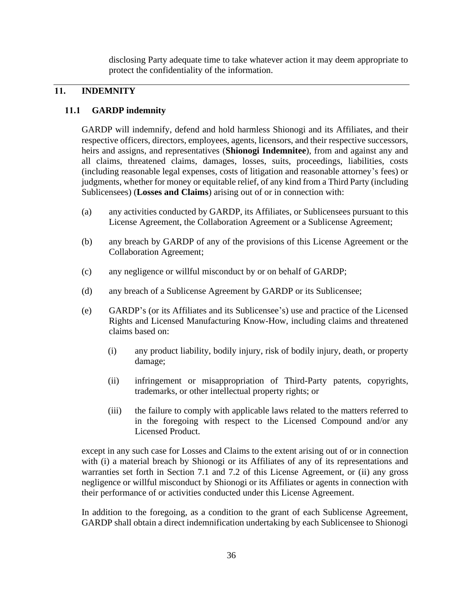disclosing Party adequate time to take whatever action it may deem appropriate to protect the confidentiality of the information.

#### **11. INDEMNITY**

#### **11.1 GARDP indemnity**

GARDP will indemnify, defend and hold harmless Shionogi and its Affiliates, and their respective officers, directors, employees, agents, licensors, and their respective successors, heirs and assigns, and representatives (**Shionogi Indemnitee**), from and against any and all claims, threatened claims, damages, losses, suits, proceedings, liabilities, costs (including reasonable legal expenses, costs of litigation and reasonable attorney's fees) or judgments, whether for money or equitable relief, of any kind from a Third Party (including Sublicensees) (**Losses and Claims**) arising out of or in connection with:

- (a) any activities conducted by GARDP, its Affiliates, or Sublicensees pursuant to this License Agreement, the Collaboration Agreement or a Sublicense Agreement;
- (b) any breach by GARDP of any of the provisions of this License Agreement or the Collaboration Agreement;
- (c) any negligence or willful misconduct by or on behalf of GARDP;
- (d) any breach of a Sublicense Agreement by GARDP or its Sublicensee;
- (e) GARDP's (or its Affiliates and its Sublicensee's) use and practice of the Licensed Rights and Licensed Manufacturing Know-How, including claims and threatened claims based on:
	- (i) any product liability, bodily injury, risk of bodily injury, death, or property damage;
	- (ii) infringement or misappropriation of Third-Party patents, copyrights, trademarks, or other intellectual property rights; or
	- (iii) the failure to comply with applicable laws related to the matters referred to in the foregoing with respect to the Licensed Compound and/or any Licensed Product.

except in any such case for Losses and Claims to the extent arising out of or in connection with (i) a material breach by Shionogi or its Affiliates of any of its representations and warranties set forth in Section 7.1 and 7.2 of this License Agreement, or (ii) any gross negligence or willful misconduct by Shionogi or its Affiliates or agents in connection with their performance of or activities conducted under this License Agreement.

In addition to the foregoing, as a condition to the grant of each Sublicense Agreement, GARDP shall obtain a direct indemnification undertaking by each Sublicensee to Shionogi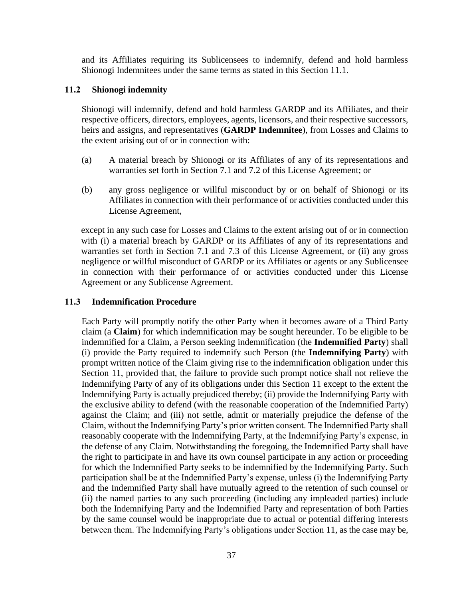and its Affiliates requiring its Sublicensees to indemnify, defend and hold harmless Shionogi Indemnitees under the same terms as stated in this Section 11.1.

#### **11.2 Shionogi indemnity**

Shionogi will indemnify, defend and hold harmless GARDP and its Affiliates, and their respective officers, directors, employees, agents, licensors, and their respective successors, heirs and assigns, and representatives (**GARDP Indemnitee**), from Losses and Claims to the extent arising out of or in connection with:

- (a) A material breach by Shionogi or its Affiliates of any of its representations and warranties set forth in Section 7.1 and 7.2 of this License Agreement; or
- (b) any gross negligence or willful misconduct by or on behalf of Shionogi or its Affiliates in connection with their performance of or activities conducted under this License Agreement,

except in any such case for Losses and Claims to the extent arising out of or in connection with (i) a material breach by GARDP or its Affiliates of any of its representations and warranties set forth in Section 7.1 and 7.3 of this License Agreement, or (ii) any gross negligence or willful misconduct of GARDP or its Affiliates or agents or any Sublicensee in connection with their performance of or activities conducted under this License Agreement or any Sublicense Agreement.

#### **11.3 Indemnification Procedure**

Each Party will promptly notify the other Party when it becomes aware of a Third Party claim (a **Claim**) for which indemnification may be sought hereunder. To be eligible to be indemnified for a Claim, a Person seeking indemnification (the **Indemnified Party**) shall (i) provide the Party required to indemnify such Person (the **Indemnifying Party**) with prompt written notice of the Claim giving rise to the indemnification obligation under this Section 11, provided that, the failure to provide such prompt notice shall not relieve the Indemnifying Party of any of its obligations under this Section 11 except to the extent the Indemnifying Party is actually prejudiced thereby; (ii) provide the Indemnifying Party with the exclusive ability to defend (with the reasonable cooperation of the Indemnified Party) against the Claim; and (iii) not settle, admit or materially prejudice the defense of the Claim, without the Indemnifying Party's prior written consent. The Indemnified Party shall reasonably cooperate with the Indemnifying Party, at the Indemnifying Party's expense, in the defense of any Claim. Notwithstanding the foregoing, the Indemnified Party shall have the right to participate in and have its own counsel participate in any action or proceeding for which the Indemnified Party seeks to be indemnified by the Indemnifying Party. Such participation shall be at the Indemnified Party's expense, unless (i) the Indemnifying Party and the Indemnified Party shall have mutually agreed to the retention of such counsel or (ii) the named parties to any such proceeding (including any impleaded parties) include both the Indemnifying Party and the Indemnified Party and representation of both Parties by the same counsel would be inappropriate due to actual or potential differing interests between them. The Indemnifying Party's obligations under Section 11, as the case may be,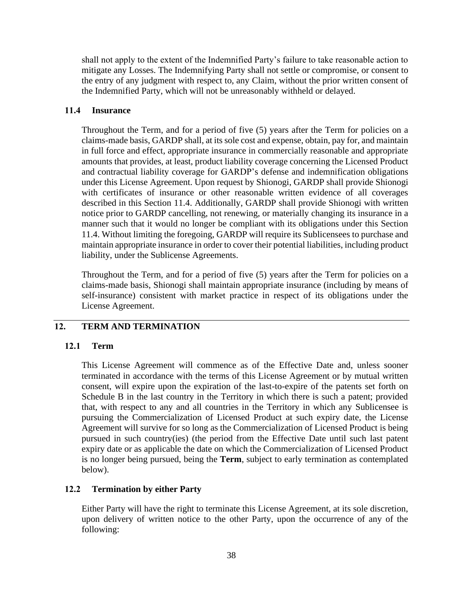shall not apply to the extent of the Indemnified Party's failure to take reasonable action to mitigate any Losses. The Indemnifying Party shall not settle or compromise, or consent to the entry of any judgment with respect to, any Claim, without the prior written consent of the Indemnified Party, which will not be unreasonably withheld or delayed.

#### **11.4 Insurance**

Throughout the Term, and for a period of five (5) years after the Term for policies on a claims-made basis, GARDP shall, at its sole cost and expense, obtain, pay for, and maintain in full force and effect, appropriate insurance in commercially reasonable and appropriate amounts that provides, at least, product liability coverage concerning the Licensed Product and contractual liability coverage for GARDP's defense and indemnification obligations under this License Agreement. Upon request by Shionogi, GARDP shall provide Shionogi with certificates of insurance or other reasonable written evidence of all coverages described in this Section 11.4. Additionally, GARDP shall provide Shionogi with written notice prior to GARDP cancelling, not renewing, or materially changing its insurance in a manner such that it would no longer be compliant with its obligations under this Section 11.4. Without limiting the foregoing, GARDP will require its Sublicensees to purchase and maintain appropriate insurance in order to cover their potential liabilities, including product liability, under the Sublicense Agreements.

Throughout the Term, and for a period of five (5) years after the Term for policies on a claims-made basis, Shionogi shall maintain appropriate insurance (including by means of self-insurance) consistent with market practice in respect of its obligations under the License Agreement.

#### **12. TERM AND TERMINATION**

#### **12.1 Term**

This License Agreement will commence as of the Effective Date and, unless sooner terminated in accordance with the terms of this License Agreement or by mutual written consent, will expire upon the expiration of the last-to-expire of the patents set forth on Schedule B in the last country in the Territory in which there is such a patent; provided that, with respect to any and all countries in the Territory in which any Sublicensee is pursuing the Commercialization of Licensed Product at such expiry date, the License Agreement will survive for so long as the Commercialization of Licensed Product is being pursued in such country(ies) (the period from the Effective Date until such last patent expiry date or as applicable the date on which the Commercialization of Licensed Product is no longer being pursued, being the **Term**, subject to early termination as contemplated below).

#### **12.2 Termination by either Party**

Either Party will have the right to terminate this License Agreement, at its sole discretion, upon delivery of written notice to the other Party, upon the occurrence of any of the following: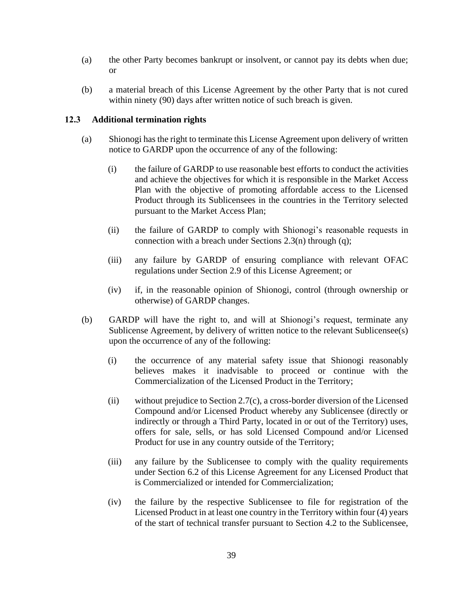- (a) the other Party becomes bankrupt or insolvent, or cannot pay its debts when due; or
- (b) a material breach of this License Agreement by the other Party that is not cured within ninety (90) days after written notice of such breach is given.

#### **12.3 Additional termination rights**

- (a) Shionogi has the right to terminate this License Agreement upon delivery of written notice to GARDP upon the occurrence of any of the following:
	- (i) the failure of GARDP to use reasonable best efforts to conduct the activities and achieve the objectives for which it is responsible in the Market Access Plan with the objective of promoting affordable access to the Licensed Product through its Sublicensees in the countries in the Territory selected pursuant to the Market Access Plan;
	- (ii) the failure of GARDP to comply with Shionogi's reasonable requests in connection with a breach under Sections 2.3(n) through (q);
	- (iii) any failure by GARDP of ensuring compliance with relevant OFAC regulations under Section 2.9 of this License Agreement; or
	- (iv) if, in the reasonable opinion of Shionogi, control (through ownership or otherwise) of GARDP changes.
- (b) GARDP will have the right to, and will at Shionogi's request, terminate any Sublicense Agreement, by delivery of written notice to the relevant Sublicensee(s) upon the occurrence of any of the following:
	- (i) the occurrence of any material safety issue that Shionogi reasonably believes makes it inadvisable to proceed or continue with the Commercialization of the Licensed Product in the Territory;
	- (ii) without prejudice to Section 2.7(c), a cross-border diversion of the Licensed Compound and/or Licensed Product whereby any Sublicensee (directly or indirectly or through a Third Party, located in or out of the Territory) uses, offers for sale, sells, or has sold Licensed Compound and/or Licensed Product for use in any country outside of the Territory;
	- (iii) any failure by the Sublicensee to comply with the quality requirements under Section 6.2 of this License Agreement for any Licensed Product that is Commercialized or intended for Commercialization;
	- (iv) the failure by the respective Sublicensee to file for registration of the Licensed Product in at least one country in the Territory within four (4) years of the start of technical transfer pursuant to Section 4.2 to the Sublicensee,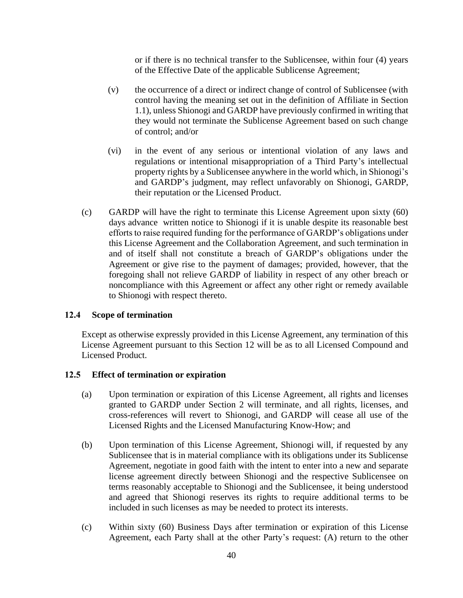or if there is no technical transfer to the Sublicensee, within four (4) years of the Effective Date of the applicable Sublicense Agreement;

- (v) the occurrence of a direct or indirect change of control of Sublicensee (with control having the meaning set out in the definition of Affiliate in Section 1.1), unless Shionogi and GARDP have previously confirmed in writing that they would not terminate the Sublicense Agreement based on such change of control; and/or
- (vi) in the event of any serious or intentional violation of any laws and regulations or intentional misappropriation of a Third Party's intellectual property rights by a Sublicensee anywhere in the world which, in Shionogi's and GARDP's judgment, may reflect unfavorably on Shionogi, GARDP, their reputation or the Licensed Product.
- (c) GARDP will have the right to terminate this License Agreement upon sixty (60) days advance written notice to Shionogi if it is unable despite its reasonable best efforts to raise required funding for the performance of GARDP's obligations under this License Agreement and the Collaboration Agreement, and such termination in and of itself shall not constitute a breach of GARDP's obligations under the Agreement or give rise to the payment of damages; provided, however, that the foregoing shall not relieve GARDP of liability in respect of any other breach or noncompliance with this Agreement or affect any other right or remedy available to Shionogi with respect thereto.

#### **12.4 Scope of termination**

Except as otherwise expressly provided in this License Agreement, any termination of this License Agreement pursuant to this Section 12 will be as to all Licensed Compound and Licensed Product.

#### **12.5 Effect of termination or expiration**

- (a) Upon termination or expiration of this License Agreement, all rights and licenses granted to GARDP under Section 2 will terminate, and all rights, licenses, and cross-references will revert to Shionogi, and GARDP will cease all use of the Licensed Rights and the Licensed Manufacturing Know-How; and
- (b) Upon termination of this License Agreement, Shionogi will, if requested by any Sublicensee that is in material compliance with its obligations under its Sublicense Agreement, negotiate in good faith with the intent to enter into a new and separate license agreement directly between Shionogi and the respective Sublicensee on terms reasonably acceptable to Shionogi and the Sublicensee, it being understood and agreed that Shionogi reserves its rights to require additional terms to be included in such licenses as may be needed to protect its interests.
- (c) Within sixty (60) Business Days after termination or expiration of this License Agreement, each Party shall at the other Party's request: (A) return to the other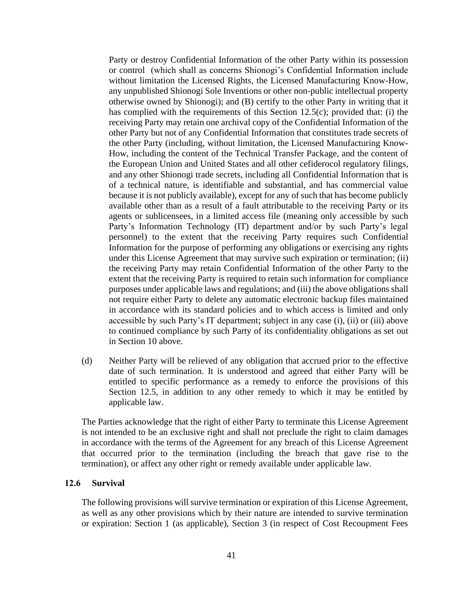Party or destroy Confidential Information of the other Party within its possession or control (which shall as concerns Shionogi's Confidential Information include without limitation the Licensed Rights, the Licensed Manufacturing Know-How, any unpublished Shionogi Sole Inventions or other non-public intellectual property otherwise owned by Shionogi); and (B) certify to the other Party in writing that it has complied with the requirements of this Section 12.5(c); provided that: (i) the receiving Party may retain one archival copy of the Confidential Information of the other Party but not of any Confidential Information that constitutes trade secrets of the other Party (including, without limitation, the Licensed Manufacturing Know-How, including the content of the Technical Transfer Package, and the content of the European Union and United States and all other cefiderocol regulatory filings, and any other Shionogi trade secrets, including all Confidential Information that is of a technical nature, is identifiable and substantial, and has commercial value because it is not publicly available), except for any of such that has become publicly available other than as a result of a fault attributable to the receiving Party or its agents or sublicensees, in a limited access file (meaning only accessible by such Party's Information Technology (IT) department and/or by such Party's legal personnel) to the extent that the receiving Party requires such Confidential Information for the purpose of performing any obligations or exercising any rights under this License Agreement that may survive such expiration or termination; (ii) the receiving Party may retain Confidential Information of the other Party to the extent that the receiving Party is required to retain such information for compliance purposes under applicable laws and regulations; and (iii) the above obligations shall not require either Party to delete any automatic electronic backup files maintained in accordance with its standard policies and to which access is limited and only accessible by such Party's IT department; subject in any case (i), (ii) or (iii) above to continued compliance by such Party of its confidentiality obligations as set out in Section 10 above.

(d) Neither Party will be relieved of any obligation that accrued prior to the effective date of such termination. It is understood and agreed that either Party will be entitled to specific performance as a remedy to enforce the provisions of this Section 12.5, in addition to any other remedy to which it may be entitled by applicable law.

The Parties acknowledge that the right of either Party to terminate this License Agreement is not intended to be an exclusive right and shall not preclude the right to claim damages in accordance with the terms of the Agreement for any breach of this License Agreement that occurred prior to the termination (including the breach that gave rise to the termination), or affect any other right or remedy available under applicable law.

#### **12.6 Survival**

The following provisions will survive termination or expiration of this License Agreement, as well as any other provisions which by their nature are intended to survive termination or expiration: Section 1 (as applicable), Section 3 (in respect of Cost Recoupment Fees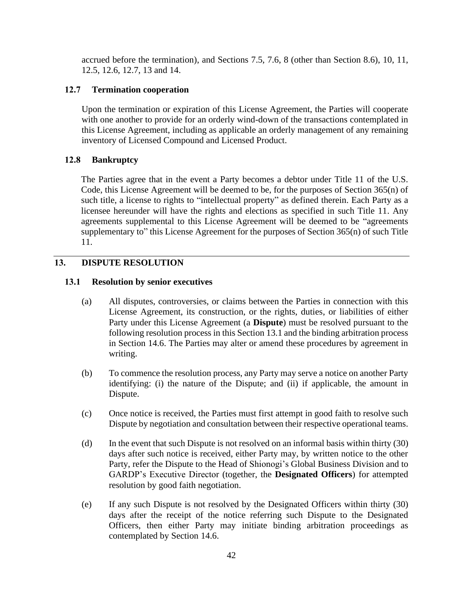accrued before the termination), and Sections 7.5, 7.6, 8 (other than Section 8.6), 10, 11, 12.5, 12.6, 12.7, 13 and 14.

#### **12.7 Termination cooperation**

Upon the termination or expiration of this License Agreement, the Parties will cooperate with one another to provide for an orderly wind-down of the transactions contemplated in this License Agreement, including as applicable an orderly management of any remaining inventory of Licensed Compound and Licensed Product.

#### **12.8 Bankruptcy**

The Parties agree that in the event a Party becomes a debtor under Title 11 of the U.S. Code, this License Agreement will be deemed to be, for the purposes of Section 365(n) of such title, a license to rights to "intellectual property" as defined therein. Each Party as a licensee hereunder will have the rights and elections as specified in such Title 11. Any agreements supplemental to this License Agreement will be deemed to be "agreements supplementary to" this License Agreement for the purposes of Section 365(n) of such Title 11.

#### **13. DISPUTE RESOLUTION**

#### **13.1 Resolution by senior executives**

- (a) All disputes, controversies, or claims between the Parties in connection with this License Agreement, its construction, or the rights, duties, or liabilities of either Party under this License Agreement (a **Dispute**) must be resolved pursuant to the following resolution process in this Section 13.1 and the binding arbitration process in Section 14.6. The Parties may alter or amend these procedures by agreement in writing.
- (b) To commence the resolution process, any Party may serve a notice on another Party identifying: (i) the nature of the Dispute; and (ii) if applicable, the amount in Dispute.
- (c) Once notice is received, the Parties must first attempt in good faith to resolve such Dispute by negotiation and consultation between their respective operational teams.
- (d) In the event that such Dispute is not resolved on an informal basis within thirty (30) days after such notice is received, either Party may, by written notice to the other Party, refer the Dispute to the Head of Shionogi's Global Business Division and to GARDP's Executive Director (together, the **Designated Officers**) for attempted resolution by good faith negotiation.
- (e) If any such Dispute is not resolved by the Designated Officers within thirty (30) days after the receipt of the notice referring such Dispute to the Designated Officers, then either Party may initiate binding arbitration proceedings as contemplated by Section 14.6.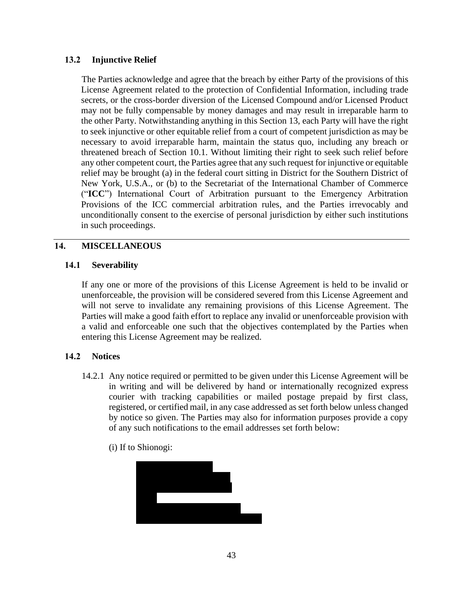#### **13.2 Injunctive Relief**

The Parties acknowledge and agree that the breach by either Party of the provisions of this License Agreement related to the protection of Confidential Information, including trade secrets, or the cross-border diversion of the Licensed Compound and/or Licensed Product may not be fully compensable by money damages and may result in irreparable harm to the other Party. Notwithstanding anything in this Section 13, each Party will have the right to seek injunctive or other equitable relief from a court of competent jurisdiction as may be necessary to avoid irreparable harm, maintain the status quo, including any breach or threatened breach of Section 10.1. Without limiting their right to seek such relief before any other competent court, the Parties agree that any such request for injunctive or equitable relief may be brought (a) in the federal court sitting in District for the Southern District of New York, U.S.A., or (b) to the Secretariat of the International Chamber of Commerce ("**ICC**") International Court of Arbitration pursuant to the Emergency Arbitration Provisions of the ICC commercial arbitration rules, and the Parties irrevocably and unconditionally consent to the exercise of personal jurisdiction by either such institutions in such proceedings.

#### **14. MISCELLANEOUS**

#### **14.1 Severability**

If any one or more of the provisions of this License Agreement is held to be invalid or unenforceable, the provision will be considered severed from this License Agreement and will not serve to invalidate any remaining provisions of this License Agreement. The Parties will make a good faith effort to replace any invalid or unenforceable provision with a valid and enforceable one such that the objectives contemplated by the Parties when entering this License Agreement may be realized.

#### **14.2 Notices**

- 14.2.1 Any notice required or permitted to be given under this License Agreement will be in writing and will be delivered by hand or internationally recognized express courier with tracking capabilities or mailed postage prepaid by first class, registered, or certified mail, in any case addressed as set forth below unless changed by notice so given. The Parties may also for information purposes provide a copy of any such notifications to the email addresses set forth below:
	- (i) If to Shionogi:

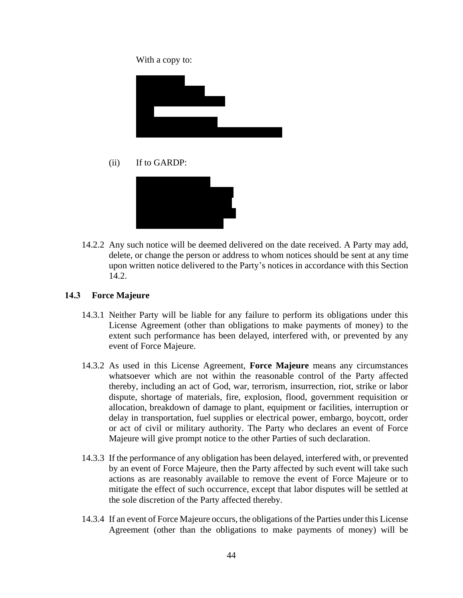With a copy to:



(ii) If to GARDP:



14.2.2 Any such notice will be deemed delivered on the date received. A Party may add, delete, or change the person or address to whom notices should be sent at any time upon written notice delivered to the Party's notices in accordance with this Section 14.2.

#### **14.3 Force Majeure**

- 14.3.1 Neither Party will be liable for any failure to perform its obligations under this License Agreement (other than obligations to make payments of money) to the extent such performance has been delayed, interfered with, or prevented by any event of Force Majeure.
- 14.3.2 As used in this License Agreement, **Force Majeure** means any circumstances whatsoever which are not within the reasonable control of the Party affected thereby, including an act of God, war, terrorism, insurrection, riot, strike or labor dispute, shortage of materials, fire, explosion, flood, government requisition or allocation, breakdown of damage to plant, equipment or facilities, interruption or delay in transportation, fuel supplies or electrical power, embargo, boycott, order or act of civil or military authority. The Party who declares an event of Force Majeure will give prompt notice to the other Parties of such declaration.
- 14.3.3 If the performance of any obligation has been delayed, interfered with, or prevented by an event of Force Majeure, then the Party affected by such event will take such actions as are reasonably available to remove the event of Force Majeure or to mitigate the effect of such occurrence, except that labor disputes will be settled at the sole discretion of the Party affected thereby.
- 14.3.4 If an event of Force Majeure occurs, the obligations of the Parties under this License Agreement (other than the obligations to make payments of money) will be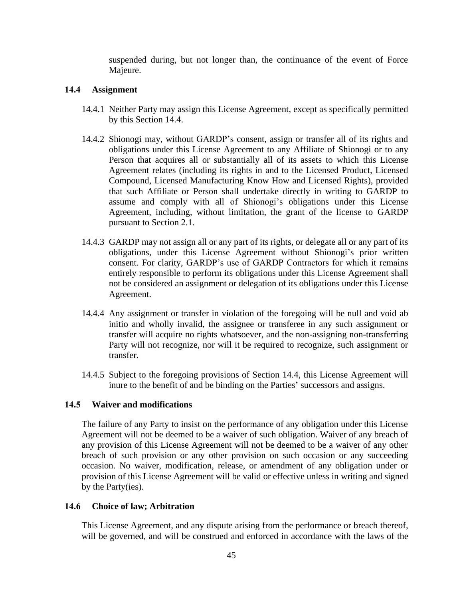suspended during, but not longer than, the continuance of the event of Force Majeure.

#### **14.4 Assignment**

- 14.4.1 Neither Party may assign this License Agreement, except as specifically permitted by this Section 14.4.
- 14.4.2 Shionogi may, without GARDP's consent, assign or transfer all of its rights and obligations under this License Agreement to any Affiliate of Shionogi or to any Person that acquires all or substantially all of its assets to which this License Agreement relates (including its rights in and to the Licensed Product, Licensed Compound, Licensed Manufacturing Know How and Licensed Rights), provided that such Affiliate or Person shall undertake directly in writing to GARDP to assume and comply with all of Shionogi's obligations under this License Agreement, including, without limitation, the grant of the license to GARDP pursuant to Section 2.1.
- 14.4.3 GARDP may not assign all or any part of its rights, or delegate all or any part of its obligations, under this License Agreement without Shionogi's prior written consent. For clarity, GARDP's use of GARDP Contractors for which it remains entirely responsible to perform its obligations under this License Agreement shall not be considered an assignment or delegation of its obligations under this License Agreement.
- 14.4.4 Any assignment or transfer in violation of the foregoing will be null and void ab initio and wholly invalid, the assignee or transferee in any such assignment or transfer will acquire no rights whatsoever, and the non-assigning non-transferring Party will not recognize, nor will it be required to recognize, such assignment or transfer.
- 14.4.5 Subject to the foregoing provisions of Section 14.4, this License Agreement will inure to the benefit of and be binding on the Parties' successors and assigns.

#### **14.5 Waiver and modifications**

The failure of any Party to insist on the performance of any obligation under this License Agreement will not be deemed to be a waiver of such obligation. Waiver of any breach of any provision of this License Agreement will not be deemed to be a waiver of any other breach of such provision or any other provision on such occasion or any succeeding occasion. No waiver, modification, release, or amendment of any obligation under or provision of this License Agreement will be valid or effective unless in writing and signed by the Party(ies).

#### **14.6 Choice of law; Arbitration**

This License Agreement, and any dispute arising from the performance or breach thereof, will be governed, and will be construed and enforced in accordance with the laws of the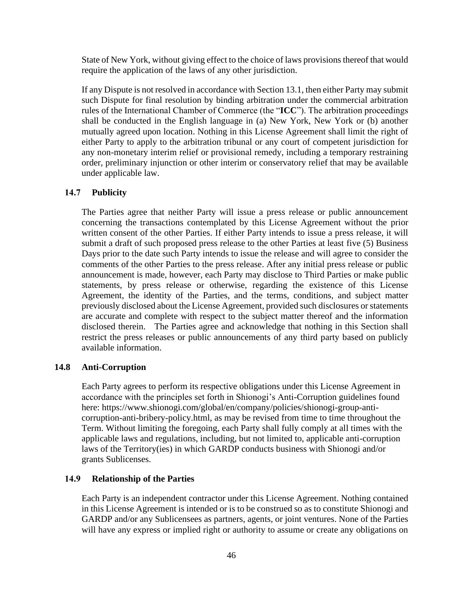State of New York, without giving effect to the choice of laws provisions thereof that would require the application of the laws of any other jurisdiction.

If any Dispute is not resolved in accordance with Section 13.1, then either Party may submit such Dispute for final resolution by binding arbitration under the commercial arbitration rules of the International Chamber of Commerce (the "**ICC**"). The arbitration proceedings shall be conducted in the English language in (a) New York, New York or (b) another mutually agreed upon location. Nothing in this License Agreement shall limit the right of either Party to apply to the arbitration tribunal or any court of competent jurisdiction for any non-monetary interim relief or provisional remedy, including a temporary restraining order, preliminary injunction or other interim or conservatory relief that may be available under applicable law.

#### **14.7 Publicity**

The Parties agree that neither Party will issue a press release or public announcement concerning the transactions contemplated by this License Agreement without the prior written consent of the other Parties. If either Party intends to issue a press release, it will submit a draft of such proposed press release to the other Parties at least five (5) Business Days prior to the date such Party intends to issue the release and will agree to consider the comments of the other Parties to the press release. After any initial press release or public announcement is made, however, each Party may disclose to Third Parties or make public statements, by press release or otherwise, regarding the existence of this License Agreement, the identity of the Parties, and the terms, conditions, and subject matter previously disclosed about the License Agreement, provided such disclosures or statements are accurate and complete with respect to the subject matter thereof and the information disclosed therein. The Parties agree and acknowledge that nothing in this Section shall restrict the press releases or public announcements of any third party based on publicly available information.

#### **14.8 Anti-Corruption**

Each Party agrees to perform its respective obligations under this License Agreement in accordance with the principles set forth in Shionogi's Anti-Corruption guidelines found here: https://www.shionogi.com/global/en/company/policies/shionogi-group-anticorruption-anti-bribery-policy.html, as may be revised from time to time throughout the Term. Without limiting the foregoing, each Party shall fully comply at all times with the applicable laws and regulations, including, but not limited to, applicable anti-corruption laws of the Territory(ies) in which GARDP conducts business with Shionogi and/or grants Sublicenses.

#### **14.9 Relationship of the Parties**

Each Party is an independent contractor under this License Agreement. Nothing contained in this License Agreement is intended or is to be construed so as to constitute Shionogi and GARDP and/or any Sublicensees as partners, agents, or joint ventures. None of the Parties will have any express or implied right or authority to assume or create any obligations on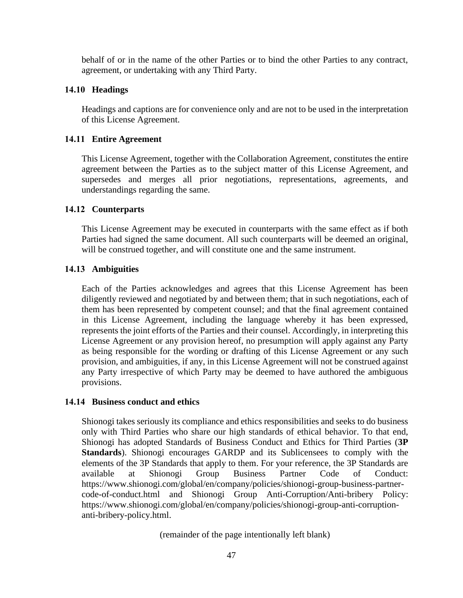behalf of or in the name of the other Parties or to bind the other Parties to any contract, agreement, or undertaking with any Third Party.

#### **14.10 Headings**

Headings and captions are for convenience only and are not to be used in the interpretation of this License Agreement.

#### **14.11 Entire Agreement**

This License Agreement, together with the Collaboration Agreement, constitutes the entire agreement between the Parties as to the subject matter of this License Agreement, and supersedes and merges all prior negotiations, representations, agreements, and understandings regarding the same.

#### **14.12 Counterparts**

This License Agreement may be executed in counterparts with the same effect as if both Parties had signed the same document. All such counterparts will be deemed an original, will be construed together, and will constitute one and the same instrument.

#### **14.13 Ambiguities**

Each of the Parties acknowledges and agrees that this License Agreement has been diligently reviewed and negotiated by and between them; that in such negotiations, each of them has been represented by competent counsel; and that the final agreement contained in this License Agreement, including the language whereby it has been expressed, represents the joint efforts of the Parties and their counsel. Accordingly, in interpreting this License Agreement or any provision hereof, no presumption will apply against any Party as being responsible for the wording or drafting of this License Agreement or any such provision, and ambiguities, if any, in this License Agreement will not be construed against any Party irrespective of which Party may be deemed to have authored the ambiguous provisions.

#### **14.14 Business conduct and ethics**

Shionogi takes seriously its compliance and ethics responsibilities and seeks to do business only with Third Parties who share our high standards of ethical behavior. To that end, Shionogi has adopted Standards of Business Conduct and Ethics for Third Parties (**3P Standards**). Shionogi encourages GARDP and its Sublicensees to comply with the elements of the 3P Standards that apply to them. For your reference, the 3P Standards are available at Shionogi Group Business Partner Code of Conduct: https://www.shionogi.com/global/en/company/policies/shionogi-group-business-partnercode-of-conduct.html and Shionogi Group Anti-Corruption/Anti-bribery Policy: https://www.shionogi.com/global/en/company/policies/shionogi-group-anti-corruptionanti-bribery-policy.html.

(remainder of the page intentionally left blank)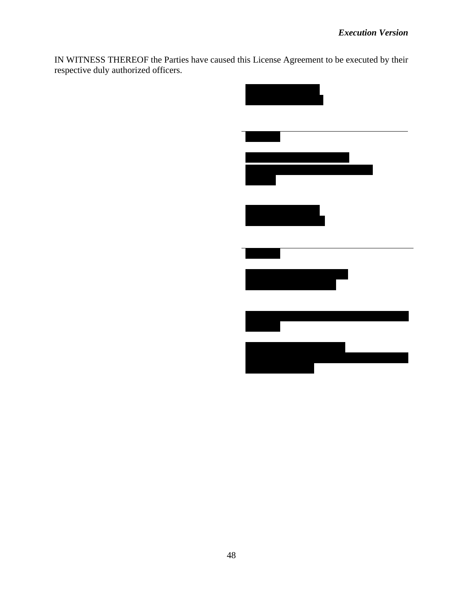IN WITNESS THEREOF the Parties have caused this License Agreement to be executed by their respective duly authorized officers.

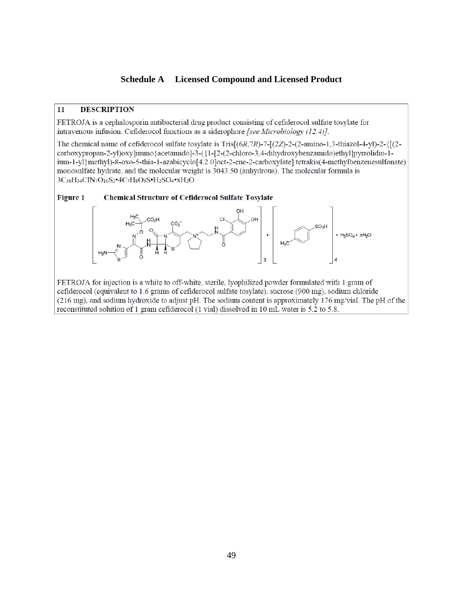#### **Schedule A Licensed Compound and Licensed Product**

#### 11 **DESCRIPTION**

FETROJA is a cephalosporin antibacterial drug product consisting of cefiderocol sulfate tosylate for intravenous infusion. Cefiderocol functions as a siderophore [see Microbiology  $(12.4)$ ].

The chemical name of cefiderocol sulfate tosylate is Tris $[(6R,7R)-7-(2Z)-2-(2-amino-1,3-thiazol-4-y])-2-([(2-R-1)-(2-R-1)-(2-R-1)-(2-R-1)-(2-R-1)-(2-R-1)$ carboxypropan-2-yl)oxy]imino}acetamido]-3-({1-[2-(2-chloro-3,4-dihydroxybenzamido)ethyl]pyrrolidin-1ium-1-yl}methyl)-8-oxo-5-thia-1-azabicyclo[4.2.0]oct-2-ene-2-carboxylate] tetrakis(4-methylbenzenesulfonate) monosulfate hydrate, and the molecular weight is 3043.50 (anhydrous). The molecular formula is 3C30H34ClN7O10S2.4C7H8O3S.H2SO4.XH2O.



FETROJA for injection is a white to off-white, sterile, lyophilized powder formulated with 1 gram of cefiderocol (equivalent to 1.6 grams of cefiderocol sulfate tosylate), sucrose (900 mg), sodium chloride (216 mg), and sodium hydroxide to adjust pH. The sodium content is approximately 176 mg/vial. The pH of the reconstituted solution of 1 gram cefiderocol (1 vial) dissolved in 10 mL water is 5.2 to 5.8.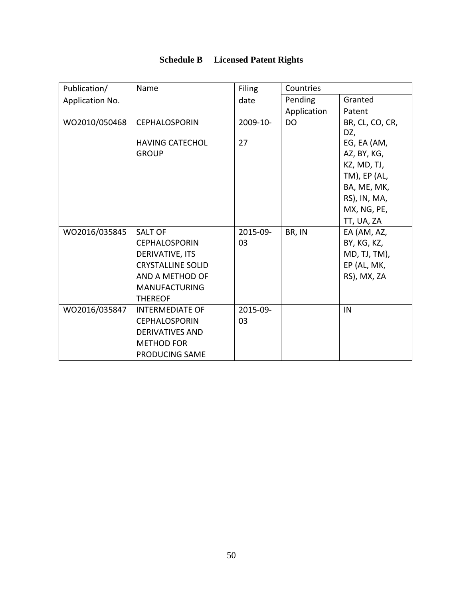| Publication/    | Name                     | <b>Filing</b> | Countries   |                 |
|-----------------|--------------------------|---------------|-------------|-----------------|
| Application No. |                          | date          | Pending     | Granted         |
|                 |                          |               | Application | Patent          |
| WO2010/050468   | <b>CEPHALOSPORIN</b>     | 2009-10-      | <b>DO</b>   | BR, CL, CO, CR, |
|                 |                          |               |             | DZ,             |
|                 | <b>HAVING CATECHOL</b>   | 27            |             | EG, EA (AM,     |
|                 | <b>GROUP</b>             |               |             | AZ, BY, KG,     |
|                 |                          |               |             | KZ, MD, TJ,     |
|                 |                          |               |             | $TM$ ), EP (AL, |
|                 |                          |               |             | BA, ME, MK,     |
|                 |                          |               |             | RS), IN, MA,    |
|                 |                          |               |             | MX, NG, PE,     |
|                 |                          |               |             | TT, UA, ZA      |
| WO2016/035845   | <b>SALT OF</b>           | 2015-09-      | BR, IN      | EA (AM, AZ,     |
|                 | <b>CEPHALOSPORIN</b>     | 03            |             | BY, KG, KZ,     |
|                 | DERIVATIVE, ITS          |               |             | MD, TJ, TM),    |
|                 | <b>CRYSTALLINE SOLID</b> |               |             | EP (AL, MK,     |
|                 | AND A METHOD OF          |               |             | RS), MX, ZA     |
|                 | <b>MANUFACTURING</b>     |               |             |                 |
|                 | <b>THEREOF</b>           |               |             |                 |
| WO2016/035847   | <b>INTERMEDIATE OF</b>   | 2015-09-      |             | IN              |
|                 | <b>CEPHALOSPORIN</b>     | 03            |             |                 |
|                 | <b>DERIVATIVES AND</b>   |               |             |                 |
|                 | <b>METHOD FOR</b>        |               |             |                 |
|                 | <b>PRODUCING SAME</b>    |               |             |                 |

# **Schedule B Licensed Patent Rights**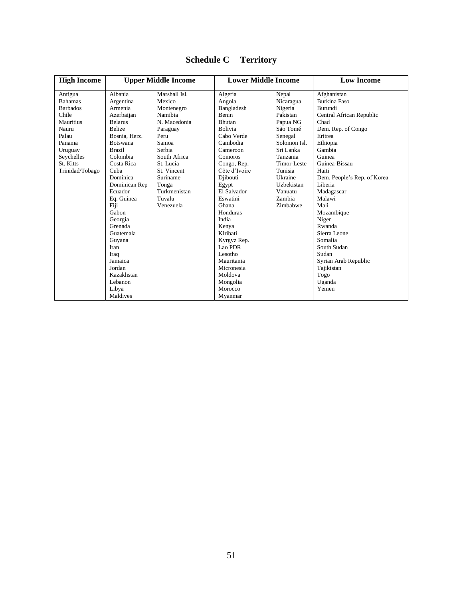| <b>High Income</b> | <b>Upper Middle Income</b> |               | <b>Lower Middle Income</b> |              | <b>Low Income</b>           |  |
|--------------------|----------------------------|---------------|----------------------------|--------------|-----------------------------|--|
| Antigua            | Albania                    | Marshall Isl. | Algeria                    | Nepal        | Afghanistan                 |  |
| <b>Bahamas</b>     | Argentina                  | Mexico        | Angola                     | Nicaragua    | <b>Burkina Faso</b>         |  |
| <b>Barbados</b>    | Armenia                    | Montenegro    | Bangladesh                 | Nigeria      | Burundi                     |  |
| Chile              | Azerbaijan                 | Namibia       | Benin                      | Pakistan     | Central African Republic    |  |
| Mauritius          | <b>Belarus</b>             | N. Macedonia  | Bhutan                     | Papua NG     | Chad                        |  |
| Nauru              | <b>Belize</b>              | Paraguay      | Bolivia                    | São Tomé     | Dem. Rep. of Congo          |  |
| Palau              | Bosnia, Herz.              | Peru          | Cabo Verde                 | Senegal      | Eritrea                     |  |
| Panama             | <b>Botswana</b>            | Samoa         | Cambodia                   | Solomon Isl. | Ethiopia                    |  |
| Uruguay            | <b>Brazil</b>              | Serbia        | Cameroon                   | Sri Lanka    | Gambia                      |  |
| Seychelles         | Colombia                   | South Africa  | Comoros                    | Tanzania     | Guinea                      |  |
| St. Kitts          | Costa Rica                 | St. Lucia     | Congo, Rep.                | Timor-Leste  | Guinea-Bissau               |  |
| Trinidad/Tobago    | Cuba                       | St. Vincent   | Côte d'Ivoire              | Tunisia      | Haiti                       |  |
|                    | Dominica                   | Suriname      | Diibouti                   | Ukraine      | Dem. People's Rep. of Korea |  |
|                    | Dominican Rep              | Tonga         | Egypt                      | Uzbekistan   | Liberia                     |  |
|                    | Ecuador                    | Turkmenistan  | El Salvador                | Vanuatu      | Madagascar                  |  |
|                    | Eq. Guinea                 | Tuvalu        | Eswatini                   | Zambia       | Malawi                      |  |
|                    | Fiji                       | Venezuela     | Ghana                      | Zimbabwe     | Mali                        |  |
|                    | Gabon                      |               | Honduras                   |              | Mozambique                  |  |
|                    | Georgia                    |               | India                      |              | Niger                       |  |
|                    | Grenada                    |               | Kenya                      |              | Rwanda                      |  |
|                    | Guatemala                  |               | Kiribati                   |              | Sierra Leone                |  |
|                    | Guyana                     |               | Kyrgyz Rep.                |              | Somalia                     |  |
|                    | Iran                       |               | Lao PDR                    |              | South Sudan                 |  |
|                    | Iraq                       |               | Lesotho                    |              | Sudan                       |  |
|                    | Jamaica                    |               | Mauritania                 |              | Syrian Arab Republic        |  |
|                    | Jordan                     |               | Micronesia                 |              | Tajikistan                  |  |
|                    | Kazakhstan                 |               | Moldova                    |              | Togo                        |  |
|                    | Lebanon                    |               | Mongolia                   |              | Uganda                      |  |
|                    | Libya                      |               | Morocco                    |              | Yemen                       |  |
|                    | Maldives                   |               | Myanmar                    |              |                             |  |

# **Schedule C Territory**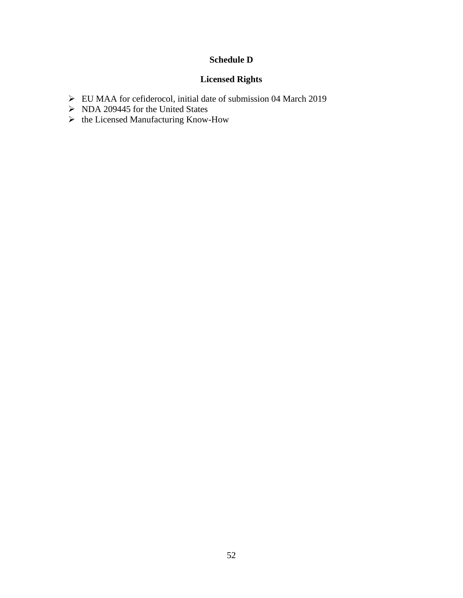## **Schedule D**

### **Licensed Rights**

- ➢ EU MAA for cefiderocol, initial date of submission 04 March 2019
- ➢ NDA 209445 for the United States
- ➢ the Licensed Manufacturing Know-How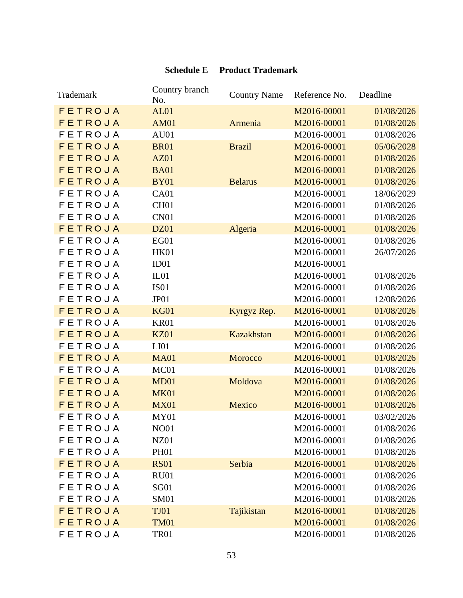# **Schedule E Product Trademark**

| Trademark      | Country branch<br>No. | <b>Country Name</b> | Reference No. | Deadline   |
|----------------|-----------------------|---------------------|---------------|------------|
| FETROJA        | AL01                  |                     | M2016-00001   | 01/08/2026 |
| FETROJA        | <b>AM01</b>           | Armenia             | M2016-00001   | 01/08/2026 |
| FETROJA        | AU01                  |                     | M2016-00001   | 01/08/2026 |
| FETROJA        | <b>BR01</b>           | <b>Brazil</b>       | M2016-00001   | 05/06/2028 |
| FETROJA        | <b>AZ01</b>           |                     | M2016-00001   | 01/08/2026 |
| FETROJA        | <b>BA01</b>           |                     | M2016-00001   | 01/08/2026 |
| FETROJA        | <b>BY01</b>           | <b>Belarus</b>      | M2016-00001   | 01/08/2026 |
| <b>FETROJA</b> | CA01                  |                     | M2016-00001   | 18/06/2029 |
| <b>FETROJA</b> | CH <sub>01</sub>      |                     | M2016-00001   | 01/08/2026 |
| <b>FETROJA</b> | CN <sub>01</sub>      |                     | M2016-00001   | 01/08/2026 |
| FETROJA        | <b>DZ01</b>           | Algeria             | M2016-00001   | 01/08/2026 |
| <b>FETROJA</b> | EG01                  |                     | M2016-00001   | 01/08/2026 |
| <b>FETROJA</b> | <b>HK01</b>           |                     | M2016-00001   | 26/07/2026 |
| <b>FETROJA</b> | ID01                  |                     | M2016-00001   |            |
| <b>FETROJA</b> | IL01                  |                     | M2016-00001   | 01/08/2026 |
| <b>FETROJA</b> | <b>IS01</b>           |                     | M2016-00001   | 01/08/2026 |
| <b>FETROJA</b> | JP01                  |                     | M2016-00001   | 12/08/2026 |
| FETROJA        | <b>KG01</b>           | Kyrgyz Rep.         | M2016-00001   | 01/08/2026 |
| FETROJA        | <b>KR01</b>           |                     | M2016-00001   | 01/08/2026 |
| FETROJA        | <b>KZ01</b>           | Kazakhstan          | M2016-00001   | 01/08/2026 |
| <b>FETROJA</b> | LI <sub>01</sub>      |                     | M2016-00001   | 01/08/2026 |
| FETROJA        | <b>MA01</b>           | Morocco             | M2016-00001   | 01/08/2026 |
| <b>FETROJA</b> | MC01                  |                     | M2016-00001   | 01/08/2026 |
| FETROJA        | MD01                  | Moldova             | M2016-00001   | 01/08/2026 |
| <b>FETROJA</b> | <b>MK01</b>           |                     | M2016-00001   | 01/08/2026 |
| FETROJA        | <b>MX01</b>           | Mexico              | M2016-00001   | 01/08/2026 |
| FETROJA        | MY01                  |                     | M2016-00001   | 03/02/2026 |
| FETROJA        | <b>NO01</b>           |                     | M2016-00001   | 01/08/2026 |
| <b>FETROJA</b> | <b>NZ01</b>           |                     | M2016-00001   | 01/08/2026 |
| <b>FETROJA</b> | <b>PH01</b>           |                     | M2016-00001   | 01/08/2026 |
| FETROJA        | <b>RS01</b>           | Serbia              | M2016-00001   | 01/08/2026 |
| <b>FETROJA</b> | RU01                  |                     | M2016-00001   | 01/08/2026 |
| <b>FETROJA</b> | SG01                  |                     | M2016-00001   | 01/08/2026 |
| <b>FETROJA</b> | <b>SM01</b>           |                     | M2016-00001   | 01/08/2026 |
| FETROJA        | <b>TJ01</b>           | Tajikistan          | M2016-00001   | 01/08/2026 |
| FETROJA        | <b>TM01</b>           |                     | M2016-00001   | 01/08/2026 |
| <b>FETROJA</b> | <b>TR01</b>           |                     | M2016-00001   | 01/08/2026 |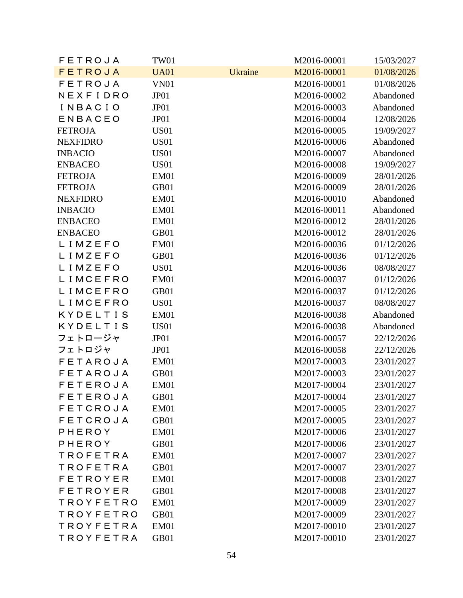| <b>FETROJA</b>  | TW01        |                | M2016-00001 | 15/03/2027 |
|-----------------|-------------|----------------|-------------|------------|
| <b>FETROJA</b>  | <b>UA01</b> | <b>Ukraine</b> | M2016-00001 | 01/08/2026 |
| <b>FETROJA</b>  | <b>VN01</b> |                | M2016-00001 | 01/08/2026 |
| NEXFIDRO        | JP01        |                | M2016-00002 | Abandoned  |
| INBACIO         | JP01        |                | M2016-00003 | Abandoned  |
| <b>ENBACEO</b>  | JP01        |                | M2016-00004 | 12/08/2026 |
| <b>FETROJA</b>  | <b>US01</b> |                | M2016-00005 | 19/09/2027 |
| <b>NEXFIDRO</b> | <b>US01</b> |                | M2016-00006 | Abandoned  |
| <b>INBACIO</b>  | <b>US01</b> |                | M2016-00007 | Abandoned  |
| <b>ENBACEO</b>  | <b>US01</b> |                | M2016-00008 | 19/09/2027 |
| <b>FETROJA</b>  | EM01        |                | M2016-00009 | 28/01/2026 |
| <b>FETROJA</b>  | GB01        |                | M2016-00009 | 28/01/2026 |
| <b>NEXFIDRO</b> | EM01        |                | M2016-00010 | Abandoned  |
| <b>INBACIO</b>  | EM01        |                | M2016-00011 | Abandoned  |
| <b>ENBACEO</b>  | EM01        |                | M2016-00012 | 28/01/2026 |
| <b>ENBACEO</b>  | GB01        |                | M2016-00012 | 28/01/2026 |
| LIMZEFO         | EM01        |                | M2016-00036 | 01/12/2026 |
| LIMZEFO         | GB01        |                | M2016-00036 | 01/12/2026 |
| LIMZEFO         | <b>US01</b> |                | M2016-00036 | 08/08/2027 |
| LIMCEFRO        | EM01        |                | M2016-00037 | 01/12/2026 |
| LIMCEFRO        | GB01        |                | M2016-00037 | 01/12/2026 |
| LIMCEFRO        | <b>US01</b> |                | M2016-00037 | 08/08/2027 |
| KYDELTIS        | EM01        |                | M2016-00038 | Abandoned  |
| KYDELTIS        | <b>US01</b> |                | M2016-00038 | Abandoned  |
| フェトロージャ         | JP01        |                | M2016-00057 | 22/12/2026 |
| フェトロジャ          | JP01        |                | M2016-00058 | 22/12/2026 |
| <b>FETAROJA</b> | EM01        |                | M2017-00003 | 23/01/2027 |
| <b>FETAROJA</b> | GB01        |                | M2017-00003 | 23/01/2027 |
| <b>FETEROJA</b> | EM01        |                | M2017-00004 | 23/01/2027 |
| <b>FETEROJA</b> | GB01        |                | M2017-00004 | 23/01/2027 |
| <b>FETCROJA</b> | EM01        |                | M2017-00005 | 23/01/2027 |
| <b>FETCROJA</b> | GB01        |                | M2017-00005 | 23/01/2027 |
| PHEROY          | EM01        |                | M2017-00006 | 23/01/2027 |
| PHEROY          | GB01        |                | M2017-00006 | 23/01/2027 |
| TROFETRA        | EM01        |                | M2017-00007 | 23/01/2027 |
| <b>TROFETRA</b> | GB01        |                | M2017-00007 | 23/01/2027 |
| <b>FETROYER</b> | EM01        |                | M2017-00008 | 23/01/2027 |
| <b>FETROYER</b> | GB01        |                | M2017-00008 | 23/01/2027 |
| TROYFETRO       | EM01        |                | M2017-00009 | 23/01/2027 |
| TROYFETRO       | GB01        |                | M2017-00009 | 23/01/2027 |
| TROYFETRA       | EM01        |                | M2017-00010 | 23/01/2027 |
| TROYFETRA       | GB01        |                | M2017-00010 | 23/01/2027 |
|                 |             |                |             |            |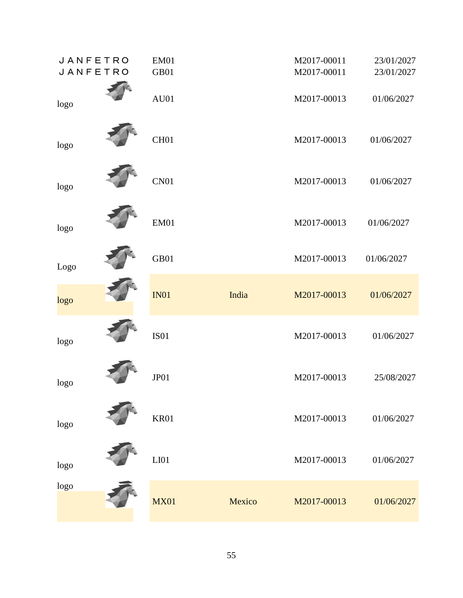| <b>JANFETRO</b> | EM01             |        | M2017-00011 | 23/01/2027 |
|-----------------|------------------|--------|-------------|------------|
| JANFETRO        | GB01             |        | M2017-00011 | 23/01/2027 |
| logo            | AU01             |        | M2017-00013 | 01/06/2027 |
| logo            | CH <sub>01</sub> |        | M2017-00013 | 01/06/2027 |
| logo            | CN <sub>01</sub> |        | M2017-00013 | 01/06/2027 |
| logo            | EM01             |        | M2017-00013 | 01/06/2027 |
| Logo            | GB01             |        | M2017-00013 | 01/06/2027 |
| logo            | IN01             | India  | M2017-00013 | 01/06/2027 |
| logo            | IS01             |        | M2017-00013 | 01/06/2027 |
| logo            | JP01             |        | M2017-00013 | 25/08/2027 |
| logo            | <b>KR01</b>      |        | M2017-00013 | 01/06/2027 |
| logo            | LI <sub>01</sub> |        | M2017-00013 | 01/06/2027 |
| logo            | <b>MX01</b>      | Mexico | M2017-00013 | 01/06/2027 |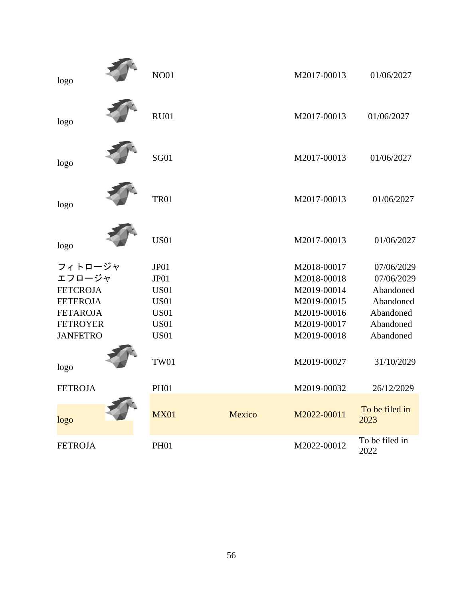| logo            | <b>NO01</b> |        | M2017-00013 | 01/06/2027             |
|-----------------|-------------|--------|-------------|------------------------|
| logo            | <b>RU01</b> |        | M2017-00013 | 01/06/2027             |
| logo            | <b>SG01</b> |        | M2017-00013 | 01/06/2027             |
| logo            | <b>TR01</b> |        | M2017-00013 | 01/06/2027             |
| logo            | <b>US01</b> |        | M2017-00013 | 01/06/2027             |
| フィトロージャ         | JP01        |        | M2018-00017 | 07/06/2029             |
| エフロージャ          | JP01        |        | M2018-00018 | 07/06/2029             |
| <b>FETCROJA</b> | <b>US01</b> |        | M2019-00014 | Abandoned              |
| <b>FETEROJA</b> | <b>US01</b> |        | M2019-00015 | Abandoned              |
| <b>FETAROJA</b> | <b>US01</b> |        | M2019-00016 | Abandoned              |
| <b>FETROYER</b> | <b>US01</b> |        | M2019-00017 | Abandoned              |
| <b>JANFETRO</b> | <b>US01</b> |        | M2019-00018 | Abandoned              |
| logo            | <b>TW01</b> |        | M2019-00027 | 31/10/2029             |
| <b>FETROJA</b>  | <b>PH01</b> |        | M2019-00032 | 26/12/2029             |
| logo            | <b>MX01</b> | Mexico | M2022-00011 | To be filed in<br>2023 |
| <b>FETROJA</b>  | <b>PH01</b> |        | M2022-00012 | To be filed in<br>2022 |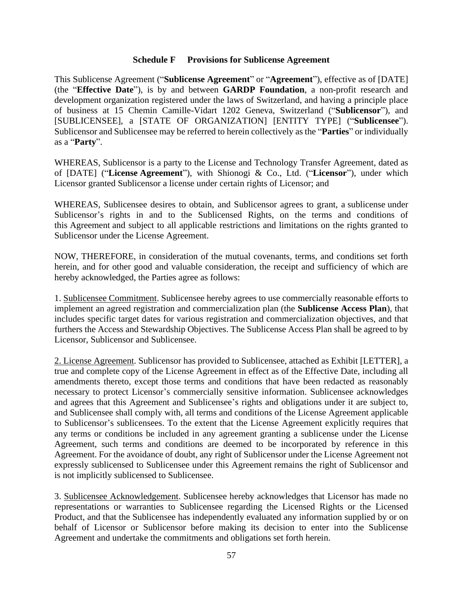#### **Schedule F Provisions for Sublicense Agreement**

This Sublicense Agreement ("**Sublicense Agreement**" or "**Agreement**"), effective as of [DATE] (the "**Effective Date**"), is by and between **GARDP Foundation**, a non-profit research and development organization registered under the laws of Switzerland, and having a principle place of business at 15 Chemin Camille-Vidart 1202 Geneva, Switzerland ("**Sublicensor**"), and [SUBLICENSEE], a [STATE OF ORGANIZATION] [ENTITY TYPE] ("**Sublicensee**"). Sublicensor and Sublicensee may be referred to herein collectively as the "**Parties**" or individually as a "**Party**".

WHEREAS, Sublicensor is a party to the License and Technology Transfer Agreement, dated as of [DATE] ("**License Agreement**"), with Shionogi & Co., Ltd. ("**Licensor**"), under which Licensor granted Sublicensor a license under certain rights of Licensor; and

WHEREAS, Sublicensee desires to obtain, and Sublicensor agrees to grant, a sublicense under Sublicensor's rights in and to the Sublicensed Rights, on the terms and conditions of this Agreement and subject to all applicable restrictions and limitations on the rights granted to Sublicensor under the License Agreement.

NOW, THEREFORE, in consideration of the mutual covenants, terms, and conditions set forth herein, and for other good and valuable consideration, the receipt and sufficiency of which are hereby acknowledged, the Parties agree as follows:

1. Sublicensee Commitment. Sublicensee hereby agrees to use commercially reasonable efforts to implement an agreed registration and commercialization plan (the **Sublicense Access Plan**), that includes specific target dates for various registration and commercialization objectives, and that furthers the Access and Stewardship Objectives. The Sublicense Access Plan shall be agreed to by Licensor, Sublicensor and Sublicensee.

2. License Agreement. Sublicensor has provided to Sublicensee, attached as Exhibit [LETTER], a true and complete copy of the License Agreement in effect as of the Effective Date, including all amendments thereto, except those terms and conditions that have been redacted as reasonably necessary to protect Licensor's commercially sensitive information. Sublicensee acknowledges and agrees that this Agreement and Sublicensee's rights and obligations under it are subject to, and Sublicensee shall comply with, all terms and conditions of the License Agreement applicable to Sublicensor's sublicensees. To the extent that the License Agreement explicitly requires that any terms or conditions be included in any agreement granting a sublicense under the License Agreement, such terms and conditions are deemed to be incorporated by reference in this Agreement. For the avoidance of doubt, any right of Sublicensor under the License Agreement not expressly sublicensed to Sublicensee under this Agreement remains the right of Sublicensor and is not implicitly sublicensed to Sublicensee.

3. Sublicensee Acknowledgement. Sublicensee hereby acknowledges that Licensor has made no representations or warranties to Sublicensee regarding the Licensed Rights or the Licensed Product, and that the Sublicensee has independently evaluated any information supplied by or on behalf of Licensor or Sublicensor before making its decision to enter into the Sublicense Agreement and undertake the commitments and obligations set forth herein.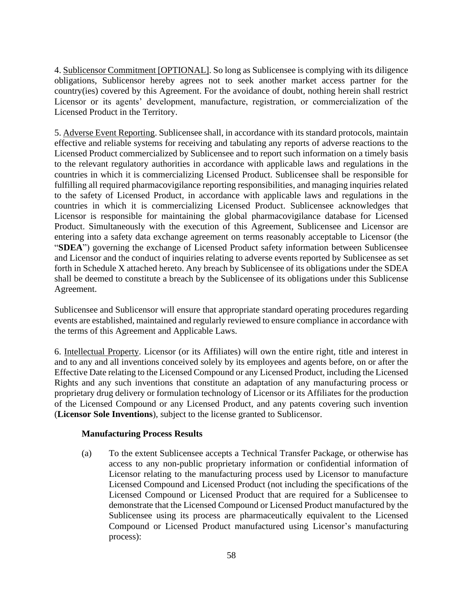4. Sublicensor Commitment [OPTIONAL]. So long as Sublicensee is complying with its diligence obligations, Sublicensor hereby agrees not to seek another market access partner for the country(ies) covered by this Agreement. For the avoidance of doubt, nothing herein shall restrict Licensor or its agents' development, manufacture, registration, or commercialization of the Licensed Product in the Territory.

5. Adverse Event Reporting. Sublicensee shall, in accordance with its standard protocols, maintain effective and reliable systems for receiving and tabulating any reports of adverse reactions to the Licensed Product commercialized by Sublicensee and to report such information on a timely basis to the relevant regulatory authorities in accordance with applicable laws and regulations in the countries in which it is commercializing Licensed Product. Sublicensee shall be responsible for fulfilling all required pharmacovigilance reporting responsibilities, and managing inquiries related to the safety of Licensed Product, in accordance with applicable laws and regulations in the countries in which it is commercializing Licensed Product. Sublicensee acknowledges that Licensor is responsible for maintaining the global pharmacovigilance database for Licensed Product. Simultaneously with the execution of this Agreement, Sublicensee and Licensor are entering into a safety data exchange agreement on terms reasonably acceptable to Licensor (the "**SDEA**") governing the exchange of Licensed Product safety information between Sublicensee and Licensor and the conduct of inquiries relating to adverse events reported by Sublicensee as set forth in Schedule X attached hereto. Any breach by Sublicensee of its obligations under the SDEA shall be deemed to constitute a breach by the Sublicensee of its obligations under this Sublicense Agreement.

Sublicensee and Sublicensor will ensure that appropriate standard operating procedures regarding events are established, maintained and regularly reviewed to ensure compliance in accordance with the terms of this Agreement and Applicable Laws.

6. Intellectual Property. Licensor (or its Affiliates) will own the entire right, title and interest in and to any and all inventions conceived solely by its employees and agents before, on or after the Effective Date relating to the Licensed Compound or any Licensed Product, including the Licensed Rights and any such inventions that constitute an adaptation of any manufacturing process or proprietary drug delivery or formulation technology of Licensor or its Affiliates for the production of the Licensed Compound or any Licensed Product, and any patents covering such invention (**Licensor Sole Inventions**), subject to the license granted to Sublicensor.

#### **Manufacturing Process Results**

(a) To the extent Sublicensee accepts a Technical Transfer Package, or otherwise has access to any non-public proprietary information or confidential information of Licensor relating to the manufacturing process used by Licensor to manufacture Licensed Compound and Licensed Product (not including the specifications of the Licensed Compound or Licensed Product that are required for a Sublicensee to demonstrate that the Licensed Compound or Licensed Product manufactured by the Sublicensee using its process are pharmaceutically equivalent to the Licensed Compound or Licensed Product manufactured using Licensor's manufacturing process):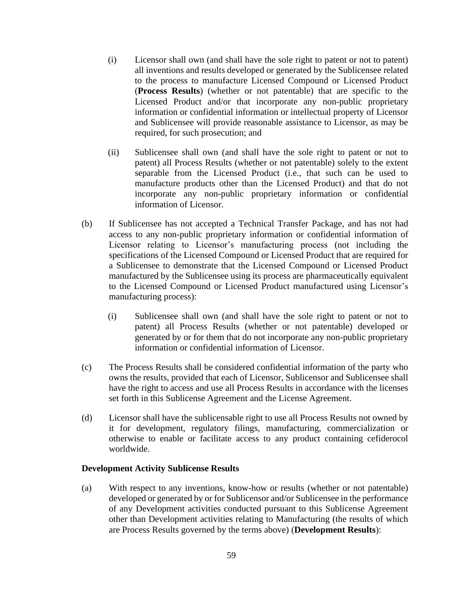- (i) Licensor shall own (and shall have the sole right to patent or not to patent) all inventions and results developed or generated by the Sublicensee related to the process to manufacture Licensed Compound or Licensed Product (**Process Results**) (whether or not patentable) that are specific to the Licensed Product and/or that incorporate any non-public proprietary information or confidential information or intellectual property of Licensor and Sublicensee will provide reasonable assistance to Licensor, as may be required, for such prosecution; and
- (ii) Sublicensee shall own (and shall have the sole right to patent or not to patent) all Process Results (whether or not patentable) solely to the extent separable from the Licensed Product (i.e., that such can be used to manufacture products other than the Licensed Product) and that do not incorporate any non-public proprietary information or confidential information of Licensor.
- (b) If Sublicensee has not accepted a Technical Transfer Package, and has not had access to any non-public proprietary information or confidential information of Licensor relating to Licensor's manufacturing process (not including the specifications of the Licensed Compound or Licensed Product that are required for a Sublicensee to demonstrate that the Licensed Compound or Licensed Product manufactured by the Sublicensee using its process are pharmaceutically equivalent to the Licensed Compound or Licensed Product manufactured using Licensor's manufacturing process):
	- (i) Sublicensee shall own (and shall have the sole right to patent or not to patent) all Process Results (whether or not patentable) developed or generated by or for them that do not incorporate any non-public proprietary information or confidential information of Licensor.
- (c) The Process Results shall be considered confidential information of the party who owns the results, provided that each of Licensor, Sublicensor and Sublicensee shall have the right to access and use all Process Results in accordance with the licenses set forth in this Sublicense Agreement and the License Agreement.
- (d) Licensor shall have the sublicensable right to use all Process Results not owned by it for development, regulatory filings, manufacturing, commercialization or otherwise to enable or facilitate access to any product containing cefiderocol worldwide.

#### **Development Activity Sublicense Results**

(a) With respect to any inventions, know-how or results (whether or not patentable) developed or generated by or for Sublicensor and/or Sublicensee in the performance of any Development activities conducted pursuant to this Sublicense Agreement other than Development activities relating to Manufacturing (the results of which are Process Results governed by the terms above) (**Development Results**):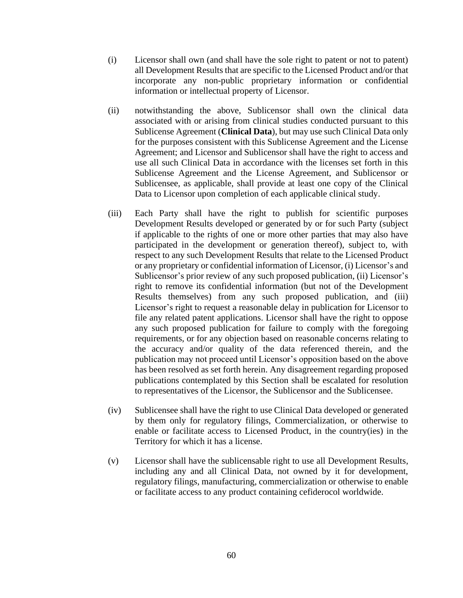- (i) Licensor shall own (and shall have the sole right to patent or not to patent) all Development Results that are specific to the Licensed Product and/or that incorporate any non-public proprietary information or confidential information or intellectual property of Licensor.
- (ii) notwithstanding the above, Sublicensor shall own the clinical data associated with or arising from clinical studies conducted pursuant to this Sublicense Agreement (**Clinical Data**), but may use such Clinical Data only for the purposes consistent with this Sublicense Agreement and the License Agreement; and Licensor and Sublicensor shall have the right to access and use all such Clinical Data in accordance with the licenses set forth in this Sublicense Agreement and the License Agreement, and Sublicensor or Sublicensee, as applicable, shall provide at least one copy of the Clinical Data to Licensor upon completion of each applicable clinical study.
- (iii) Each Party shall have the right to publish for scientific purposes Development Results developed or generated by or for such Party (subject if applicable to the rights of one or more other parties that may also have participated in the development or generation thereof), subject to, with respect to any such Development Results that relate to the Licensed Product or any proprietary or confidential information of Licensor, (i) Licensor's and Sublicensor's prior review of any such proposed publication, (ii) Licensor's right to remove its confidential information (but not of the Development Results themselves) from any such proposed publication, and (iii) Licensor's right to request a reasonable delay in publication for Licensor to file any related patent applications. Licensor shall have the right to oppose any such proposed publication for failure to comply with the foregoing requirements, or for any objection based on reasonable concerns relating to the accuracy and/or quality of the data referenced therein, and the publication may not proceed until Licensor's opposition based on the above has been resolved as set forth herein. Any disagreement regarding proposed publications contemplated by this Section shall be escalated for resolution to representatives of the Licensor, the Sublicensor and the Sublicensee.
- (iv) Sublicensee shall have the right to use Clinical Data developed or generated by them only for regulatory filings, Commercialization, or otherwise to enable or facilitate access to Licensed Product, in the country(ies) in the Territory for which it has a license.
- (v) Licensor shall have the sublicensable right to use all Development Results, including any and all Clinical Data, not owned by it for development, regulatory filings, manufacturing, commercialization or otherwise to enable or facilitate access to any product containing cefiderocol worldwide.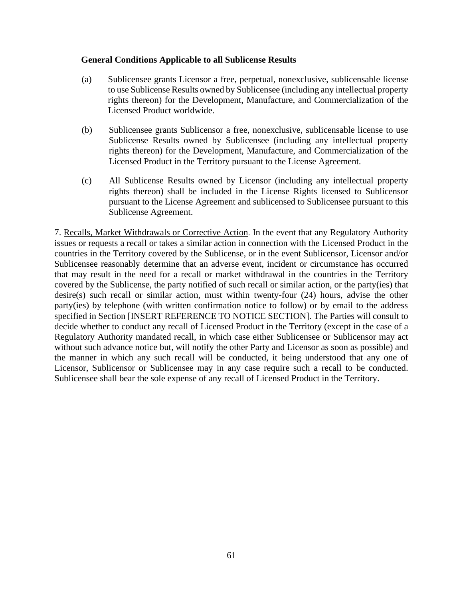#### **General Conditions Applicable to all Sublicense Results**

- (a) Sublicensee grants Licensor a free, perpetual, nonexclusive, sublicensable license to use Sublicense Results owned by Sublicensee (including any intellectual property rights thereon) for the Development, Manufacture, and Commercialization of the Licensed Product worldwide.
- (b) Sublicensee grants Sublicensor a free, nonexclusive, sublicensable license to use Sublicense Results owned by Sublicensee (including any intellectual property rights thereon) for the Development, Manufacture, and Commercialization of the Licensed Product in the Territory pursuant to the License Agreement.
- (c) All Sublicense Results owned by Licensor (including any intellectual property rights thereon) shall be included in the License Rights licensed to Sublicensor pursuant to the License Agreement and sublicensed to Sublicensee pursuant to this Sublicense Agreement.

7. Recalls, Market Withdrawals or Corrective Action. In the event that any Regulatory Authority issues or requests a recall or takes a similar action in connection with the Licensed Product in the countries in the Territory covered by the Sublicense, or in the event Sublicensor, Licensor and/or Sublicensee reasonably determine that an adverse event, incident or circumstance has occurred that may result in the need for a recall or market withdrawal in the countries in the Territory covered by the Sublicense, the party notified of such recall or similar action, or the party(ies) that desire(s) such recall or similar action, must within twenty-four (24) hours, advise the other party(ies) by telephone (with written confirmation notice to follow) or by email to the address specified in Section [INSERT REFERENCE TO NOTICE SECTION]. The Parties will consult to decide whether to conduct any recall of Licensed Product in the Territory (except in the case of a Regulatory Authority mandated recall, in which case either Sublicensee or Sublicensor may act without such advance notice but, will notify the other Party and Licensor as soon as possible) and the manner in which any such recall will be conducted, it being understood that any one of Licensor, Sublicensor or Sublicensee may in any case require such a recall to be conducted. Sublicensee shall bear the sole expense of any recall of Licensed Product in the Territory.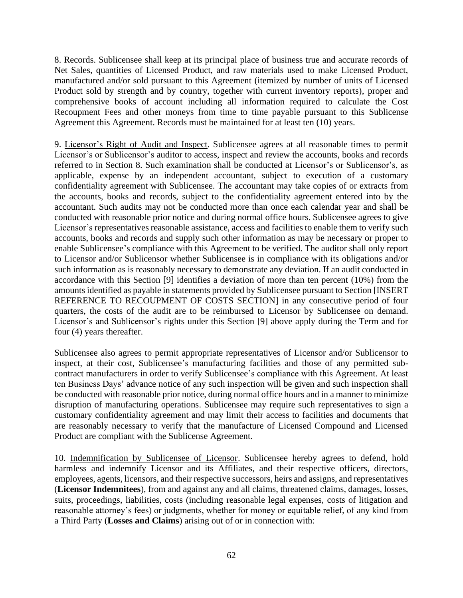8. Records. Sublicensee shall keep at its principal place of business true and accurate records of Net Sales, quantities of Licensed Product, and raw materials used to make Licensed Product, manufactured and/or sold pursuant to this Agreement (itemized by number of units of Licensed Product sold by strength and by country, together with current inventory reports), proper and comprehensive books of account including all information required to calculate the Cost Recoupment Fees and other moneys from time to time payable pursuant to this Sublicense Agreement this Agreement. Records must be maintained for at least ten (10) years.

9. Licensor's Right of Audit and Inspect. Sublicensee agrees at all reasonable times to permit Licensor's or Sublicensor's auditor to access, inspect and review the accounts, books and records referred to in Section 8. Such examination shall be conducted at Licensor's or Sublicensor's, as applicable, expense by an independent accountant, subject to execution of a customary confidentiality agreement with Sublicensee. The accountant may take copies of or extracts from the accounts, books and records, subject to the confidentiality agreement entered into by the accountant. Such audits may not be conducted more than once each calendar year and shall be conducted with reasonable prior notice and during normal office hours. Sublicensee agrees to give Licensor's representatives reasonable assistance, access and facilities to enable them to verify such accounts, books and records and supply such other information as may be necessary or proper to enable Sublicensee's compliance with this Agreement to be verified. The auditor shall only report to Licensor and/or Sublicensor whether Sublicensee is in compliance with its obligations and/or such information as is reasonably necessary to demonstrate any deviation. If an audit conducted in accordance with this Section [9] identifies a deviation of more than ten percent (10%) from the amounts identified as payable in statements provided by Sublicensee pursuant to Section [INSERT REFERENCE TO RECOUPMENT OF COSTS SECTION] in any consecutive period of four quarters, the costs of the audit are to be reimbursed to Licensor by Sublicensee on demand. Licensor's and Sublicensor's rights under this Section [9] above apply during the Term and for four (4) years thereafter.

Sublicensee also agrees to permit appropriate representatives of Licensor and/or Sublicensor to inspect, at their cost, Sublicensee's manufacturing facilities and those of any permitted subcontract manufacturers in order to verify Sublicensee's compliance with this Agreement. At least ten Business Days' advance notice of any such inspection will be given and such inspection shall be conducted with reasonable prior notice, during normal office hours and in a manner to minimize disruption of manufacturing operations. Sublicensee may require such representatives to sign a customary confidentiality agreement and may limit their access to facilities and documents that are reasonably necessary to verify that the manufacture of Licensed Compound and Licensed Product are compliant with the Sublicense Agreement.

10. Indemnification by Sublicensee of Licensor. Sublicensee hereby agrees to defend, hold harmless and indemnify Licensor and its Affiliates, and their respective officers, directors, employees, agents, licensors, and their respective successors, heirs and assigns, and representatives (**Licensor Indemnitees**), from and against any and all claims, threatened claims, damages, losses, suits, proceedings, liabilities, costs (including reasonable legal expenses, costs of litigation and reasonable attorney's fees) or judgments, whether for money or equitable relief, of any kind from a Third Party (**Losses and Claims**) arising out of or in connection with: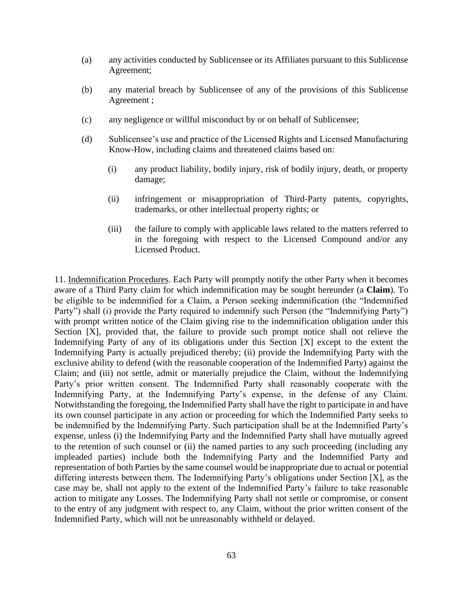- (a) any activities conducted by Sublicensee or its Affiliates pursuant to this Sublicense Agreement;
- (b) any material breach by Sublicensee of any of the provisions of this Sublicense Agreement ;
- (c) any negligence or willful misconduct by or on behalf of Sublicensee;
- (d) Sublicensee's use and practice of the Licensed Rights and Licensed Manufacturing Know-How, including claims and threatened claims based on:
	- (i) any product liability, bodily injury, risk of bodily injury, death, or property damage;
	- (ii) infringement or misappropriation of Third-Party patents, copyrights, trademarks, or other intellectual property rights; or
	- (iii) the failure to comply with applicable laws related to the matters referred to in the foregoing with respect to the Licensed Compound and/or any Licensed Product.

11. Indemnification Procedures. Each Party will promptly notify the other Party when it becomes aware of a Third Party claim for which indemnification may be sought hereunder (a **Claim**). To be eligible to be indemnified for a Claim, a Person seeking indemnification (the "Indemnified Party") shall (i) provide the Party required to indemnify such Person (the "Indemnifying Party") with prompt written notice of the Claim giving rise to the indemnification obligation under this Section [X], provided that, the failure to provide such prompt notice shall not relieve the Indemnifying Party of any of its obligations under this Section [X] except to the extent the Indemnifying Party is actually prejudiced thereby; (ii) provide the Indemnifying Party with the exclusive ability to defend (with the reasonable cooperation of the Indemnified Party) against the Claim; and (iii) not settle, admit or materially prejudice the Claim, without the Indemnifying Party's prior written consent. The Indemnified Party shall reasonably cooperate with the Indemnifying Party, at the Indemnifying Party's expense, in the defense of any Claim. Notwithstanding the foregoing, the Indemnified Party shall have the right to participate in and have its own counsel participate in any action or proceeding for which the Indemnified Party seeks to be indemnified by the Indemnifying Party. Such participation shall be at the Indemnified Party's expense, unless (i) the Indemnifying Party and the Indemnified Party shall have mutually agreed to the retention of such counsel or (ii) the named parties to any such proceeding (including any impleaded parties) include both the Indemnifying Party and the Indemnified Party and representation of both Parties by the same counsel would be inappropriate due to actual or potential differing interests between them. The Indemnifying Party's obligations under Section [X], as the case may be, shall not apply to the extent of the Indemnified Party's failure to take reasonable action to mitigate any Losses. The Indemnifying Party shall not settle or compromise, or consent to the entry of any judgment with respect to, any Claim, without the prior written consent of the Indemnified Party, which will not be unreasonably withheld or delayed.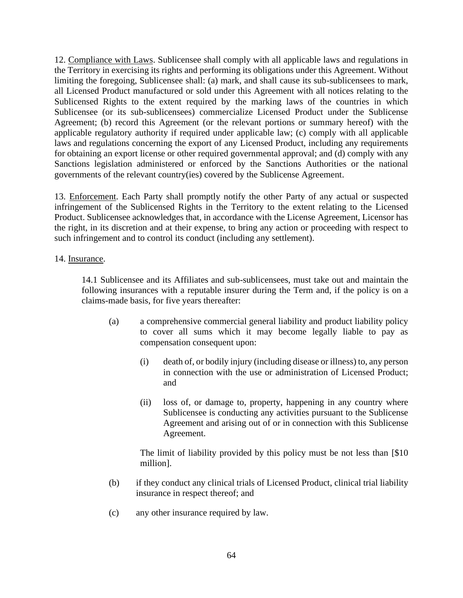12. Compliance with Laws. Sublicensee shall comply with all applicable laws and regulations in the Territory in exercising its rights and performing its obligations under this Agreement. Without limiting the foregoing, Sublicensee shall: (a) mark, and shall cause its sub-sublicensees to mark, all Licensed Product manufactured or sold under this Agreement with all notices relating to the Sublicensed Rights to the extent required by the marking laws of the countries in which Sublicensee (or its sub-sublicensees) commercialize Licensed Product under the Sublicense Agreement; (b) record this Agreement (or the relevant portions or summary hereof) with the applicable regulatory authority if required under applicable law; (c) comply with all applicable laws and regulations concerning the export of any Licensed Product, including any requirements for obtaining an export license or other required governmental approval; and (d) comply with any Sanctions legislation administered or enforced by the Sanctions Authorities or the national governments of the relevant country(ies) covered by the Sublicense Agreement.

13. Enforcement. Each Party shall promptly notify the other Party of any actual or suspected infringement of the Sublicensed Rights in the Territory to the extent relating to the Licensed Product. Sublicensee acknowledges that, in accordance with the License Agreement, Licensor has the right, in its discretion and at their expense, to bring any action or proceeding with respect to such infringement and to control its conduct (including any settlement).

#### 14. Insurance.

14.1 Sublicensee and its Affiliates and sub-sublicensees, must take out and maintain the following insurances with a reputable insurer during the Term and, if the policy is on a claims-made basis, for five years thereafter:

- (a) a comprehensive commercial general liability and product liability policy to cover all sums which it may become legally liable to pay as compensation consequent upon:
	- (i) death of, or bodily injury (including disease or illness) to, any person in connection with the use or administration of Licensed Product; and
	- (ii) loss of, or damage to, property, happening in any country where Sublicensee is conducting any activities pursuant to the Sublicense Agreement and arising out of or in connection with this Sublicense Agreement.

The limit of liability provided by this policy must be not less than [\$10 million].

- (b) if they conduct any clinical trials of Licensed Product, clinical trial liability insurance in respect thereof; and
- (c) any other insurance required by law.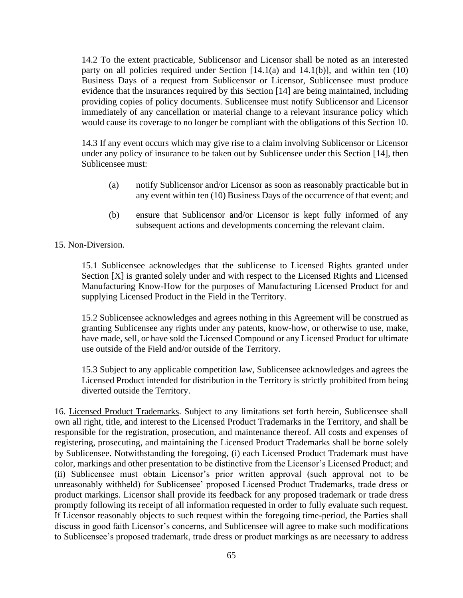14.2 To the extent practicable, Sublicensor and Licensor shall be noted as an interested party on all policies required under Section  $[14.1(a)$  and  $14.1(b)$ ], and within ten  $(10)$ Business Days of a request from Sublicensor or Licensor, Sublicensee must produce evidence that the insurances required by this Section [14] are being maintained, including providing copies of policy documents. Sublicensee must notify Sublicensor and Licensor immediately of any cancellation or material change to a relevant insurance policy which would cause its coverage to no longer be compliant with the obligations of this Section 10.

14.3 If any event occurs which may give rise to a claim involving Sublicensor or Licensor under any policy of insurance to be taken out by Sublicensee under this Section [14], then Sublicensee must:

- (a) notify Sublicensor and/or Licensor as soon as reasonably practicable but in any event within ten (10) Business Days of the occurrence of that event; and
- (b) ensure that Sublicensor and/or Licensor is kept fully informed of any subsequent actions and developments concerning the relevant claim.

#### 15. Non-Diversion.

15.1 Sublicensee acknowledges that the sublicense to Licensed Rights granted under Section [X] is granted solely under and with respect to the Licensed Rights and Licensed Manufacturing Know-How for the purposes of Manufacturing Licensed Product for and supplying Licensed Product in the Field in the Territory.

15.2 Sublicensee acknowledges and agrees nothing in this Agreement will be construed as granting Sublicensee any rights under any patents, know-how, or otherwise to use, make, have made, sell, or have sold the Licensed Compound or any Licensed Product for ultimate use outside of the Field and/or outside of the Territory.

15.3 Subject to any applicable competition law, Sublicensee acknowledges and agrees the Licensed Product intended for distribution in the Territory is strictly prohibited from being diverted outside the Territory.

16. Licensed Product Trademarks. Subject to any limitations set forth herein, Sublicensee shall own all right, title, and interest to the Licensed Product Trademarks in the Territory, and shall be responsible for the registration, prosecution, and maintenance thereof. All costs and expenses of registering, prosecuting, and maintaining the Licensed Product Trademarks shall be borne solely by Sublicensee. Notwithstanding the foregoing, (i) each Licensed Product Trademark must have color, markings and other presentation to be distinctive from the Licensor's Licensed Product; and (ii) Sublicensee must obtain Licensor's prior written approval (such approval not to be unreasonably withheld) for Sublicensee' proposed Licensed Product Trademarks, trade dress or product markings. Licensor shall provide its feedback for any proposed trademark or trade dress promptly following its receipt of all information requested in order to fully evaluate such request. If Licensor reasonably objects to such request within the foregoing time-period, the Parties shall discuss in good faith Licensor's concerns, and Sublicensee will agree to make such modifications to Sublicensee's proposed trademark, trade dress or product markings as are necessary to address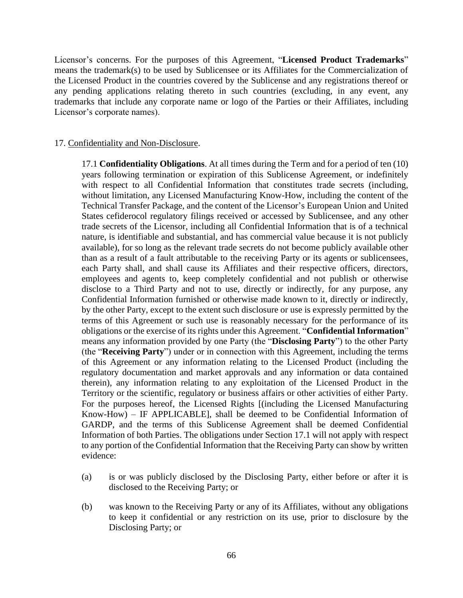Licensor's concerns. For the purposes of this Agreement, "**Licensed Product Trademarks**" means the trademark(s) to be used by Sublicensee or its Affiliates for the Commercialization of the Licensed Product in the countries covered by the Sublicense and any registrations thereof or any pending applications relating thereto in such countries (excluding, in any event, any trademarks that include any corporate name or logo of the Parties or their Affiliates, including Licensor's corporate names).

#### 17. Confidentiality and Non-Disclosure.

17.1 **Confidentiality Obligations**. At all times during the Term and for a period of ten (10) years following termination or expiration of this Sublicense Agreement, or indefinitely with respect to all Confidential Information that constitutes trade secrets (including, without limitation, any Licensed Manufacturing Know-How, including the content of the Technical Transfer Package, and the content of the Licensor's European Union and United States cefiderocol regulatory filings received or accessed by Sublicensee, and any other trade secrets of the Licensor, including all Confidential Information that is of a technical nature, is identifiable and substantial, and has commercial value because it is not publicly available), for so long as the relevant trade secrets do not become publicly available other than as a result of a fault attributable to the receiving Party or its agents or sublicensees, each Party shall, and shall cause its Affiliates and their respective officers, directors, employees and agents to, keep completely confidential and not publish or otherwise disclose to a Third Party and not to use, directly or indirectly, for any purpose, any Confidential Information furnished or otherwise made known to it, directly or indirectly, by the other Party, except to the extent such disclosure or use is expressly permitted by the terms of this Agreement or such use is reasonably necessary for the performance of its obligations or the exercise of its rights under this Agreement. "**Confidential Information**" means any information provided by one Party (the "**Disclosing Party**") to the other Party (the "**Receiving Party**") under or in connection with this Agreement, including the terms of this Agreement or any information relating to the Licensed Product (including the regulatory documentation and market approvals and any information or data contained therein), any information relating to any exploitation of the Licensed Product in the Territory or the scientific, regulatory or business affairs or other activities of either Party. For the purposes hereof, the Licensed Rights [(including the Licensed Manufacturing Know-How) – IF APPLICABLE], shall be deemed to be Confidential Information of GARDP, and the terms of this Sublicense Agreement shall be deemed Confidential Information of both Parties. The obligations under Section 17.1 will not apply with respect to any portion of the Confidential Information that the Receiving Party can show by written evidence:

- (a) is or was publicly disclosed by the Disclosing Party, either before or after it is disclosed to the Receiving Party; or
- (b) was known to the Receiving Party or any of its Affiliates, without any obligations to keep it confidential or any restriction on its use, prior to disclosure by the Disclosing Party; or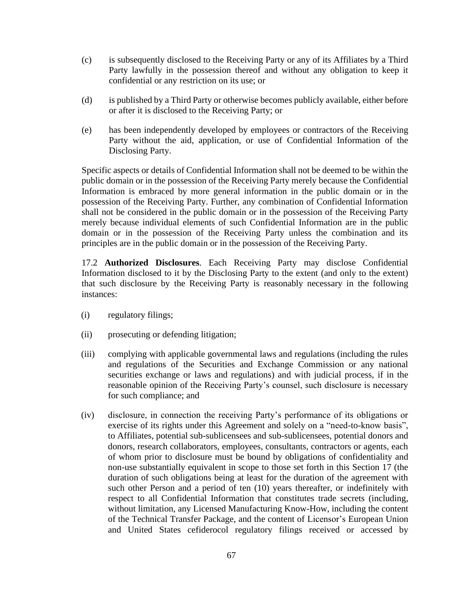- (c) is subsequently disclosed to the Receiving Party or any of its Affiliates by a Third Party lawfully in the possession thereof and without any obligation to keep it confidential or any restriction on its use; or
- (d) is published by a Third Party or otherwise becomes publicly available, either before or after it is disclosed to the Receiving Party; or
- (e) has been independently developed by employees or contractors of the Receiving Party without the aid, application, or use of Confidential Information of the Disclosing Party.

Specific aspects or details of Confidential Information shall not be deemed to be within the public domain or in the possession of the Receiving Party merely because the Confidential Information is embraced by more general information in the public domain or in the possession of the Receiving Party. Further, any combination of Confidential Information shall not be considered in the public domain or in the possession of the Receiving Party merely because individual elements of such Confidential Information are in the public domain or in the possession of the Receiving Party unless the combination and its principles are in the public domain or in the possession of the Receiving Party.

17.2 **Authorized Disclosures**. Each Receiving Party may disclose Confidential Information disclosed to it by the Disclosing Party to the extent (and only to the extent) that such disclosure by the Receiving Party is reasonably necessary in the following instances:

- (i) regulatory filings;
- (ii) prosecuting or defending litigation;
- (iii) complying with applicable governmental laws and regulations (including the rules and regulations of the Securities and Exchange Commission or any national securities exchange or laws and regulations) and with judicial process, if in the reasonable opinion of the Receiving Party's counsel, such disclosure is necessary for such compliance; and
- (iv) disclosure, in connection the receiving Party's performance of its obligations or exercise of its rights under this Agreement and solely on a "need-to-know basis", to Affiliates, potential sub-sublicensees and sub-sublicensees, potential donors and donors, research collaborators, employees, consultants, contractors or agents, each of whom prior to disclosure must be bound by obligations of confidentiality and non-use substantially equivalent in scope to those set forth in this Section 17 (the duration of such obligations being at least for the duration of the agreement with such other Person and a period of ten (10) years thereafter, or indefinitely with respect to all Confidential Information that constitutes trade secrets (including, without limitation, any Licensed Manufacturing Know-How, including the content of the Technical Transfer Package, and the content of Licensor's European Union and United States cefiderocol regulatory filings received or accessed by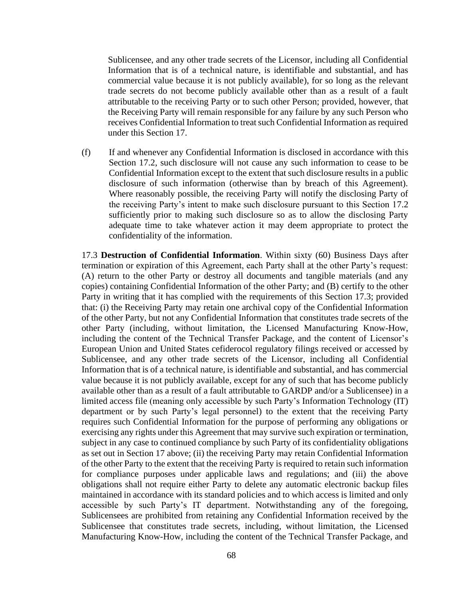Sublicensee, and any other trade secrets of the Licensor, including all Confidential Information that is of a technical nature, is identifiable and substantial, and has commercial value because it is not publicly available), for so long as the relevant trade secrets do not become publicly available other than as a result of a fault attributable to the receiving Party or to such other Person; provided, however, that the Receiving Party will remain responsible for any failure by any such Person who receives Confidential Information to treat such Confidential Information as required under this Section 17.

(f) If and whenever any Confidential Information is disclosed in accordance with this Section 17.2, such disclosure will not cause any such information to cease to be Confidential Information except to the extent that such disclosure results in a public disclosure of such information (otherwise than by breach of this Agreement). Where reasonably possible, the receiving Party will notify the disclosing Party of the receiving Party's intent to make such disclosure pursuant to this Section 17.2 sufficiently prior to making such disclosure so as to allow the disclosing Party adequate time to take whatever action it may deem appropriate to protect the confidentiality of the information.

17.3 **Destruction of Confidential Information**. Within sixty (60) Business Days after termination or expiration of this Agreement, each Party shall at the other Party's request: (A) return to the other Party or destroy all documents and tangible materials (and any copies) containing Confidential Information of the other Party; and (B) certify to the other Party in writing that it has complied with the requirements of this Section 17.3; provided that: (i) the Receiving Party may retain one archival copy of the Confidential Information of the other Party, but not any Confidential Information that constitutes trade secrets of the other Party (including, without limitation, the Licensed Manufacturing Know-How, including the content of the Technical Transfer Package, and the content of Licensor's European Union and United States cefiderocol regulatory filings received or accessed by Sublicensee, and any other trade secrets of the Licensor, including all Confidential Information that is of a technical nature, is identifiable and substantial, and has commercial value because it is not publicly available, except for any of such that has become publicly available other than as a result of a fault attributable to GARDP and/or a Sublicensee) in a limited access file (meaning only accessible by such Party's Information Technology (IT) department or by such Party's legal personnel) to the extent that the receiving Party requires such Confidential Information for the purpose of performing any obligations or exercising any rights under this Agreement that may survive such expiration or termination, subject in any case to continued compliance by such Party of its confidentiality obligations as set out in Section 17 above; (ii) the receiving Party may retain Confidential Information of the other Party to the extent that the receiving Party is required to retain such information for compliance purposes under applicable laws and regulations; and (iii) the above obligations shall not require either Party to delete any automatic electronic backup files maintained in accordance with its standard policies and to which access is limited and only accessible by such Party's IT department. Notwithstanding any of the foregoing, Sublicensees are prohibited from retaining any Confidential Information received by the Sublicensee that constitutes trade secrets, including, without limitation, the Licensed Manufacturing Know-How, including the content of the Technical Transfer Package, and